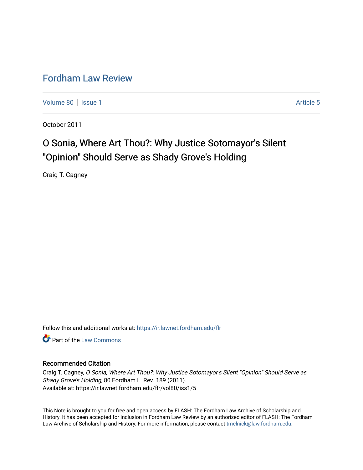# [Fordham Law Review](https://ir.lawnet.fordham.edu/flr)

[Volume 80](https://ir.lawnet.fordham.edu/flr/vol80) | [Issue 1](https://ir.lawnet.fordham.edu/flr/vol80/iss1) Article 5

October 2011

# O Sonia, Where Art Thou?: Why Justice Sotomayor's Silent "Opinion" Should Serve as Shady Grove's Holding

Craig T. Cagney

Follow this and additional works at: [https://ir.lawnet.fordham.edu/flr](https://ir.lawnet.fordham.edu/flr?utm_source=ir.lawnet.fordham.edu%2Fflr%2Fvol80%2Fiss1%2F5&utm_medium=PDF&utm_campaign=PDFCoverPages)

**C** Part of the [Law Commons](http://network.bepress.com/hgg/discipline/578?utm_source=ir.lawnet.fordham.edu%2Fflr%2Fvol80%2Fiss1%2F5&utm_medium=PDF&utm_campaign=PDFCoverPages)

## Recommended Citation

Craig T. Cagney, O Sonia, Where Art Thou?: Why Justice Sotomayor's Silent "Opinion" Should Serve as Shady Grove's Holding, 80 Fordham L. Rev. 189 (2011). Available at: https://ir.lawnet.fordham.edu/flr/vol80/iss1/5

This Note is brought to you for free and open access by FLASH: The Fordham Law Archive of Scholarship and History. It has been accepted for inclusion in Fordham Law Review by an authorized editor of FLASH: The Fordham Law Archive of Scholarship and History. For more information, please contact [tmelnick@law.fordham.edu](mailto:tmelnick@law.fordham.edu).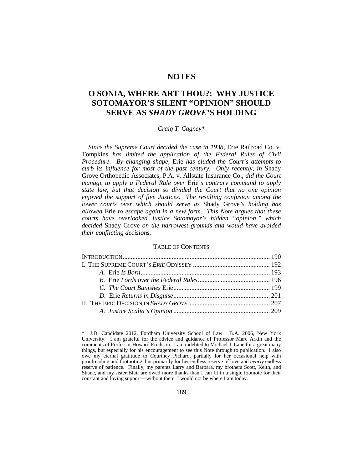# **NOTES**

# **O SONIA, WHERE ART THOU?: WHY JUSTICE SOTOMAYOR'S SILENT "OPINION" SHOULD SERVE AS** *SHADY GROVE***'S HOLDING**

## *Craig T. Cagney*[\\*](#page-1-0)

*Since the Supreme Court decided the case in 1938,* Erie Railroad Co. v. Tompkins *has limited the application of the Federal Rules of Civil Procedure. By changing shape,* Erie *has eluded the Court's attempts to curb its influence for most of the past century. Only recently, in* Shady Grove Orthopedic Associates, P.A. v. Allstate Insurance Co., *did the Court manage to apply a Federal Rule over* Erie*'s contrary command to apply state law, but that decision so divided the Court that no one opinion enjoyed the support of five Justices. The resulting confusion among the lower courts over which should serve as* Shady Grove*'s holding has allowed* Erie *to escape again in a new form. This Note argues that these courts have overlooked Justice Sotomayor's hidden "opinion," which decided* Shady Grove *on the narrowest grounds and would have avoided their conflicting decisions.*

#### TABLE OF CONTENTS

<span id="page-1-0"></span><sup>\*</sup> J.D. Candidate 2012, Fordham University School of Law. B.A. 2006, New York University. I am grateful for the advice and guidance of Professor Marc Arkin and the comments of Professor Howard Erichson. I am indebted to Michael J. Lane for a great many things, but especially for his encouragement to see this Note through to publication. I also owe my eternal gratitude to Courtney Pichard, partially for her occasional help with proofreading and footnoting, but primarily for her endless reserve of love and *nearly* endless reserve of patience. Finally, my parents Larry and Barbara, my brothers Scott, Keith, and Shane, and my sister Blair are owed more thanks than I can fit in a single footnote for their constant and loving support—without them, I would not be where I am today.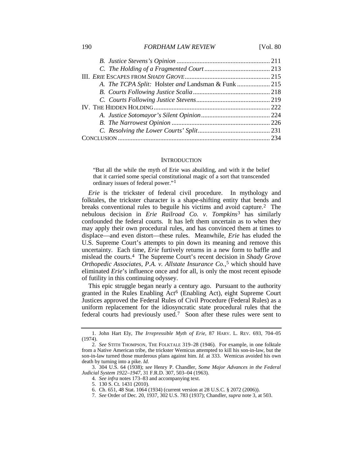#### 190 *FORDHAM LAW REVIEW* [Vol. 80

#### <span id="page-2-8"></span><span id="page-2-0"></span>**INTRODUCTION**

"But all the while the myth of Erie was abuilding, and with it the belief that it carried some special constitutional magic of a sort that transcended ordinary issues of federal power."[1](#page-2-1)

*Erie* is the trickster of federal civil procedure. In mythology and folktales, the trickster character is a shape-shifting entity that bends and breaks conventional rules to beguile his victims and avoid capture.[2](#page-2-2) The nebulous decision in *Erie Railroad Co. v. Tompkins*[3](#page-2-3) has similarly confounded the federal courts. It has left them uncertain as to when they may apply their own procedural rules, and has convinced them at times to displace—and even distort—these rules. Meanwhile, *Erie* has eluded the U.S. Supreme Court's attempts to pin down its meaning and remove this uncertainty. Each time, *Erie* furtively returns in a new form to baffle and mislead the courts.[4](#page-2-4) The Supreme Court's recent decision in *Shady Grove Orthopedic Associates, P.A. v. Allstate Insurance Co.*,[5](#page-2-5) which should have eliminated *Erie*'s influence once and for all, is only the most recent episode of futility in this continuing odyssey.

This epic struggle began nearly a century ago. Pursuant to the authority granted in the Rules Enabling Act [6](#page-2-6) (Enabling Act), eight Supreme Court Justices approved the Federal Rules of Civil Procedure (Federal Rules) as a uniform replacement for the idiosyncratic state procedural rules that the federal courts had previously used.[7](#page-2-7) Soon after these rules were sent to

<span id="page-2-1"></span><sup>1.</sup> John Hart Ely, *The Irrepressible Myth of Erie*, 87 HARV. L. REV. 693, 704–05 (1974).

<span id="page-2-2"></span><sup>2</sup>*. See* STITH THOMPSON, THE FOLKTALE 319–28 (1946). For example, in one folktale from a Native American tribe, the trickster Wemicus attempted to kill his son-in-law, but the son-in-law turned those murderous plans against him. *Id.* at 333. Wemicus avoided his own death by turning into a pike. *Id.*

<span id="page-2-7"></span><span id="page-2-6"></span><span id="page-2-5"></span><span id="page-2-4"></span><span id="page-2-3"></span><sup>3.</sup> 304 U.S. 64 (1938); *see* Henry P. Chandler, *Some Major Advances in the Federal Judicial System 1922–1947*, 31 F.R.D. 307, 503–04 (1963).

<sup>4</sup>*. See infra* note[s 173–](#page-17-0)83 and accompanying text.

<sup>5.</sup> 130 S. Ct. 1431 (2010).

<sup>6.</sup> Ch. 651, 48 Stat. 1064 (1934) (current version at 28 U.S.C. § 2072 (2006)).

<sup>7</sup>*. See* Order of Dec. 20, 1937, 302 U.S. 783 (1937); Chandler, *supra* not[e 3,](#page-2-0) at 503.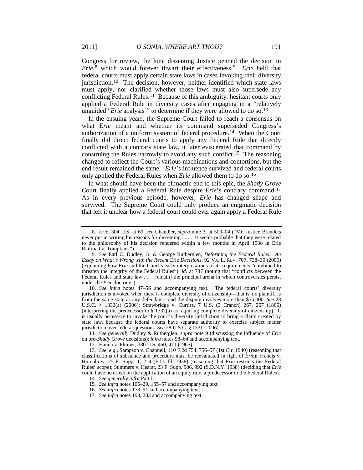<span id="page-3-0"></span>Congress for review, the lone dissenting Justice penned the decision in *Erie*,[8](#page-3-1) which would forever thwart their effectiveness.[9](#page-3-2) *Erie* held that federal courts must apply certain state laws in cases invoking their diversity jurisdiction[.10](#page-3-3) The decision, however, neither identified which state laws must apply, nor clarified whether those laws must also supersede any conflicting Federal Rules.[11](#page-3-4) Because of this ambiguity, hesitant courts only applied a Federal Rule in diversity cases after engaging in a "relatively unguided" *Erie* analysis<sup>[12](#page-3-5)</sup> to determine if they were allowed to do so.<sup>[13](#page-3-6)</sup>

In the ensuing years, the Supreme Court failed to reach a consensus on what *Erie* meant and whether its command superseded Congress's authorization of a uniform system of federal procedure.[14](#page-3-7) When the Court finally did direct federal courts to apply any Federal Rule that directly conflicted with a contrary state law, it later eviscerated that command by construing the Rules narrowly to avoid any such conflict.[15](#page-3-8) The reasoning changed to reflect the Court's various machinations and contortions, but the end result remained the same: *Erie*'s influence survived and federal courts only applied the Federal Rules when *Erie* allowed them to do so.[16](#page-3-9)

In what should have been the climactic end to this epic, the *Shady Grove* Court finally applied a Federal Rule despite *Erie*'s contrary command.[17](#page-3-10) As in every previous episode, however, *Erie* has changed shape and survived. The Supreme Court could only produce an enigmatic decision that left it unclear how a federal court could ever again apply a Federal Rule

<span id="page-3-3"></span>10*. See infra* notes [47](#page-7-0)[–56](#page-8-0) and accompanying text. The federal courts' diversity jurisdiction is invoked when there is complete diversity of citizenship—that is, no plaintiff is from the same state as any defendant—and the dispute involves more than \$75,000. *See* 28 U.S.C. § 1332(a) (2006); Strawbridge v. Curtiss, 7 U.S. (3 Cranch) 267, 267 (1806) (interpreting the predecessor to  $\S$  1332(a) as requiring complete diversity of citizenship). It is usually necessary to invoke the court's diversity jurisdiction to bring a claim created by state law, because the federal courts have separate authority to exercise subject matter jurisdiction over federal questions. *See* 28 U.S.C. § 1331 (2006).

16*. See infra* note[s 173–](#page-17-0)91 and accompanying text.

<span id="page-3-1"></span><sup>8.</sup> *Erie*, 304 U.S. at 69; *see* Chandler, *supra* note [3,](#page-2-0) at 503–04 ("Mr. Justice Brandeis never put in writing his reasons for dissenting . . . . It seems probable that they were related to the philosophy of his decision rendered within a few months in April 1938 in Erie Railroad v. Tompkins.").

<span id="page-3-2"></span><sup>9</sup>*. See* Earl C. Dudley, Jr. & George Rutherglen, *Deforming the Federal Rules: An Essay on What's Wrong with the Recent* Erie *Decisions*, 92 VA. L. REV. 707, 728–30 (2006) (explaining how *Erie* and the Court's early interpretations of its requirements "combined to threaten the integrity of the Federal Rules"); *id.* at 737 (noting that "conflicts between the Federal Rules and state law . . . [remain] the principal arena in which controversies persist under the *Erie* doctrine").

<span id="page-3-4"></span><sup>11</sup>*. See generally* Dudley & Rutherglen, *supra* note [9](#page-3-0) (discussing the influence of *Erie* on pre-*Shady Grove* decisions); *infra* notes [58](#page-8-1)[–64](#page-8-2) and accompanying text.

<sup>12.</sup> Hanna v. Plumer, 380 U.S. 460, 471 (1965).

<span id="page-3-8"></span><span id="page-3-7"></span><span id="page-3-6"></span><span id="page-3-5"></span><sup>13</sup>*. See, e.g.*, Sampson v. Channell, 110 F.2d 754, 756–57 (1st Cir. 1940) (reasoning that classifications of substance and procedure must be reevaluated in light of *Erie*); Francis v. Humphrey, 25 F. Supp. 1, 2–4 (E.D. Ill. 1938) (reasoning that *Erie* restricts the Federal Rules' scope); Summers v. Hearst, 23 F. Supp. 986, 992 (S.D.N.Y. 1938) (deciding that *Erie* could have no effect on the application of an equity rule, a predecessor to the Federal Rules).

<sup>14</sup>*. See generally infra* Part I.

<sup>15</sup>*. See infra* note[s 106–](#page-11-0)29[, 155–](#page-16-0)57 and accompanying text.

<span id="page-3-10"></span><span id="page-3-9"></span><sup>17</sup>*. See infra* note[s 193,](#page-19-0) [203](#page-20-0) and accompanying text.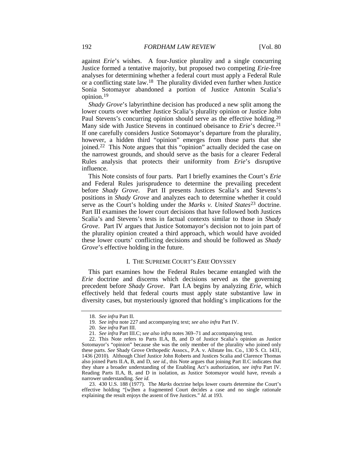against *Erie*'s wishes. A four-Justice plurality and a single concurring Justice formed a tentative majority, but proposed two competing *Erie*-free analyses for determining whether a federal court must apply a Federal Rule or a conflicting state law.[18](#page-4-0) The plurality divided even further when Justice Sonia Sotomayor abandoned a portion of Justice Antonin Scalia's opinion.[19](#page-4-1)

*Shady Grove*'s labyrinthine decision has produced a new split among the lower courts over whether Justice Scalia's plurality opinion or Justice John Paul Stevens's concurring opinion should serve as the effective holding.[20](#page-4-2) Many side with Justice Stevens in continued obeisance to *Erie*'s decree.<sup>[21](#page-4-3)</sup> If one carefully considers Justice Sotomayor's departure from the plurality, however, a hidden third "opinion" emerges from those parts that she joined.[22](#page-4-4) This Note argues that this "opinion" actually decided the case on the narrowest grounds, and should serve as the basis for a clearer Federal Rules analysis that protects their uniformity from *Erie*'s disruptive influence.

This Note consists of four parts. Part I briefly examines the Court's *Erie* and Federal Rules jurisprudence to determine the prevailing precedent before *Shady Grove*. Part II presents Justices Scalia's and Stevens's positions in *Shady Grove* and analyzes each to determine whether it could serve as the Court's holding under the *Marks v. United States* [23](#page-4-5) doctrine. Part III examines the lower court decisions that have followed both Justices Scalia's and Stevens's tests in factual contexts similar to those in *Shady Grove*. Part IV argues that Justice Sotomayor's decision not to join part of the plurality opinion created a third approach, which would have avoided these lower courts' conflicting decisions and should be followed as *Shady Grove*'s effective holding in the future.

#### I. THE SUPREME COURT'S *ERIE* ODYSSEY

This part examines how the Federal Rules became entangled with the *Erie* doctrine and discerns which decisions served as the governing precedent before *Shady Grove*. Part I.A begins by analyzing *Erie*, which effectively held that federal courts must apply state substantive law in diversity cases, but mysteriously ignored that holding's implications for the

<sup>18</sup>*. See infra* Part II.

<sup>19</sup>*. See infra* not[e 227](#page-22-0) and accompanying text; *see also infra* Part IV.

<sup>20</sup>*. See infra* Part III.

<sup>21</sup>*. See infra* Part III.C; *see also infra* note[s 369–](#page-35-0)71 and accompanying text.

<span id="page-4-4"></span><span id="page-4-3"></span><span id="page-4-2"></span><span id="page-4-1"></span><span id="page-4-0"></span><sup>22.</sup> This Note refers to Parts II.A, B, and D of Justice Scalia's opinion as Justice Sotomayor's "opinion" because she was the only member of the plurality who joined only these parts. *See* Shady Grove Orthopedic Assocs., P.A. v. Allstate Ins. Co., 130 S. Ct. 1431, 1436 (2010)*.* Although Chief Justice John Roberts and Justices Scalia and Clarence Thomas also joined Parts II.A, B, and D, *see id.*, this Note argues that joining Part II.C indicates that they share a broader understanding of the Enabling Act's authorization, *see infra* Part IV. Reading Parts II.A, B, and D in isolation, as Justice Sotomayor would have, reveals a narrower understanding. *See id.*

<span id="page-4-5"></span><sup>23.</sup> 430 U.S. 188 (1977). The *Marks* doctrine helps lower courts determine the Court's effective holding "[w]hen a fragmented Court decides a case and no single rationale explaining the result enjoys the assent of five Justices." *Id.* at 193.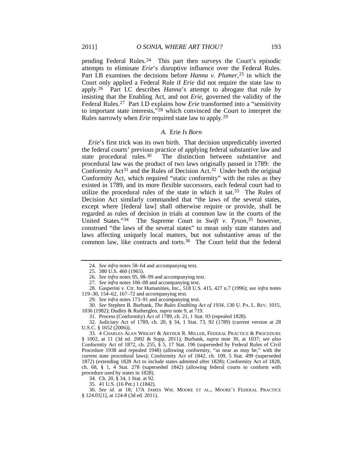pending Federal Rules.[24](#page-5-1) This part then surveys the Court's episodic attempts to eliminate *Erie*'s disruptive influence over the Federal Rules. Part I.B examines the decisions before *Hanna v. Plumer*<sup>[25](#page-5-2)</sup> in which the Court only applied a Federal Rule if *Erie* did not require the state law to apply.[26](#page-5-3) Part I.C describes *Hanna*'s attempt to abrogate that rule by insisting that the Enabling Act, and not *Erie*, governed the validity of the Federal Rules[.27](#page-5-4) Part I.D explains how *Erie* transformed into a "sensitivity to important state interests,"[28](#page-5-5) which convinced the Court to interpret the Rules narrowly when *Erie* required state law to apply.[29](#page-5-6)

#### <span id="page-5-15"></span><span id="page-5-0"></span>*A.* Erie *Is Born*

*Erie*'s first trick was its own birth. That decision unpredictably inverted the federal courts' previous practice of applying federal substantive law and state procedural rules.<sup>30</sup> The distinction between substantive and The distinction between substantive and procedural law was the product of two laws originally passed in 1789: the Conformity  $Act^{31}$  $Act^{31}$  $Act^{31}$  and the Rules of Decision Act.<sup>32</sup> Under both the original Conformity Act, which required "static conformity" with the rules as they existed in 1789, and its more flexible successors, each federal court had to utilize the procedural rules of the state in which it sat.<sup>33</sup> The Rules of Decision Act similarly commanded that "the laws of the several states, except where [federal law] shall otherwise require or provide, shall be regarded as rules of decision in trials at common law in the courts of the United States."[34](#page-5-11) The Supreme Court in *Swift v. Tyson*,[35](#page-5-12) however, construed "the laws of the several states" to mean only state statutes and laws affecting uniquely local matters, but not substantive areas of the common law, like contracts and torts.<sup>[36](#page-5-13)</sup> The Court held that the federal

29*. See infra* note[s 173–](#page-17-0)91 and accompanying text.

<span id="page-5-7"></span><span id="page-5-6"></span>30*. See* Stephen B. Burbank, *The Rules Enabling Act of 1934*, 130 U. PA. L. REV. 1015, 1036 (1982); Dudley & Rutherglen, *supra* note [9,](#page-3-0) at 719.

31. Process (Conformity) Act of 1789, ch. 21, 1 Stat. 93 (repealed 1828).

<span id="page-5-9"></span><span id="page-5-8"></span>32. Judiciary Act of 1789, ch. 20, § 34, 1 Stat. 73, 92 (1789) (current version at 28 U.S.C. § 1652 (2006)).

<span id="page-5-10"></span>33. 4 CHARLES ALAN WRIGHT & ARTHUR R. MILLER, FEDERAL PRACTICE & PROCEDURE § 1002, at 11 (3d ed. 2002 & Supp. 2011); Burbank, *supra* note [30,](#page-5-0) at 1037; *see also* Conformity Act of 1872, ch. 255, § 5, 17 Stat. 196 (superseded by Federal Rules of Civil Procedure 1938 and repealed 1948) (allowing conformity, "as near as may be," with the current state procedural laws); Conformity Act of 1842, ch. 109, 5 Stat. 499 (superseded 1872) (extending 1828 Act to include states admitted after 1828); Conformity Act of 1828, ch. 68, § 1, 4 Stat. 278 (superseded 1842) (allowing federal courts to conform with procedure used by states in 1828).

34. Ch. 20, § 34, 1 Stat. at 92.

35. 41 U.S. (16 Pet.) 1 (1842).

<span id="page-5-13"></span><span id="page-5-12"></span><span id="page-5-11"></span>36*. See id.* at 18; 17A JAMES WM. MOORE ET AL., MOORE'S FEDERAL PRACTICE § 124.01[1], at 124-8 (3d ed. 2011).

<span id="page-5-14"></span><sup>24</sup>*. See infra* notes [58](#page-8-1)[–64](#page-8-2) and accompanying text.

<sup>25.</sup> 380 U.S. 460 (1965).

<sup>26</sup>*. See infra* note[s 95,](#page-11-1) [98](#page-11-2)[–99](#page-11-3) and accompanying text.

<sup>27</sup>*. See infra* note[s 106–](#page-11-0)08 and accompanying text.

<span id="page-5-5"></span><span id="page-5-4"></span><span id="page-5-3"></span><span id="page-5-2"></span><span id="page-5-1"></span><sup>28.</sup> Gasperini v. Ctr. for Humanities, Inc., 518 U.S. 415, 427 n.7 (1996); *see infra* notes [119–](#page-13-0)30[, 154–](#page-16-1)62, [167–](#page-17-1)72 and accompanying text.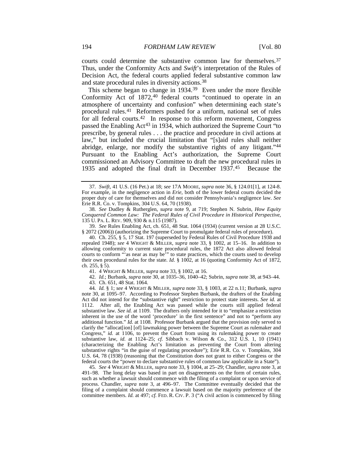courts could determine the substantive common law for themselves.<sup>[37](#page-6-1)</sup> Thus, under the Conformity Acts and *Swift*'s interpretation of the Rules of Decision Act, the federal courts applied federal substantive common law and state procedural rules in diversity actions[.38](#page-6-2)

<span id="page-6-0"></span>This scheme began to change in 1934.<sup>[39](#page-6-3)</sup> Even under the more flexible Conformity Act of 1872,<sup>[40](#page-6-4)</sup> federal courts "continued to operate in an atmosphere of uncertainty and confusion" when determining each state's procedural rules.[41](#page-6-5) Reformers pushed for a uniform, national set of rules for all federal courts.<sup>42</sup> In response to this reform movement, Congress passed the Enabling Act<sup>[43](#page-6-7)</sup> in 1934, which authorized the Supreme Court "to prescribe, by general rules . . . the practice and procedure in civil actions at law," but included the crucial limitation that "[s]aid rules shall neither abridge, enlarge, nor modify the substantive rights of any litigant."[44](#page-6-8) Pursuant to the Enabling Act's authorization, the Supreme Court commissioned an Advisory Committee to draft the new procedural rules in 1935 and adopted the final draft in December 1937[.45](#page-6-9) Because the

<span id="page-6-11"></span><span id="page-6-10"></span><span id="page-6-1"></span><sup>37</sup>*. Swift*, 41 U.S. (16 Pet.) at 18; *see* 17A MOORE, *supra* note [36,](#page-5-14) § 124.01[1], at 124-8. For example, in the negligence action in *Erie*, both of the lower federal courts decided the proper duty of care for themselves and did not consider Pennsylvania's negligence law. *See* Erie R.R. Co. v. Tompkins, 304 U.S. 64, 70 (1938).

<span id="page-6-2"></span><sup>38</sup>*. See* Dudley & Rutherglen, *supra* note [9,](#page-3-0) at 719; Stephen N. Subrin, *How Equity Conquered Common Law: The Federal Rules of Civil Procedure in Historical Perspective*, 135 U. PA. L. REV. 909, 930 & n.115 (1987).

<span id="page-6-3"></span><sup>39</sup>*. See* Rules Enabling Act, ch. 651, 48 Stat. 1064 (1934) (current version at 28 U.S.C. § 2072 (2006)) (authorizing the Supreme Court to promulgate federal rules of procedure).

<span id="page-6-4"></span><sup>40.</sup> Ch. 255, § 5, 17 Stat. 197 (superseded by Federal Rules of Civil Procedure 1938 and repealed 1948); *see* 4 WRIGHT & MILLER, *supra* note [33,](#page-5-15) § 1002, at 15–16. In addition to allowing conformity to current state procedural rules, the 1872 Act also allowed federal courts to conform "'as near as may be'" to state practices, which the courts used to develop their own procedural rules for the state. *Id.* § 1002, at 16 (quoting Conformity Act of 1872, ch. 255, § 5).

<sup>41.</sup> 4 WRIGHT & MILLER, *supra* note [33,](#page-5-15) § 1002, at 16.

<sup>42</sup>*. Id.*; Burbank, *supra* not[e 30,](#page-5-0) at 1035–36, 1040–42; Subrin, *supra* note [38,](#page-6-0) at 943–44. 43. Ch. 651, 48 Stat. 1064.

<span id="page-6-8"></span><span id="page-6-7"></span><span id="page-6-6"></span><span id="page-6-5"></span><sup>44</sup>*. Id.* § 1; *see* 4 WRIGHT & MILLER, *supra* note [33,](#page-5-15) § 1003, at 22 n.11; Burbank, *supra* note [30,](#page-5-0) at 1095–97. According to Professor Stephen Burbank, the drafters of the Enabling Act did not intend for the "substantive right" restriction to protect state interests. *See id.* at 1112. After all, the Enabling Act was passed while the courts still applied federal substantive law. *See id.* at 1109. The drafters only intended for it to "emphasize a restriction inherent in the use of the word 'procedure' in the first sentence" and not to "perform any additional function." *Id.* at 1108. Professor Burbank argued that the provision only served to clarify the "allocat[ion] [of] lawmaking power between the Supreme Court as rulemaker and Congress," *id.* at 1106, to prevent the Court from using its rulemaking power to create substantive law, *id.* at 1124–25; *cf.* Sibbach v. Wilson & Co., 312 U.S. 1, 10 (1941) (characterizing the Enabling Act's limitation as preventing the Court from altering substantive rights "in the guise of regulating procedure"); Erie R.R. Co. v. Tompkins, 304 U.S. 64, 78 (1938) (reasoning that the Constitution does not grant to either Congress or the federal courts the "power to declare substantive rules of common law applicable in a State").

<span id="page-6-9"></span><sup>45</sup>*. See* 4 WRIGHT & MILLER, *supra* not[e 33,](#page-5-15) § 1004, at 25–29; Chandler, *supra* not[e 3,](#page-2-0) at 491–98. The long delay was based in part on disagreements on the form of certain rules, such as whether a lawsuit should commence with the filing of a complaint or upon service of process. Chandler, *supra* note [3,](#page-2-0) at 496–97. The Committee eventually decided that the filing of a complaint should commence a lawsuit based on the majority preference of the committee members. *Id.* at 497; *cf.* FED. R. CIV. P. 3 ("A civil action is commenced by filing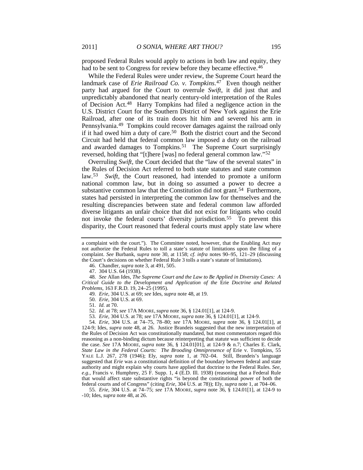proposed Federal Rules would apply to actions in both law and equity, they had to be sent to Congress for review before they became effective.<sup>[46](#page-7-2)</sup>

<span id="page-7-1"></span><span id="page-7-0"></span>While the Federal Rules were under review, the Supreme Court heard the landmark case of *Erie Railroad Co. v. Tompkins*.[47](#page-7-3) Even though neither party had argued for the Court to overrule *Swift*, it did just that and unpredictably abandoned that nearly century-old interpretation of the Rules of Decision Act.[48](#page-7-4) Harry Tompkins had filed a negligence action in the U.S. District Court for the Southern District of New York against the Erie Railroad, after one of its train doors hit him and severed his arm in Pennsylvania.[49](#page-7-5) Tompkins could recover damages against the railroad only if it had owed him a duty of care.[50](#page-7-6) Both the district court and the Second Circuit had held that federal common law imposed a duty on the railroad and awarded damages to Tompkins.<sup>51</sup> The Supreme Court surprisingly reversed, holding that "[t]here [was] no federal general common law."[52](#page-7-8)

<span id="page-7-13"></span><span id="page-7-12"></span>Overruling *Swift*, the Court decided that the "law of the several states" in the Rules of Decision Act referred to both state statutes and state common law.[53](#page-7-9) *Swift*, the Court reasoned, had intended to promote a uniform national common law, but in doing so assumed a power to decree a substantive common law that the Constitution did not grant.<sup>54</sup> Furthermore, states had persisted in interpreting the common law for themselves and the resulting discrepancies between state and federal common law afforded diverse litigants an unfair choice that did not exist for litigants who could not invoke the federal courts' diversity jurisdiction.<sup>[55](#page-7-11)</sup> To prevent this disparity, the Court reasoned that federal courts must apply state law where

46. Chandler, *supra* note [3,](#page-2-0) at 491, 505.

<span id="page-7-5"></span><span id="page-7-4"></span><span id="page-7-3"></span><span id="page-7-2"></span>48*. See* Allan Ides, *The Supreme Court and the Law to Be Applied in Diversity Cases: A Critical Guide to the Development and Application of the* Erie *Doctrine and Related Problems*, 163 F.R.D. 19, 24–25 (1995).

50*. Erie*, 304 U.S. at 69.

51*. Id.* at 70.

53*. Erie*, 304 U.S. at 78; *see* 17A MOORE, *supra* not[e 36,](#page-5-14) § 124.01[1], at 124-9.

<span id="page-7-10"></span><span id="page-7-9"></span><span id="page-7-8"></span><span id="page-7-7"></span><span id="page-7-6"></span>54*. Erie*, 304 U.S. at 74–75, 78–80; *see* 17A MOORE, *supra* note [36,](#page-5-14) § 124.01[1], at 124-9; Ides, *supra* note [48,](#page-7-1) at 26. Justice Brandeis suggested that the new interpretation of the Rules of Decision Act was constitutionally mandated, but most commentators regard this reasoning as a non-binding dictum because reinterpreting that statute was sufficient to decide the case. *See* 17A MOORE, *supra* note [36,](#page-5-14) § 124.01[01], at 124-9 & n.7; Charles E. Clark, *State Law in the Federal Courts: The Brooding Omnipresence of* Erie v. Tompkins, 55 YALE L.J. 267, 278 (1946); Ely, *supra* note [1,](#page-2-8) at 702–04. Still, Brandeis's language suggested that *Erie* was a constitutional definition of the boundary between federal and state authority and might explain why courts have applied that doctrine to the Federal Rules. *See, e.g.*, Francis v. Humphrey, 25 F. Supp. 1, 4 (E.D. Ill. 1938) (reasoning that a Federal Rule that would affect state substantive rights "is beyond the constitutional power of both the federal courts and of Congress" (citing *Erie*, 304 U.S. at 78)); Ely, *supra* note [1,](#page-2-8) at 704–06.

<span id="page-7-11"></span>55*. Erie*, 304 U.S. at 74–75; *see* 17A MOORE, *supra* note [36,](#page-5-14) § 124.01[1], at 124-9 to -10; Ides, *supra* not[e 48,](#page-7-1) at 26.

a complaint with the court."). The Committee noted, however, that the Enabling Act may not authorize the Federal Rules to toll a state's statute of limitations upon the filing of a complaint. *See* Burbank, *supra* note [30,](#page-5-0) at 1158; *cf. infra* notes [90–](#page-10-0)[95,](#page-11-1) [121–](#page-13-1)29 (discussing the Court's decisions on whether Federal Rule 3 tolls a state's statute of limitations).

<sup>47.</sup> 304 U.S. 64 (1938).

<sup>49</sup>*. Erie*, 304 U.S. at 69; *see* Ides, *supra* not[e 48,](#page-7-1) at 19.

<sup>52</sup>*. Id.* at 78; *see* 17A MOORE, *supra* not[e 36,](#page-5-14) § 124.01[1], at 124-9.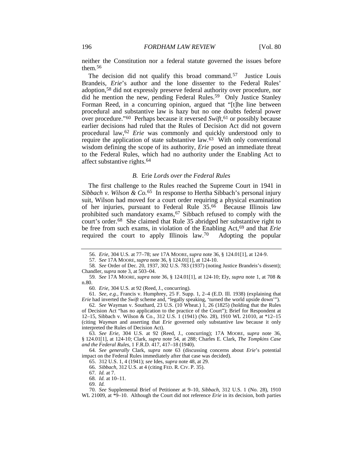<span id="page-8-0"></span>neither the Constitution nor a federal statute governed the issues before them.[56](#page-8-4)

<span id="page-8-1"></span>The decision did not qualify this broad command.<sup>57</sup> Justice Louis Brandeis, *Erie*'s author and the lone dissenter to the Federal Rules' adoption,[58](#page-8-6) did not expressly preserve federal authority over procedure, nor did he mention the new, pending Federal Rules.<sup>59</sup> Only Justice Stanley Forman Reed, in a concurring opinion, argued that "[t]he line between procedural and substantive law is hazy but no one doubts federal power over procedure."<sup>60</sup> Perhaps because it reversed *Swift*,<sup>[61](#page-8-9)</sup> or possibly because earlier decisions had ruled that the Rules of Decision Act did not govern procedural law,[62](#page-8-10) *Erie* was commonly and quickly understood only to require the application of state substantive law[.63](#page-8-11) With only conventional wisdom defining the scope of its authority, *Erie* posed an immediate threat to the Federal Rules, which had no authority under the Enabling Act to affect substantive rights[.64](#page-8-12)

#### <span id="page-8-19"></span><span id="page-8-3"></span><span id="page-8-2"></span>*B.* Erie *Lords over the Federal Rules*

The first challenge to the Rules reached the Supreme Court in 1941 in *Sibbach v. Wilson & Co.*[65](#page-8-13) In response to Hertha Sibbach's personal injury suit, Wilson had moved for a court order requiring a physical examination of her injuries, pursuant to Federal Rule 35.[66](#page-8-14) Because Illinois law prohibited such mandatory exams, <sup>[67](#page-8-15)</sup> Sibbach refused to comply with the court's order.[68](#page-8-16) She claimed that Rule 35 abridged her substantive right to be free from such exams, in violation of the Enabling Act,[69](#page-8-17) and that *Erie* required the court to apply Illinois law.[70](#page-8-18) Adopting the popular

60*. Erie*, 304 U.S. at 92 (Reed, J., concurring).

<span id="page-8-9"></span><span id="page-8-8"></span>61*. See, e.g.*, Francis v. Humphrey, 25 F. Supp. 1, 2–4 (E.D. Ill. 1938) (explaining that *Erie* had inverted the *Swift* scheme and, "legally speaking, 'turned the world upside down'").

<sup>56</sup>*. Erie*, 304 U.S. at 77–78; *see* 17A MOORE, *supra* note [36,](#page-5-14) § 124.01[1], at 124-9.

<sup>57</sup>*. See* 17A MOORE, *supra* note [36,](#page-5-14) § 124.01[1], at 124-10.

<span id="page-8-6"></span><span id="page-8-5"></span><span id="page-8-4"></span><sup>58</sup>*. See* Order of Dec. 20, 1937, 302 U.S. 783 (1937) (noting Justice Brandeis's dissent); Chandler, *supra* note [3,](#page-2-0) at 503–04.

<span id="page-8-7"></span><sup>59</sup>*. See* 17A MOORE, *supra* note [36,](#page-5-14) § 124.01[1], at 124-10; Ely, *supra* note [1,](#page-2-8) at 708 & n.80.

<span id="page-8-10"></span><sup>62</sup>*. See* Wayman v. Southard, 23 U.S. (10 Wheat.) 1, 26 (1825) (holding that the Rules of Decision Act "has no application to the practice of the Court"); Brief for Respondent at 12–15, Sibbach v. Wilson & Co., 312 U.S. 1 (1941) (No. 28), 1910 WL 21010, at \*12–15 (citing *Wayman* and asserting that *Erie* governed only substantive law because it only interpreted the Rules of Decision Act).

<span id="page-8-11"></span><sup>63</sup>*. See Erie*, 304 U.S. at 92 (Reed, J., concurring); 17A MOORE, *supra* note [36,](#page-5-14) § 124.01[1], at 124-10; Clark, *supra* note [54,](#page-7-12) at 288; Charles E. Clark, *The Tompkins Case and the Federal Rules*, 1 F.R.D. 417, 417–18 (1940).

<span id="page-8-14"></span><span id="page-8-13"></span><span id="page-8-12"></span><sup>64</sup>*. See generally* Clark, *supra* note [63](#page-8-3) (discussing concerns about *Erie*'s potential impact on the Federal Rules immediately after that case was decided).

<sup>65.</sup> 312 U.S. 1, 4 (1941); *see* Ides, *supra* not[e 48,](#page-7-1) at 29.

<sup>66</sup>*. Sibbach*, 312 U.S. at 4 (citing FED. R. CIV. P. 35).

<sup>67</sup>*. Id.* at 7. 68*. Id.* at 10–11.

<sup>69</sup>*. Id.*

<span id="page-8-18"></span><span id="page-8-17"></span><span id="page-8-16"></span><span id="page-8-15"></span><sup>70</sup>*. See* Supplemental Brief of Petitioner at 9–10, *Sibbach*, 312 U.S. 1 (No. 28), 1910 WL 21009, at \*9–10. Although the Court did not reference *Erie* in its decision, both parties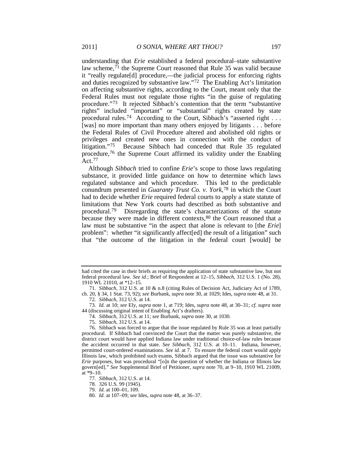<span id="page-9-10"></span>understanding that *Erie* established a federal procedural–state substantive law scheme, $^{71}$  $^{71}$  $^{71}$  the Supreme Court reasoned that Rule 35 was valid because it "really regulate[d] procedure,—the judicial process for enforcing rights and duties recognized by substantive law."[72](#page-9-1) The Enabling Act's limitation on affecting substantive rights, according to the Court, meant only that the Federal Rules must not regulate those rights "in the guise of regulating procedure."[73](#page-9-2) It rejected Sibbach's contention that the term "substantive rights" included "important" or "substantial" rights created by state procedural rules.[74](#page-9-3) According to the Court, Sibbach's "asserted right . . . [was] no more important than many others enjoyed by litigants . . . before the Federal Rules of Civil Procedure altered and abolished old rights or privileges and created new ones in connection with the conduct of litigation."[75](#page-9-4) Because Sibbach had conceded that Rule 35 regulated procedure,[76](#page-9-5) the Supreme Court affirmed its validity under the Enabling  $Act.77$  $Act.77$ 

<span id="page-9-11"></span>Although *Sibbach* tried to confine *Erie*'s scope to those laws regulating substance, it provided little guidance on how to determine which laws regulated substance and which procedure. This led to the predictable conundrum presented in *Guaranty Trust Co. v. York*,[78](#page-9-7) in which the Court had to decide whether *Erie* required federal courts to apply a state statute of limitations that New York courts had described as both substantive and procedural.[79](#page-9-8) Disregarding the state's characterizations of the statute because they were made in different contexts,<sup>[80](#page-9-9)</sup> the Court reasoned that a law must be substantive "in the aspect that alone is relevant to [the *Erie*] problem": whether "it significantly affect[ed] the result of a litigation" such that "the outcome of the litigation in the federal court [would] be

- 74*. Sibbach*, 312 U.S. at 11; *see* Burbank, *supra* not[e 30,](#page-5-0) at 1030.
- 75*. Sibbach*, 312 U.S. at 14.

<span id="page-9-5"></span><span id="page-9-4"></span><span id="page-9-3"></span>76. Sibbach was forced to argue that the issue regulated by Rule 35 was at least partially procedural. If Sibbach had convinced the Court that the matter was purely substantive, the district court would have applied Indiana law under traditional choice-of-law rules because the accident occurred in that state. *See Sibbach*, 312 U.S. at 10–11. Indiana, however, permitted court-ordered examinations. *See id.* at 7. To ensure the federal court would apply Illinois law, which prohibited such exams, Sibbach argued that the issue was substantive for *Erie* purposes, but was procedural "[o]n the question of whether the Indiana or Illinois law govern[ed]." *See* Supplemental Brief of Petitioner, *supra* note [70,](#page-8-19) at 9–10, 1910 WL 21009, at \*9–10.

had cited the case in their briefs as requiring the application of state substantive law, but not federal procedural law. *See id.*; Brief of Respondent at 12–15, *Sibbach*, 312 U.S. 1 (No. 28), 1910 WL 21010, at \*12–15.

<span id="page-9-0"></span><sup>71</sup>*. Sibbach*, 312 U.S. at 10 & n.8 (citing Rules of Decision Act, Judiciary Act of 1789, ch. 20, § 34, 1 Stat. 73, 92); *see* Burbank, *supra* note [30,](#page-5-0) at 1029; Ides, *supra* note [48,](#page-7-1) at 31.

<sup>72</sup>*. Sibbach*, 312 U.S. at 14.

<span id="page-9-2"></span><span id="page-9-1"></span><sup>73</sup>*. Id.* at 10; *see* Ely, *supra* note [1,](#page-2-8) at 719; Ides, *supra* not[e 48,](#page-7-1) at 30–31; *cf. supra* note [44](#page-6-10) (discussing original intent of Enabling Act's drafters).

<span id="page-9-6"></span><sup>77</sup>*. Sibbach*, 312 U.S. at 14.

<span id="page-9-7"></span><sup>78.</sup> 326 U.S. 99 (1945).

<span id="page-9-8"></span><sup>79</sup>*. Id.* at 100–01, 109.

<span id="page-9-9"></span><sup>80</sup>*. Id.* at 107–09; *see* Ides, *supra* note [48,](#page-7-1) at 36–37.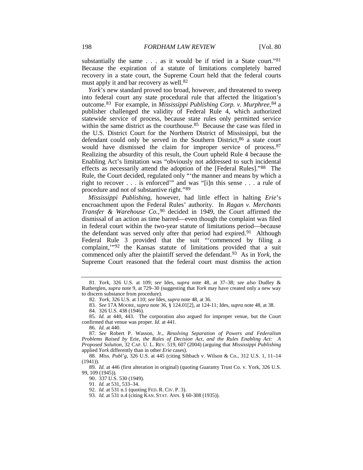substantially the same . . . as it would be if tried in a State court."<sup>[81](#page-10-1)</sup> Because the expiration of a statute of limitations completely barred recovery in a state court, the Supreme Court held that the federal courts must apply it and bar recovery as well.<sup>[82](#page-10-2)</sup>

*York*'s new standard proved too broad, however, and threatened to sweep into federal court any state procedural rule that affected the litigation's outcome.<sup>[83](#page-10-3)</sup> For example, in *Mississippi Publishing Corp. v. Murphree*, <sup>[84](#page-10-4)</sup> a publisher challenged the validity of Federal Rule 4, which authorized statewide service of process, because state rules only permitted service within the same district as the courthouse.<sup>85</sup> Because the case was filed in the U.S. District Court for the Northern District of Mississippi, but the defendant could only be served in the Southern District, [86](#page-10-6) a state court would have dismissed the claim for improper service of process.[87](#page-10-7) Realizing the absurdity of this result, the Court upheld Rule 4 because the Enabling Act's limitation was "obviously not addressed to such incidental effects as necessarily attend the adoption of the [Federal Rules]."[88](#page-10-8) The Rule, the Court decided, regulated only "'the manner and means by which a right to recover . . . is enforced'" and was "[i]n this sense . . . a rule of procedure and not of substantive right."[89](#page-10-9)

<span id="page-10-15"></span><span id="page-10-14"></span><span id="page-10-0"></span>*Mississippi Publishing*, however, had little effect in halting *Erie*'s encroachment upon the Federal Rules' authority. In *Ragan v. Merchants Transfer & Warehouse Co.*,<sup>[90](#page-10-10)</sup> decided in 1949, the Court affirmed the dismissal of an action as time barred—even though the complaint was filed in federal court within the two-year statute of limitations period—because the defendant was served only after that period had expired.<sup>91</sup> Although Federal Rule 3 provided that the suit "'commenced by filing a complaint,"<sup>[92](#page-10-12)</sup> the Kansas statute of limitations provided that a suit commenced only after the plaintiff served the defendant.[93](#page-10-13) As in *York*, the Supreme Court reasoned that the federal court must dismiss the action

86*. Id.* at 440.

<span id="page-10-2"></span><span id="page-10-1"></span><sup>81</sup>*. York*, 326 U.S. at 109; *see* Ides, *supra* note [48,](#page-7-1) at 37–38; *see also* Dudley & Rutherglen, *supra* not[e 9,](#page-3-0) at 729–30 (suggesting that *York* may have created only a new way to discern substance from procedure).

<sup>82</sup>*. York*, 326 U.S. at 110; *see* Ides, *supra* not[e 48,](#page-7-1) at 36.

<sup>83</sup>*. See* 17A MOORE, *supra* note [36,](#page-5-14) § 124.01[2], at 124-11; Ides, *supra* note [48,](#page-7-1) at 38.

<sup>84.</sup> 326 U.S. 438 (1946).

<span id="page-10-5"></span><span id="page-10-4"></span><span id="page-10-3"></span><sup>85</sup>*. Id.* at 440, 443. The corporation also argued for improper venue, but the Court confirmed that venue was proper. *Id.* at 441.

<span id="page-10-7"></span><span id="page-10-6"></span><sup>87</sup>*. See* Robert P. Wasson, Jr., *Resolving Separation of Powers and Federalism Problems Raised by* Erie*, the Rules of Decision Act, and the Rules Enabling Act: A Proposed Solution*, 32 CAP. U. L. REV. 519, 607 (2004) (arguing that *Mississippi Publishing* applied *York* differently than in other *Erie* cases).

<span id="page-10-8"></span><sup>88</sup>*. Miss. Publ'g*, 326 U.S. at 445 (citing Sibbach v. Wilson & Co., 312 U.S. 1, 11–14  $(1941)$ ).

<span id="page-10-13"></span><span id="page-10-12"></span><span id="page-10-11"></span><span id="page-10-10"></span><span id="page-10-9"></span><sup>89</sup>*. Id.* at 446 (first alteration in original) (quoting Guaranty Trust Co. v. York, 326 U.S. 99, 109 (1945)).

<sup>90.</sup> 337 U.S. 530 (1949).

<sup>91</sup>*. Id.* at 531, 533–34.

<sup>92</sup>*. Id.* at 531 n.1 (quoting FED. R. CIV. P. 3).

<sup>93</sup>*. Id.* at 531 n.4 (citing KAN. STAT. ANN. § 60-308 (1935)).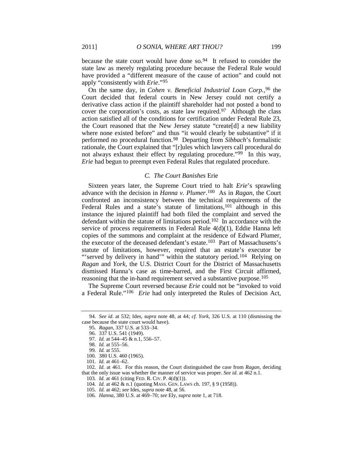because the state court would have done so.<sup>[94](#page-11-4)</sup> It refused to consider the state law as merely regulating procedure because the Federal Rule would have provided a "different measure of the cause of action" and could not apply "consistently with *Erie*."[95](#page-11-5)

<span id="page-11-1"></span>On the same day, in *Cohen v. Beneficial Industrial Loan Corp.*,[96](#page-11-6) the Court decided that federal courts in New Jersey could not certify a derivative class action if the plaintiff shareholder had not posted a bond to cover the corporation's costs, as state law required.[97](#page-11-7) Although the class action satisfied all of the conditions for certification under Federal Rule 23, the Court reasoned that the New Jersey statute "create[d] a new liability where none existed before" and thus "it would clearly be substantive" if it performed no procedural function.[98](#page-11-8) Departing from *Sibbach*'s formalistic rationale, the Court explained that "[r]ules which lawyers call procedural do not always exhaust their effect by regulating procedure.["99](#page-11-9) In this way, *Erie* had begun to preempt even Federal Rules that regulated procedure.

#### <span id="page-11-3"></span><span id="page-11-2"></span>*C. The Court Banishes* Erie

Sixteen years later, the Supreme Court tried to halt *Erie*'s sprawling advance with the decision in *Hanna v. Plumer*.[100](#page-11-10) As in *Ragan*, the Court confronted an inconsistency between the technical requirements of the Federal Rules and a state's statute of limitations,<sup>101</sup> although in this instance the injured plaintiff had both filed the complaint and served the defendant within the statute of limitations period[.102](#page-11-12) In accordance with the service of process requirements in Federal Rule 4(d)(1), Eddie Hanna left copies of the summons and complaint at the residence of Edward Plumer, the executor of the deceased defendant's estate.[103](#page-11-13) Part of Massachusetts's statute of limitations, however, required that an estate's executor be "'served by delivery in hand'" within the statutory period.<sup>104</sup> Relying on *Ragan* and *York*, the U.S. District Court for the District of Massachusetts dismissed Hanna's case as time-barred, and the First Circuit affirmed, reasoning that the in-hand requirement served a substantive purpose.[105](#page-11-15)

<span id="page-11-0"></span>The Supreme Court reversed because *Erie* could not be "invoked to void a Federal Rule."[106](#page-11-16) *Erie* had only interpreted the Rules of Decision Act,

<span id="page-11-7"></span><span id="page-11-6"></span><span id="page-11-5"></span><span id="page-11-4"></span><sup>94</sup>*. See id.* at 532; Ides, *supra* note [48,](#page-7-1) at 44; *cf. York*, 326 U.S. at 110 (dismissing the case because the state court would have).

<sup>95</sup>*. Ragan*, 337 U.S. at 533–34.

<sup>96.</sup> 337 U.S. 541 (1949).

<sup>97</sup>*. Id.* at 544–45 & n.1, 556–57.

<sup>98</sup>*. Id.* at 555–56.

<sup>99</sup>*. Id.* at 555.

<sup>100.</sup> 380 U.S. 460 (1965).

<sup>101</sup>*. Id.* at 461–62.

<span id="page-11-15"></span><span id="page-11-14"></span><span id="page-11-13"></span><span id="page-11-12"></span><span id="page-11-11"></span><span id="page-11-10"></span><span id="page-11-9"></span><span id="page-11-8"></span><sup>102</sup>*. Id.* at 461. For this reason, the Court distinguished the case from *Ragan*, deciding that the only issue was whether the manner of service was proper. *See id.* at 462 n.1.

<sup>103</sup>*. Id.* at 461 (citing FED. R. CIV. P. 4(d)(1)).

<sup>104</sup>*. Id.* at 462 & n.1 (quoting MASS. GEN. LAWS ch. 197, § 9 (1958)).

<sup>105</sup>*. Id.* at 462; *see* Ides, *supra* not[e 48,](#page-7-1) at 56.

<span id="page-11-16"></span><sup>106</sup>*. Hanna*, 380 U.S. at 469–70; *see* Ely, *supra* not[e 1,](#page-2-8) at 718.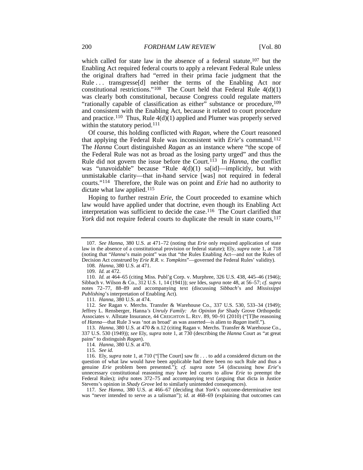which called for state law in the absence of a federal statute,  $107$  but the Enabling Act required federal courts to apply a relevant Federal Rule unless the original drafters had "erred in their prima facie judgment that the Rule ... transgresse<sup>[d]</sup> neither the terms of the Enabling Act nor constitutional restrictions."<sup>[108](#page-12-1)</sup> The Court held that Federal Rule  $4(d)(1)$ was clearly both constitutional, because Congress could regulate matters "rationally capable of classification as either" substance or procedure, <sup>[109](#page-12-2)</sup> and consistent with the Enabling Act, because it related to court procedure and practice.<sup>[110](#page-12-3)</sup> Thus, Rule  $4(d)(1)$  applied and Plumer was properly served within the statutory period.<sup>[111](#page-12-4)</sup>

Of course, this holding conflicted with *Ragan*, where the Court reasoned that applying the Federal Rule was inconsistent with *Erie*'s command.[112](#page-12-5) The *Hanna* Court distinguished *Ragan* as an instance where "the scope of the Federal Rule was not as broad as the losing party urged" and thus the Rule did not govern the issue before the Court.[113](#page-12-6) In *Hanna*, the conflict was "unavoidable" because "Rule 4(d)(1) sa[id]—implicitly, but with unmistakable clarity—that in-hand service [was] not required in federal courts."[114](#page-12-7) Therefore, the Rule was on point and *Erie* had no authority to dictate what law applied.<sup>[115](#page-12-8)</sup>

Hoping to further restrain *Erie*, the Court proceeded to examine which law would have applied under that doctrine, even though its Enabling Act interpretation was sufficient to decide the case.[116](#page-12-9) The Court clarified that *York* did not require federal courts to duplicate the result in state courts,<sup>[117](#page-12-10)</sup>

108*. Hanna*, 380 U.S. at 471.

111*. Hanna*, 380 U.S. at 474.

<span id="page-12-5"></span><span id="page-12-4"></span>112*. See* Ragan v. Merchs. Transfer & Warehouse Co., 337 U.S. 530, 533–34 (1949); Jeffrey L. Rensberger, Hanna*'s Unruly Family: An Opinion for* Shady Grove Orthopedic Associates v. Allstate Insurance, 44 CREIGHTON L. REV. 89, 90–91 (2010) ("[T]he reasoning of *Hanna*—that Rule 3 was 'not as broad' as was asserted—is alien to *Ragan* itself.").

<span id="page-12-6"></span>113*. Hanna*, 380 U.S. at 470 & n.12 (citing Ragan v. Merchs. Transfer & Warehouse Co., 337 U.S. 530 (1949)); *see* Ely, *supra* not[e 1,](#page-2-8) at 730 (describing the *Hanna* Court as "at great pains" to distinguish *Ragan*).

114*. Hanna*, 380 U.S. at 470.

115*. See id.*

<span id="page-12-9"></span><span id="page-12-8"></span><span id="page-12-7"></span>116. Ely, *supra* note [1,](#page-2-8) at 710 ("[The Court] saw fit . . . to add a considered dictum on the question of what law would have been applicable had there been no such Rule and thus a genuine *Erie* problem been presented."); *cf. supra* note 54 (discussing how *Erie*'s unnecessary constitutional reasoning may have led courts to allow *Erie* to preempt the Federal Rules); *infra* notes 372–75 and accompanying text (arguing that dicta in Justice Stevens's opinion in *Shady Grove* led to similarly unintended consequences).

<span id="page-12-10"></span>117*. See Hanna*, 380 U.S. at 466–67 (deciding that *York*'s outcome-determinative test was "never intended to serve as a talisman"); *id.* at 468–69 (explaining that outcomes can

<span id="page-12-0"></span><sup>107</sup>*. See Hanna*, 380 U.S. at 471–72 (noting that *Erie* only required application of state law in the absence of a constitutional provision or federal statute); Ely, *supra* note [1,](#page-2-8) at 718 (noting that "*Hanna*'s main point" was that "the Rules Enabling Act—and not the Rules of Decision Act construed by *Erie R.R. v. Tompkins*"—governed the Federal Rules' validity).

<sup>109</sup>*. Id.* at 472.

<span id="page-12-3"></span><span id="page-12-2"></span><span id="page-12-1"></span><sup>110</sup>*. Id.* at 464–65 (citing Miss. Publ'g Corp. v. Murphree, 326 U.S. 438, 445–46 (1946); Sibbach v. Wilson & Co., 312 U.S. 1, 14 (1941)); *see* Ides, *supra* note [48,](#page-7-1) at 56–57; *cf. supra* notes [72](#page-9-10)[–77,](#page-9-11) [88–](#page-10-14)[89](#page-10-15) and accompanying text (discussing *Sibbach*'s and *Mississippi Publishing*'s interpretation of Enabling Act).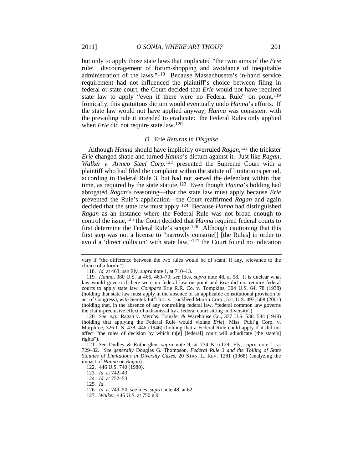but only to apply those state laws that implicated "the twin aims of the *Erie* rule: discouragement of forum-shopping and avoidance of inequitable administration of the laws."[118](#page-13-2) Because Massachusetts's in-hand service requirement had not influenced the plaintiff's choice between filing in federal or state court, the Court decided that *Erie* would not have required state law to apply "even if there were no Federal Rule" on point.<sup>[119](#page-13-3)</sup> Ironically, this gratuitous dictum would eventually undo *Hanna*'s efforts. If the state law would not have applied anyway, *Hanna* was consistent with the prevailing rule it intended to eradicate: the Federal Rules only applied when *Erie* did not require state law.<sup>[120](#page-13-4)</sup>

#### <span id="page-13-12"></span><span id="page-13-1"></span><span id="page-13-0"></span>*D.* Erie *Returns in Disguise*

Although *Hanna* should have implicitly overruled *Ragan*,[121](#page-13-5) the trickster *Erie* changed shape and turned *Hanna*'s dictum against it. Just like *Ragan*, *Walker v. Armco Steel Corp.*[122](#page-13-6) presented the Supreme Court with a plaintiff who had filed the complaint within the statute of limitations period, according to Federal Rule 3, but had not served the defendant within that time, as required by the state statute.[123](#page-13-7) Even though *Hanna*'s holding had abrogated *Ragan*'s reasoning—that the state law must apply because *Erie* prevented the Rule's application—the Court reaffirmed *Ragan* and again decided that the state law must apply.[124](#page-13-8) Because *Hanna* had distinguished *Ragan* as an instance where the Federal Rule was not broad enough to control the issue,[125](#page-13-9) the Court decided that *Hanna* required federal courts to first determine the Federal Rule's scope[.126](#page-13-10) Although cautioning that this first step was not a license to "narrowly construe[] [the Rules] in order to avoid a 'direct collision' with state law,"[127](#page-13-11) the Court found no indication

vary if "the difference between the two rules would be of scant, if any, relevance to the choice of a forum").

<sup>118</sup>*. Id.* at 468; *see* Ely, *supra* not[e 1,](#page-2-8) at 710–13.

<span id="page-13-3"></span><span id="page-13-2"></span><sup>119</sup>*. Hanna*, 380 U.S. at 466, 469–70; *see* Ides, *supra* note [48,](#page-7-1) at 58. It is unclear what law would govern if there were no federal law on point and *Erie* did not require federal courts to apply state law. *Compare* Erie R.R. Co. v. Tompkins, 304 U.S. 64, 78 (1938) (holding that state law must apply in the absence of an applicable constitutional provision or act of Congress), *with* Semtek Int'l Inc. v. Lockheed Martin Corp., 531 U.S. 497, 508 (2001) (holding that, in the absence of any controlling federal law, "federal common law governs the claim-preclusive effect of a dismissal by a federal court sitting in diversity").

<span id="page-13-4"></span><sup>120</sup>*. See, e.g.*, Ragan v. Merchs. Transfer & Warehouse Co., 337 U.S. 530, 534 (1949) (holding that applying the Federal Rule would violate *Erie*); Miss. Publ'g Corp. v. Murphree, 326 U.S. 438, 446 (1946) (holding that a Federal Rule could apply if it did not affect "the rules of decision by which th[e] [federal] court will adjudicate [the state's] rights").

<span id="page-13-6"></span><span id="page-13-5"></span><sup>121</sup>*. See* Dudley & Rutherglen, *supra* note [9,](#page-3-0) at 734 & n.129; Ely, *supra* note [1,](#page-2-8) at 729–32. *See generally* Douglas G. Thompson, *Federal Rule 3 and the Tolling of State Statutes of Limitations in Diversity Cases*, 20 STAN. L. REV. 1281 (1968) (analyzing the impact of *Hanna* on *Ragan*).

<sup>122.</sup> 446 U.S. 740 (1980).

<sup>123</sup>*. Id.* at 742–43.

<span id="page-13-9"></span><span id="page-13-8"></span><span id="page-13-7"></span><sup>124</sup>*. Id.* at 752–53.

<sup>125</sup>*. Id.*

<sup>126</sup>*. Id.* at 749–50; *see* Ides, *supra* note [48,](#page-7-1) at 62.

<span id="page-13-11"></span><span id="page-13-10"></span><sup>127</sup>*. Walker*, 446 U.S. at 750 n.9.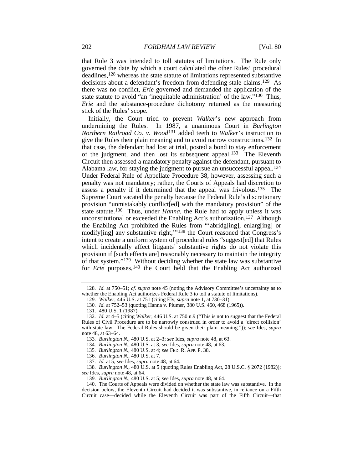<span id="page-14-13"></span>that Rule 3 was intended to toll statutes of limitations. The Rule only governed the date by which a court calculated the other Rules' procedural deadlines,[128](#page-14-0) whereas the state statute of limitations represented substantive decisions about a defendant's freedom from defending stale claims.[129](#page-14-1) As there was no conflict, *Erie* governed and demanded the application of the state statute to avoid "an 'inequitable administration' of the law."<sup>[130](#page-14-2)</sup> Thus, *Erie* and the substance-procedure dichotomy returned as the measuring stick of the Rules' scope.

<span id="page-14-14"></span>Initially, the Court tried to prevent *Walker*'s new approach from undermining the Rules. In 1987, a unanimous Court in *Burlington Northern Railroad Co. v. Wood* [131](#page-14-3) added teeth to *Walker*'s instruction to give the Rules their plain meaning and to avoid narrow constructions.[132](#page-14-4) In that case, the defendant had lost at trial, posted a bond to stay enforcement of the judgment, and then lost its subsequent appeal.<sup>[133](#page-14-5)</sup> The Eleventh Circuit then assessed a mandatory penalty against the defendant, pursuant to Alabama law, for staying the judgment to pursue an unsuccessful appeal.<sup>[134](#page-14-6)</sup> Under Federal Rule of Appellate Procedure 38, however, assessing such a penalty was not mandatory; rather, the Courts of Appeals had discretion to assess a penalty if it determined that the appeal was frivolous.[135](#page-14-7) The Supreme Court vacated the penalty because the Federal Rule's discretionary provision "unmistakably conflict[ed] with the mandatory provision" of the state statute[.136](#page-14-8) Thus, under *Hanna*, the Rule had to apply unless it was unconstitutional or exceeded the Enabling Act's authorization.[137](#page-14-9) Although the Enabling Act prohibited the Rules from "'abridg[ing], enlarg[ing] or modify[ing] any substantive right,'["138](#page-14-10) the Court reasoned that Congress's intent to create a uniform system of procedural rules "suggest[ed] that Rules which incidentally affect litigants' substantive rights do not violate this provision if [such effects are] reasonably necessary to maintain the integrity of that system."[139](#page-14-11) Without deciding whether the state law was substantive for *Erie* purposes,<sup>[140](#page-14-12)</sup> the Court held that the Enabling Act authorized

<span id="page-14-17"></span><span id="page-14-16"></span><span id="page-14-15"></span><span id="page-14-1"></span><span id="page-14-0"></span><sup>128</sup>*. Id.* at 750–51; *cf. supra* note [45](#page-6-11) (noting the Advisory Committee's uncertainty as to whether the Enabling Act authorizes Federal Rule 3 to toll a statute of limitations).

<sup>129</sup>*. Walker*, 446 U.S. at 751 (citing Ely, *supra* not[e 1,](#page-2-8) at 730–31).

<sup>130</sup>*. Id.* at 752–53 (quoting Hanna v. Plumer, 380 U.S. 460, 468 (1965)).

<sup>131.</sup> 480 U.S. 1 (1987).

<span id="page-14-5"></span><span id="page-14-4"></span><span id="page-14-3"></span><span id="page-14-2"></span><sup>132</sup>*. Id.* at 4–5 (citing *Walker*, 446 U.S. at 750 n.9 ("This is not to suggest that the Federal Rules of Civil Procedure are to be narrowly construed in order to avoid a 'direct collision' with state law. The Federal Rules should be given their plain meaning.")); *see* Ides, *supra* not[e 48,](#page-7-1) at 63–64.

<sup>133</sup>*. Burlington N.*, 480 U.S. at 2–3; *see* Ides, *supra* not[e 48,](#page-7-1) at 63.

<sup>134</sup>*. Burlington N.*, 480 U.S. at 3; *see* Ides, *supra* not[e 48,](#page-7-1) at 63.

<sup>135</sup>*. Burlington N.*, 480 U.S. at 4; *see* FED. R. APP. P. 38.

<sup>136</sup>*. Burlington N.*, 480 U.S. at 7.

<sup>137</sup>*. Id.* at 5; *see* Ides, *supra* not[e 48,](#page-7-1) at 64.

<span id="page-14-10"></span><span id="page-14-9"></span><span id="page-14-8"></span><span id="page-14-7"></span><span id="page-14-6"></span><sup>138</sup>*. Burlington N.*, 480 U.S. at 5 (quoting Rules Enabling Act, 28 U.S.C. § 2072 (1982)); *see* Ides, *supra* not[e 48,](#page-7-1) at 64.

<sup>139</sup>*. Burlington N.*, 480 U.S. at 5; *see* Ides, *supra* not[e 48,](#page-7-1) at 64.

<span id="page-14-12"></span><span id="page-14-11"></span><sup>140.</sup> The Courts of Appeals were divided on whether the state law was substantive. In the decision below, the Eleventh Circuit had decided it was substantive, in reliance on a Fifth Circuit case—decided while the Eleventh Circuit was part of the Fifth Circuit—that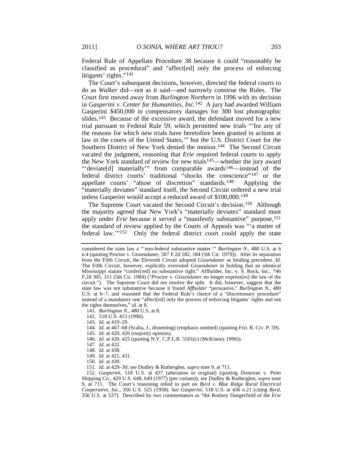Federal Rule of Appellate Procedure 38 because it could "reasonably be classified as procedural" and "affect[ed] only the process of enforcing litigants' rights."[141](#page-15-0)

The Court's subsequent decisions, however, directed the federal courts to do as *Walker* did—not as it said—and narrowly construe the Rules. The Court first moved away from *Burlington Northern* in 1996 with its decision in *Gasperini v. Center for Humanities, Inc.*[142](#page-15-1) A jury had awarded William Gasperini \$450,000 in compensatory damages for 300 lost photographic slides.<sup>143</sup> Because of the excessive award, the defendant moved for a new trial pursuant to Federal Rule 59, which permitted new trials "'for any of the reasons for which new trials have heretofore been granted in actions at law in the courts of the United States,'" but the U.S. District Court for the Southern District of New York denied the motion.[144](#page-15-3) The Second Circuit vacated the judgment, reasoning that *Erie* required federal courts to apply the New York standard of review for new trials<sup>145</sup>—whether the jury award "'deviate[d] materially'" from comparable awards<sup>[146](#page-15-5)</sup>—instead of the federal district courts' traditional "shocks the conscience"[147](#page-15-6) or the appellate courts' "abuse of discretion" standards.[148](#page-15-7) Applying the "materially deviates" standard itself, the Second Circuit ordered a new trial unless Gasperini would accept a reduced award of \$100,000.[149](#page-15-8)

<span id="page-15-12"></span>The Supreme Court vacated the Second Circuit's decision.<sup>150</sup> Although the majority agreed that New York's "materially deviates" standard must apply under *Erie* because it served a "manifestly substantive" purpose,<sup>[151](#page-15-10)</sup> the standard of review applied by the Courts of Appeals was "'a matter of federal law.'"[152](#page-15-11) Only the federal district court could apply the state

- <span id="page-15-1"></span>142. 518 U.S. 415 (1996).
- 143*. Id.* at 419–20.
- <span id="page-15-4"></span><span id="page-15-3"></span><span id="page-15-2"></span>144*. Id.* at 467–68 (Scalia, J., dissenting) (emphasis omitted) (quoting FED. R. CIV. P. 59).
- 145*. Id.* at 420, 426 (majority opinion).
- <span id="page-15-5"></span>146*. Id.* at 420, 425 (quoting N.Y. C.P.L.R. 5501(c) (McKinney 1996)).
- 147*. Id.* at 422.
- 148*. Id.* at 438.
- 149*. Id.* at 421, 431.
- 150*. Id.* at 439.
- 151*. Id.* at 429–30; *see* Dudley & Rutherglen, *supra* not[e 9,](#page-3-0) at 711.

<span id="page-15-11"></span><span id="page-15-10"></span><span id="page-15-9"></span><span id="page-15-8"></span><span id="page-15-7"></span><span id="page-15-6"></span>152*. Gasperini*, 518 U.S. at 437 (alteration in original) (quoting Donovan v. Penn Shipping Co., 429 U.S. 648, 649 (1977) (per curiam)); *see* Dudley & Rutherglen, *supra* note [9,](#page-3-0) at 711. The Court's reasoning relied in part on *Byrd v. Blue Ridge Rural Electrical Cooperative, Inc.*, 356 U.S. 525 (1958). *See Gasperini*, 518 U.S. at 436 n.21 (citing *Byrd*, 356 U.S. at 537). Described by two commentators as "the Rodney Dangerfield of the *Erie*

<span id="page-15-13"></span>considered the state law a "'non-federal substantive matter.'" *Burlington N.*, 480 U.S. at 6 n.4 (quoting Proctor v. Gissendaner, 587 F.2d 182, 184 (5th Cir. 1979)). After its separation from the Fifth Circuit, the Eleventh Circuit adopted *Gissendaner* as binding precedent. *Id.* The Fifth Circuit, however, explicitly overruled *Gissendaner* in holding that an identical Mississippi statute "confer[red] no substantive right." Affholder, Inc. v. S. Rock, Inc., 746 F.2d 305, 311 (5th Cir. 1984) ("*Proctor v. Gissendaner* no longer express[es] the law of the circuit."). The Supreme Court did not resolve the split. It did, however, suggest that the state law was not substantive because it found *Affholder* "persuasive," *Burlington N.*, 480 U.S. at 6–7, and reasoned that the Federal Rule's choice of a "discretionary procedure" instead of a mandatory one "affect[ed] only the process of enforcing litigants' rights and not the rights themselves," *id.* at 8.

<span id="page-15-0"></span><sup>141</sup>*. Burlington N.*, 480 U.S. at 8.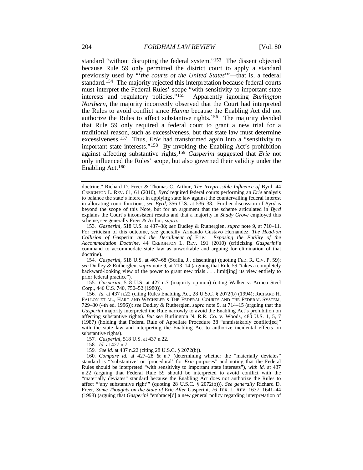<span id="page-16-10"></span><span id="page-16-1"></span><span id="page-16-0"></span>standard "without disrupting the federal system."[153](#page-16-2) The dissent objected because Rule 59 only permitted the district court to apply a standard previously used by "'*the courts of the United States*'"—that is, a federal standard.<sup>154</sup> The majority rejected this interpretation because federal courts must interpret the Federal Rules' scope "with sensitivity to important state interests and regulatory policies."<sup>155</sup> Apparently ignoring *Burlington* interests and regulatory policies."<sup>155</sup> *Northern*, the majority incorrectly observed that the Court had interpreted the Rules to avoid conflict since *Hanna* because the Enabling Act did not authorize the Rules to affect substantive rights.[156](#page-16-5) The majority decided that Rule 59 only required a federal court to grant a new trial for a traditional reason, such as excessiveness, but that state law must determine excessiveness.[157](#page-16-6) Thus, *Erie* had transformed again into a "sensitivity to important state interests."[158](#page-16-7) By invoking the Enabling Act's prohibition against affecting substantive rights,[159](#page-16-8) *Gasperini* suggested that *Erie* not only influenced the Rules' scope, but also governed their validity under the Enabling Act.[160](#page-16-9)

<span id="page-16-3"></span>154*. Gasperini*, 518 U.S. at 467–68 (Scalia, J., dissenting) (quoting FED. R. CIV. P. 59); *see* Dudley & Rutherglen, *supra* not[e 9,](#page-3-0) at 713–14 (arguing that Rule 59 "takes a completely backward-looking view of the power to grant new trials . . . limit[ing] its view entirely to prior federal practice").

<span id="page-16-4"></span>155*. Gasperini*, 518 U.S. at 427 n.7 (majority opinion) (citing Walker v. Armco Steel Corp., 446 U.S. 740, 750–52 (1980)).

<span id="page-16-5"></span>156*. Id.* at 437 n.22 (citing Rules Enabling Act, 28 U.S.C. § 2072(b) (1994); RICHARD H. FALLON ET AL., HART AND WECHSLER'S THE FEDERAL COURTS AND THE FEDERAL SYSTEM, 729–30 (4th ed. 1996)); *see* Dudley & Rutherglen, *supra* note [9,](#page-3-0) at 714–15 (arguing that the *Gasperini* majority interpreted the Rule narrowly to avoid the Enabling Act's prohibition on affecting substantive rights). *But see* Burlington N. R.R. Co. v. Woods, 480 U.S. 1, 5, 7 (1987) (holding that Federal Rule of Appellate Procedure 38 "unmistakably conflict[ed]" with the state law and interpreting the Enabling Act to authorize incidental effects on substantive rights).

157*. Gasperini*, 518 U.S. at 437 n.22.

158*. Id.* at 427 n.7.

159*. See id.* at 437 n.22 (citing 28 U.S.C. § 2072(b)).

<span id="page-16-9"></span><span id="page-16-8"></span><span id="page-16-7"></span><span id="page-16-6"></span>160*. Compare id.* at 427–28 & n.7 (determining whether the "materially deviates" standard is "'substantive' or 'procedural' for *Erie* purposes" and noting that the Federal Rules should be interpreted "with sensitivity to important state interests"), *with id.* at 437 n.22 (arguing that Federal Rule 59 should be interpreted to avoid conflict with the "materially deviates" standard because the Enabling Act does not authorize the Rules to affect "'any substantive right'" (quoting 28 U.S.C. § 2072(b))). *See generally* Richard D. Freer, *Some Thoughts on the State of* Erie *After* Gasperini, 76 TEX. L. REV. 1637, 1641–44 (1998) (arguing that *Gasperini* "embrace[d] a new general policy regarding interpretation of

<span id="page-16-11"></span>doctrine," Richard D. Freer & Thomas C. Arthur, *The Irrepressible Influence of* Byrd, 44 CREIGHTON L. REV. 61, 61 (2010), *Byrd* required federal courts performing an *Erie* analysis to balance the state's interest in applying state law against the countervailing federal interest in allocating court functions, *see Byrd*, 356 U.S. at 536–38. Further discussion of *Byrd* is beyond the scope of this Note, but for an argument that the scheme articulated in *Byrd* explains the Court's inconsistent results and that a majority in *Shady Grove* employed this scheme, see generally Freer & Arthur, *supra*.

<span id="page-16-2"></span><sup>153</sup>*. Gasperini*, 518 U.S. at 437–38; *see* Dudley & Rutherglen, *supra* not[e 9,](#page-3-0) at 710–11. For criticism of this outcome, see generally Armando Gustavo Hernandez, *The Head-on Collision of* Gasperini *and the Derailment of* Erie*: Exposing the Futility of the Accommodation Doctrine*, 44 CREIGHTON L. REV. 191 (2010) (criticizing *Gasperini*'s command to accommodate state law as unworkable and arguing for elimination of that doctrine).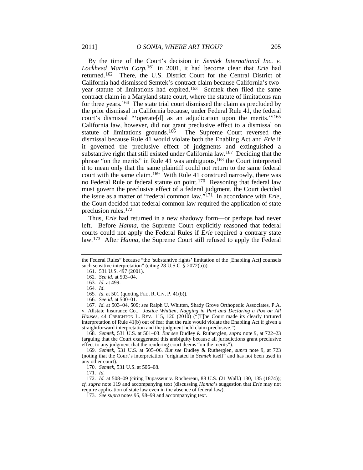By the time of the Court's decision in *Semtek International Inc. v. Lockheed Martin Corp.*[161](#page-17-2) in 2001, it had become clear that *Erie* had returned.[162](#page-17-3) There, the U.S. District Court for the Central District of California had dismissed Semtek's contract claim because California's twoyear statute of limitations had expired.[163](#page-17-4) Semtek then filed the same contract claim in a Maryland state court, where the statute of limitations ran for three years[.164](#page-17-5) The state trial court dismissed the claim as precluded by the prior dismissal in California because, under Federal Rule 41, the federal court's dismissal "'operate[d] as an adjudication upon the merits.'"[165](#page-17-6) California law, however, did not grant preclusive effect to a dismissal on statute of limitations grounds[.166](#page-17-7) The Supreme Court reversed the dismissal because Rule 41 would violate both the Enabling Act and *Erie* if it governed the preclusive effect of judgments and extinguished a substantive right that still existed under California law.[167](#page-17-8) Deciding that the phrase "on the merits" in Rule 41 was ambiguous,<sup>168</sup> the Court interpreted it to mean only that the same plaintiff could not return to the same federal court with the same claim.<sup>169</sup> With Rule 41 construed narrowly, there was no Federal Rule or federal statute on point.<sup>[170](#page-17-11)</sup> Reasoning that federal law must govern the preclusive effect of a federal judgment, the Court decided the issue as a matter of "federal common law."[171](#page-17-12) In accordance with *Erie*, the Court decided that federal common law required the application of state preclusion rules.[172](#page-17-13)

<span id="page-17-18"></span><span id="page-17-17"></span><span id="page-17-16"></span><span id="page-17-15"></span><span id="page-17-1"></span><span id="page-17-0"></span>Thus, *Erie* had returned in a new shadowy form—or perhaps had never left. Before *Hanna*, the Supreme Court explicitly reasoned that federal courts could not apply the Federal Rules if *Erie* required a contrary state law.<sup>[173](#page-17-14)</sup> After *Hanna*, the Supreme Court still refused to apply the Federal

166*. See id.* at 500–01.

<span id="page-17-8"></span><span id="page-17-7"></span><span id="page-17-6"></span><span id="page-17-5"></span>167*. Id.* at 503–04, 509; *see* Ralph U. Whitten, Shady Grove Orthopedic Associates, P.A. v. Allstate Insurance Co.*: Justice Whitten, Nagging in Part and Declaring a Pox on All Houses*, 44 CREIGHTON L. REV. 115, 120 (2010) ("[T]he Court made its clearly tortured interpretation of Rule 41(b) out of fear that the rule would violate the Enabling Act if given a straightforward interpretation and the judgment held claim preclusive.").

<span id="page-17-9"></span>168*. Semtek*, 531 U.S. at 501–03. *But see* Dudley & Rutherglen, *supra* note [9,](#page-3-0) at 722–23 (arguing that the Court exaggerated this ambiguity because all jurisdictions grant preclusive effect to any judgment that the rendering court deems "on the merits").

<span id="page-17-10"></span>169*. Semtek*, 531 U.S. at 505–06. *But see* Dudley & Rutherglen, *supra* note [9,](#page-3-0) at 723 (noting that the Court's interpretation "originated in *Semtek* itself" and has not been used in any other court).

170*. Semtek*, 531 U.S. at 506–08.

171*. Id.*

<span id="page-17-14"></span><span id="page-17-13"></span><span id="page-17-12"></span><span id="page-17-11"></span>172*. Id.* at 508–09 (citing Dupasseur v. Rochereau, 88 U.S. (21 Wall.) 130, 135 (1874)); *cf. supra* note [119](#page-13-12) and accompanying text (discussing *Hanna*'s suggestion that *Erie* may not require application of state law even in the absence of federal law).

173*. See supra* note[s 95,](#page-11-1) [98](#page-11-2)[–99](#page-11-3) and accompanying text.

<span id="page-17-4"></span><span id="page-17-3"></span><span id="page-17-2"></span>the Federal Rules" because "the 'substantive rights' limitation of the [Enabling Act] counsels such sensitive interpretation" (citing 28 U.S.C. § 2072(b))).

<sup>161.</sup> 531 U.S. 497 (2001).

<sup>162</sup>*. See id.* at 503–04.

<sup>163</sup>*. Id.* at 499.

<sup>164</sup>*. Id.*

<sup>165</sup>*. Id.* at 501 (quoting FED. R. CIV. P. 41(b)).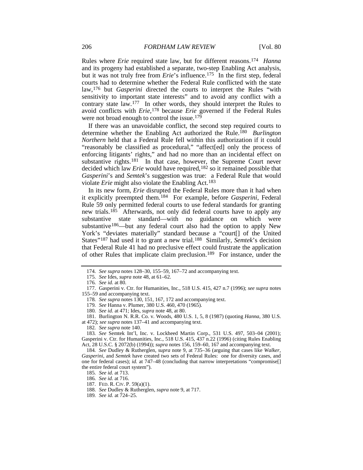<span id="page-18-19"></span>Rules where *Erie* required state law, but for different reasons.[174](#page-18-0) *Hanna* and its progeny had established a separate, two-step Enabling Act analysis, but it was not truly free from *Erie*'s influence.<sup>[175](#page-18-1)</sup> In the first step, federal courts had to determine whether the Federal Rule conflicted with the state law,[176](#page-18-2) but *Gasperini* directed the courts to interpret the Rules "with sensitivity to important state interests" and to avoid any conflict with a contrary state law.[177](#page-18-3) In other words, they should interpret the Rules to avoid conflicts with *Erie*,[178](#page-18-4) because *Erie* governed if the Federal Rules were not broad enough to control the issue.<sup>179</sup>

<span id="page-18-18"></span><span id="page-18-17"></span><span id="page-18-16"></span>If there was an unavoidable conflict, the second step required courts to determine whether the Enabling Act authorized the Rule.[180](#page-18-6) *Burlington Northern* held that a Federal Rule fell within this authorization if it could "reasonably be classified as procedural," "affect[ed] only the process of enforcing litigants' rights," and had no more than an incidental effect on substantive rights.<sup>181</sup> In that case, however, the Supreme Court never decided which law *Erie* would have required,[182](#page-18-8) so it remained possible that *Gasperini*'s and *Semtek*'s suggestion was true: a Federal Rule that would violate *Erie* might also violate the Enabling Act.<sup>[183](#page-18-9)</sup>

In its new form, *Erie* disrupted the Federal Rules more than it had when it explicitly preempted them.[184](#page-18-10) For example, before *Gasperini*, Federal Rule 59 only permitted federal courts to use federal standards for granting new trials.<sup>[185](#page-18-11)</sup> Afterwards, not only did federal courts have to apply any substantive state standard—with no guidance on which were substantive<sup>[186](#page-18-12)</sup>—but any federal court also had the option to apply New York's "deviates materially" standard because a "court[] of the United States"[187](#page-18-13) had used it to grant a new trial.[188](#page-18-14) Similarly, *Semtek*'s decision that Federal Rule 41 had no preclusive effect could frustrate the application of other Rules that implicate claim preclusion.[189](#page-18-15) For instance, under the

<sup>174</sup>*. See supra* notes [128–](#page-14-13)30[, 155–](#page-16-0)59[, 167–](#page-17-1)72 and accompanying text.

<sup>175</sup>*. See* Ides, *supra* not[e 48,](#page-7-1) at 61–62.

<sup>176</sup>*. See id.* at 80.

<span id="page-18-4"></span><span id="page-18-3"></span><span id="page-18-2"></span><span id="page-18-1"></span><span id="page-18-0"></span><sup>177.</sup> Gasperini v. Ctr. for Humanities, Inc., 518 U.S. 415, 427 n.7 (1996); *see supra* notes [155–](#page-16-0)59 and accompanying text.

<sup>178</sup>*. See supra* note[s 130,](#page-14-14) [151,](#page-15-12) [167,](#page-17-1) [172](#page-17-15) and accompanying text.

<sup>179</sup>*. See* Hanna v. Plumer, 380 U.S. 460, 470 (1965).

<sup>180</sup>*. See id.* at 471; Ides, *supra* not[e 48,](#page-7-1) at 80.

<span id="page-18-7"></span><span id="page-18-6"></span><span id="page-18-5"></span><sup>181.</sup> Burlington N. R.R. Co. v. Woods, 480 U.S. 1, 5, 8 (1987) (quoting *Hanna*, 380 U.S. at 472); *see supra* note[s 137–](#page-14-15)41 and accompanying text.

<sup>182</sup>*. See supra* not[e 140.](#page-14-16)

<span id="page-18-9"></span><span id="page-18-8"></span><sup>183</sup>*. See* Semtek Int'l, Inc. v. Lockheed Martin Corp., 531 U.S. 497, 503–04 (2001); Gasperini v. Ctr. for Humanities, Inc., 518 U.S. 415, 437 n.22 (1996) (citing Rules Enabling Act, 28 U.S.C. § 2072(b) (1994)); *supra* note[s 156,](#page-16-10) [159–](#page-16-11)60, [167](#page-17-1) and accompanying text.

<span id="page-18-12"></span><span id="page-18-11"></span><span id="page-18-10"></span><sup>184</sup>*. See* Dudley & Rutherglen, *supra* note [9,](#page-3-0) at 735–36 (arguing that cases like *Walker*, *Gasperini*, and *Semtek* have created two sets of Federal Rules: one for diversity cases, and one for federal cases); *id.* at 747–48 (concluding that narrow interpretations "compromise[] the entire federal court system").

<sup>185</sup>*. See id.* at 713.

<sup>186</sup>*. See id.* at 716.

<span id="page-18-14"></span><span id="page-18-13"></span><sup>187.</sup> FED. R. CIV. P. 59(a)(1).

<sup>188</sup>*. See* Dudley & Rutherglen, *supra* not[e 9,](#page-3-0) at 717.

<span id="page-18-15"></span><sup>189</sup>*. See id.* at 724–25.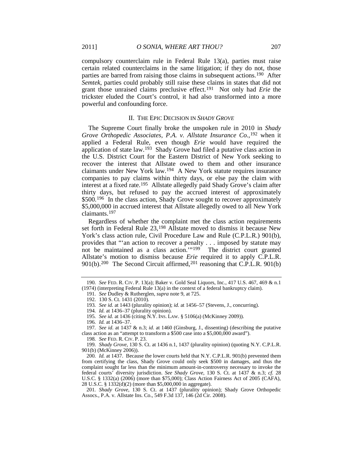compulsory counterclaim rule in Federal Rule 13(a), parties must raise certain related counterclaims in the same litigation; if they do not, those parties are barred from raising those claims in subsequent actions[.190](#page-19-1) After *Semtek*, parties could probably still raise these claims in states that did not grant those unraised claims preclusive effect.[191](#page-19-2) Not only had *Erie* the trickster eluded the Court's control, it had also transformed into a more powerful and confounding force.

#### <span id="page-19-0"></span>II. THE EPIC DECISION IN *SHADY GROVE*

The Supreme Court finally broke the unspoken rule in 2010 in *Shady Grove Orthopedic Associates, P.A. v. Allstate Insurance Co.*,[192](#page-19-3) when it applied a Federal Rule, even though *Erie* would have required the application of state law.[193](#page-19-4) Shady Grove had filed a putative class action in the U.S. District Court for the Eastern District of New York seeking to recover the interest that Allstate owed to them and other insurance claimants under New York law.[194](#page-19-5) A New York statute requires insurance companies to pay claims within thirty days, or else pay the claim with interest at a fixed rate[.195](#page-19-6) Allstate allegedly paid Shady Grove's claim after thirty days, but refused to pay the accrued interest of approximately \$500.<sup>196</sup> In the class action, Shady Grove sought to recover approximately \$5,000,000 in accrued interest that Allstate allegedly owed to all New York claimants[.197](#page-19-8)

Regardless of whether the complaint met the class action requirements set forth in Federal Rule 23[,198](#page-19-9) Allstate moved to dismiss it because New York's class action rule, Civil Procedure Law and Rule (C.P.L.R.) 901(b), provides that "'an action to recover a penalty . . . imposed by statute may not be maintained as a class action.'["199](#page-19-10) The district court granted Allstate's motion to dismiss because *Erie* required it to apply C.P.L.R.  $901(b)$ .<sup>200</sup> The Second Circuit affirmed,<sup>[201](#page-19-12)</sup> reasoning that C.P.L.R.  $901(b)$ 

<span id="page-19-3"></span><span id="page-19-2"></span><span id="page-19-1"></span><sup>190</sup>*. See* FED. R. CIV. P. 13(a); Baker v. Gold Seal Liquors, Inc., 417 U.S. 467, 469 & n.1 (1974) (interpreting Federal Rule 13(a) in the context of a federal bankruptcy claim).

<sup>191</sup>*. See* Dudley & Rutherglen, *supra* not[e 9,](#page-3-0) at 725.

<sup>192.</sup> 130 S. Ct. 1431 (2010).

<sup>193</sup>*. See id.* at 1443 (plurality opinion); *id.* at 1456–57 (Stevens, J., concurring).

<sup>194</sup>*. Id.* at 1436–37 (plurality opinion).

<sup>195</sup>*. See id.* at 1436 (citing N.Y. INS. LAW. § 5106(a) (McKinney 2009)).

<sup>196</sup>*. Id.* at 1436–37.

<span id="page-19-8"></span><span id="page-19-7"></span><span id="page-19-6"></span><span id="page-19-5"></span><span id="page-19-4"></span><sup>197</sup>*. See id.* at 1437 & n.3; *id.* at 1460 (Ginsburg, J., dissenting) (describing the putative class action as an "attempt to transform a \$500 case into a \$5,000,000 award").

<sup>198</sup>*. See* FED. R. CIV. P. 23.

<span id="page-19-10"></span><span id="page-19-9"></span><sup>199</sup>*. Shady Grove*, 130 S. Ct. at 1436 n.1, 1437 (plurality opinion) (quoting N.Y. C.P.L.R. 901(b) (McKinney 2006)).

<span id="page-19-11"></span><sup>200</sup>*. Id.* at 1437. Because the lower courts held that N.Y. C.P.L.R. 901(b) prevented them from certifying the class, Shady Grove could only seek \$500 in damages, and thus the complaint sought far less than the minimum amount-in-controversy necessary to invoke the federal courts' diversity jurisdiction. *See Shady Grove*, 130 S. Ct. at 1437 & n.3; *cf.* 28 U.S.C. § 1332(a) (2006) (more than \$75,000); Class Action Fairness Act of 2005 (CAFA), 28 U.S.C. § 1332(d)(2) (more than \$5,000,000 in aggregate).

<span id="page-19-12"></span><sup>201</sup>*. Shady Grove*, 130 S. Ct. at 1437 (plurality opinion); Shady Grove Orthopedic Assocs., P.A. v. Allstate Ins. Co., 549 F.3d 137, 146 (2d Cir. 2008).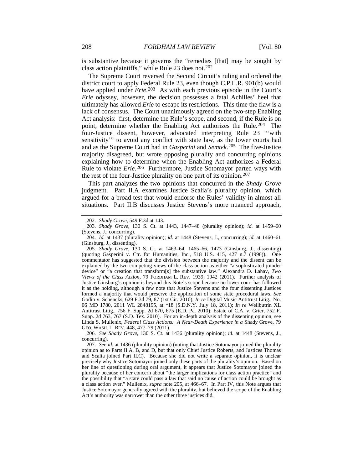is substantive because it governs the "remedies [that] may be sought by class action plaintiffs," while Rule 23 does not.[202](#page-20-2)

<span id="page-20-0"></span>The Supreme Court reversed the Second Circuit's ruling and ordered the district court to apply Federal Rule 23, even though C.P.L.R. 901(b) would have applied under *Erie*.<sup>203</sup> As with each previous episode in the Court's *Erie* odyssey, however, the decision possesses a fatal Achilles' heel that ultimately has allowed *Erie* to escape its restrictions. This time the flaw is a lack of consensus. The Court unanimously agreed on the two-step Enabling Act analysis: first, determine the Rule's scope, and second, if the Rule is on point, determine whether the Enabling Act authorizes the Rule.[204](#page-20-4) The four-Justice dissent, however, advocated interpreting Rule 23 "'with sensitivity'" to avoid any conflict with state law, as the lower courts had and as the Supreme Court had in *Gasperini* and *Semtek*.[205](#page-20-5) The five-Justice majority disagreed, but wrote opposing plurality and concurring opinions explaining how to determine when the Enabling Act authorizes a Federal Rule to violate *Erie*.[206](#page-20-6) Furthermore, Justice Sotomayor parted ways with the rest of the four-Justice plurality on one part of its opinion.<sup>[207](#page-20-7)</sup>

<span id="page-20-1"></span>This part analyzes the two opinions that concurred in the *Shady Grove* judgment. Part II.A examines Justice Scalia's plurality opinion, which argued for a broad test that would endorse the Rules' validity in almost all situations. Part II.B discusses Justice Stevens's more nuanced approach,

<span id="page-20-6"></span>206*. See Shady Grove*, 130 S. Ct. at 1436 (plurality opinion); *id.* at 1448 (Stevens, J., concurring).

<sup>202</sup>*. Shady Grove*, 549 F.3d at 143.

<span id="page-20-3"></span><span id="page-20-2"></span><sup>203</sup>*. Shady Grove*, 130 S. Ct. at 1443, 1447–48 (plurality opinion); *id.* at 1459–60 (Stevens, J., concurring).

<span id="page-20-4"></span><sup>204</sup>*. Id.* at 1437 (plurality opinion); *id.* at 1448 (Stevens, J., concurring); *id.* at 1460–61 (Ginsburg, J., dissenting).

<span id="page-20-5"></span><sup>205</sup>*. Shady Grove*, 130 S. Ct. at 1463–64, 1465–66, 1473 (Ginsburg, J., dissenting) (quoting Gasperini v. Ctr. for Humanities, Inc., 518 U.S. 415, 427 n.7 (1996)). One commentator has suggested that the division between the majority and the dissent can be explained by the two competing views of the class action as either "a sophisticated joinder device" or "a creation that transform[s] the substantive law." Alexandra D. Lahav, *Two Views of the Class Action*, 79 FORDHAM L. REV. 1939, 1942 (2011). Further analysis of Justice Ginsburg's opinion is beyond this Note's scope because no lower court has followed it as the holding, although a few note that Justice Stevens and the four dissenting Justices formed a majority that would preserve the application of some state procedural laws. *See* Godin v. Schencks, 629 F.3d 79, 87 (1st Cir. 2010); *In re* Digital Music Antitrust Litig., No. 06 MD 1780, 2011 WL 2848195, at \*18 (S.D.N.Y. July 18, 2011); *In re* Wellbutrin XL Antitrust Litig., 756 F. Supp. 2d 670, 675 (E.D. Pa. 2010); Estate of C.A. v. Grier, 752 F. Supp. 2d 763, 767 (S.D. Tex. 2010). For an in-depth analysis of the dissenting opinion, see Linda S. Mullenix, *Federal Class Actions: A Near-Death Experience in a* Shady Grove, 79 GEO. WASH. L. REV. 448, 477–79 (2011).

<span id="page-20-7"></span><sup>207</sup>*. See id.* at 1436 (plurality opinion) (noting that Justice Sotomayor joined the plurality opinion as to Parts II.A, B, and D, but that only Chief Justice Roberts, and Justices Thomas and Scalia joined Part II.C). Because she did not write a separate opinion, it is unclear precisely why Justice Sotomayor joined only these parts of the plurality's opinion. Based on her line of questioning during oral argument, it appears that Justice Sotomayor joined the plurality because of her concern about "the larger implications for class action practice" and the possibility that "a state could pass a law that said no cause of action could be brought as a class action ever." Mullenix, *supra* not[e 205,](#page-20-1) at 466–67. In Part IV, this Note argues that Justice Sotomayor generally agreed with the plurality, but believed the scope of the Enabling Act's authority was narrower than the other three justices did.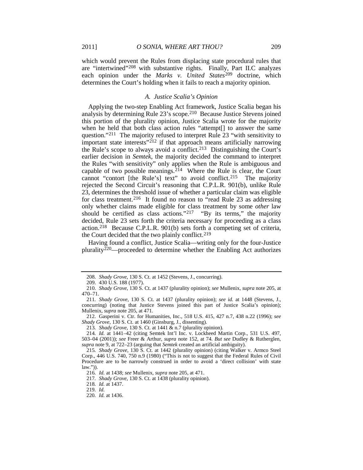which would prevent the Rules from displacing state procedural rules that are "intertwined"[208](#page-21-0) with substantive rights. Finally, Part II.C analyzes each opinion under the *Marks v. United States*[209](#page-21-1) doctrine, which determines the Court's holding when it fails to reach a majority opinion.

#### *A. Justice Scalia's Opinion*

<span id="page-21-13"></span>Applying the two-step Enabling Act framework, Justice Scalia began his analysis by determining Rule 23's scope.[210](#page-21-2) Because Justice Stevens joined this portion of the plurality opinion, Justice Scalia wrote for the majority when he held that both class action rules "attempt[] to answer the same question."[211](#page-21-3) The majority refused to interpret Rule 23 "with sensitivity to important state interests"<sup>[212](#page-21-4)</sup> if that approach means artificially narrowing the Rule's scope to always avoid a conflict.[213](#page-21-5) Distinguishing the Court's earlier decision in *Semtek*, the majority decided the command to interpret the Rules "with sensitivity" only applies when the Rule is ambiguous and capable of two possible meanings.<sup>214</sup> Where the Rule is clear, the Court cannot "contort [the Rule's] text" to avoid conflict.[215](#page-21-7) The majority rejected the Second Circuit's reasoning that C.P.L.R. 901(b), unlike Rule 23, determines the threshold issue of whether a particular claim was eligible for class treatment.[216](#page-21-8) It found no reason to "read Rule 23 as addressing only whether claims made eligible for class treatment by some *other* law should be certified as class actions."<sup>217</sup> "By its terms," the majority decided, Rule 23 sets forth the criteria necessary for proceeding as a class action.[218](#page-21-10) Because C.P.L.R. 901(b) sets forth a competing set of criteria, the Court decided that the two plainly conflict.<sup>[219](#page-21-11)</sup>

<span id="page-21-14"></span>Having found a conflict, Justice Scalia—writing only for the four-Justice plurality<sup>[220](#page-21-12)</sup>—proceeded to determine whether the Enabling Act authorizes

<sup>208</sup>*. Shady Grove*, 130 S. Ct. at 1452 (Stevens, J., concurring).

<sup>209.</sup> 430 U.S. 188 (1977).

<span id="page-21-2"></span><span id="page-21-1"></span><span id="page-21-0"></span><sup>210.</sup> *Shady Grove*, 130 S. Ct. at 1437 (plurality opinion); *see* Mullenix, *supra* not[e 205,](#page-20-1) at 470–71.

<span id="page-21-3"></span><sup>211</sup>*. Shady Grove*, 130 S. Ct. at 1437 (plurality opinion); *see id.* at 1448 (Stevens, J., concurring) (noting that Justice Stevens joined this part of Justice Scalia's opinion); Mullenix, *supra* note [205,](#page-20-1) at 471.

<span id="page-21-4"></span><sup>212.</sup> Gasperini v. Ctr. for Humanities, Inc., 518 U.S. 415, 427 n.7, 438 n.22 (1996); *see Shady Grove*, 130 S. Ct. at 1460 (Ginsburg, J., dissenting).

<sup>213</sup>*. Shady Grove*, 130 S. Ct. at 1441 & n.7 (plurality opinion).

<span id="page-21-6"></span><span id="page-21-5"></span><sup>214</sup>*. Id.* at 1441–42 (citing Semtek Int'l Inc. v. Lockheed Martin Corp., 531 U.S. 497, 503–04 (2001)); *see* Freer & Arthur, *supra* note [152,](#page-15-13) at 74. *But see* Dudley & Rutherglen, *supra* not[e 9,](#page-3-0) at 722–23 (arguing that *Semtek* created an artificial ambiguity).

<span id="page-21-8"></span><span id="page-21-7"></span><sup>215</sup>*. Shady Grove*, 130 S. Ct. at 1442 (plurality opinion) (citing Walker v. Armco Steel Corp., 446 U.S. 740, 750 n.9 (1980) ("This is not to suggest that the Federal Rules of Civil Procedure are to be narrowly construed in order to avoid a 'direct collision' with state law.")).

<sup>216</sup>*. Id.* at 1438; *see* Mullenix, *supra* not[e 205,](#page-20-1) at 471.

<span id="page-21-9"></span><sup>217</sup>*. Shady Grove*, 130 S. Ct. at 1438 (plurality opinion).

<span id="page-21-10"></span><sup>218</sup>*. Id.* at 1437.

<sup>219</sup>*. Id.*

<span id="page-21-12"></span><span id="page-21-11"></span><sup>220</sup>*. Id.* at 1436.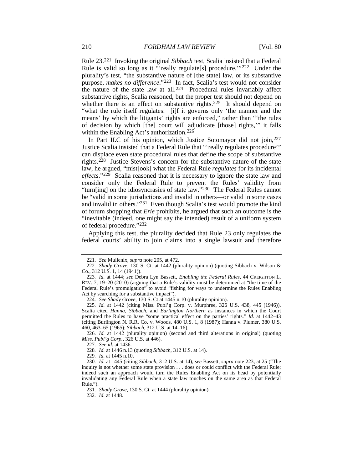<span id="page-22-1"></span>Rule 23.[221](#page-22-2) Invoking the original *Sibbach* test, Scalia insisted that a Federal Rule is valid so long as it "'really regulate[s] procedure.'"<sup>[222](#page-22-3)</sup> Under the plurality's test, "the substantive nature of [the state] law, or its substantive purpose, *makes no difference*."[223](#page-22-4) In fact, Scalia's test would not consider the nature of the state law at all.[224](#page-22-5) Procedural rules invariably affect substantive rights, Scalia reasoned, but the proper test should not depend on whether there is an effect on substantive rights.<sup>[225](#page-22-6)</sup> It should depend on "what the rule itself regulates: [i]f it governs only 'the manner and the means' by which the litigants' rights are enforced," rather than "'the rules of decision by which [the] court will adjudicate [those] rights,'" it falls within the Enabling Act's authorization.<sup>226</sup>

<span id="page-22-0"></span>In Part II.C of his opinion, which Justice Sotomayor did not join, [227](#page-22-8) Justice Scalia insisted that a Federal Rule that "'really regulates procedure'" can displace even state procedural rules that define the scope of substantive rights.[228](#page-22-9) Justice Stevens's concern for the substantive nature of the state law, he argued, "mist[ook] what the Federal Rule *regulates* for its incidental *effects*."[229](#page-22-10) Scalia reasoned that it is necessary to ignore the state law and consider only the Federal Rule to prevent the Rules' validity from "turn[ing] on the idiosyncrasies of state law.["230](#page-22-11) The Federal Rules cannot be "valid in some jurisdictions and invalid in others—or valid in some cases and invalid in others.["231](#page-22-12) Even though Scalia's test would promote the kind of forum shopping that *Erie* prohibits, he argued that such an outcome is the "inevitable (indeed, one might say the intended) result of a uniform system of federal procedure."[232](#page-22-13)

Applying this test, the plurality decided that Rule 23 only regulates the federal courts' ability to join claims into a single lawsuit and therefore

227*. See id.* at 1436.

228*. Id.* at 1446 n.13 (quoting *Sibbach*, 312 U.S. at 14).

229*. Id.* at 1445 n.10.

<span id="page-22-12"></span><span id="page-22-11"></span><span id="page-22-10"></span><span id="page-22-9"></span>230*. Id.* at 1445 (citing *Sibbach*, 312 U.S. at 14); *see* Bassett, *supra* note [223,](#page-22-1) at 25 ("The inquiry is not whether some state provision . . . does or could conflict with the Federal Rule; indeed such an approach would turn the Rules Enabling Act on its head by potentially invalidating any Federal Rule when a state law touches on the same area as that Federal Rule.").

231*. Shady Grove*, 130 S. Ct. at 1444 (plurality opinion).

<span id="page-22-13"></span>232*. Id.* at 1448.

<sup>221</sup>*. See* Mullenix, *supra* not[e 205,](#page-20-1) at 472.

<span id="page-22-3"></span><span id="page-22-2"></span><sup>222</sup>*. Shady Grove*, 130 S. Ct. at 1442 (plurality opinion) (quoting Sibbach v. Wilson & Co., 312 U.S. 1, 14 (1941)).

<span id="page-22-4"></span><sup>223</sup>*. Id.* at 1444; *see* Debra Lyn Bassett, *Enabling the Federal Rules*, 44 CREIGHTON L. REV. 7, 19–20 (2010) (arguing that a Rule's validity must be determined at "the time of the Federal Rule's promulgation" to avoid "fishing for ways to undermine the Rules Enabling Act by searching for a substantive impact").

<sup>224</sup>*. See Shady Grove*, 130 S. Ct at 1445 n.10 (plurality opinion).

<span id="page-22-6"></span><span id="page-22-5"></span><sup>225</sup>*. Id.* at 1442 (citing Miss. Publ'g Corp. v. Murphree, 326 U.S. 438, 445 (1946)). Scalia cited *Hanna*, *Sibbach*, and *Burlington Northern* as instances in which the Court permitted the Rules to have "some practical effect on the parties' rights." *Id.* at 1442–43 (citing Burlington N. R.R. Co. v. Woods, 480 U.S. 1, 8 (1987); Hanna v. Plumer, 380 U.S. 460, 463–65 (1965); *Sibbach*, 312 U.S. at 14–16).

<span id="page-22-8"></span><span id="page-22-7"></span><sup>226</sup>*. Id.* at 1442 (plurality opinion) (second and third alterations in original) (quoting *Miss. Publ'g Corp.*, 326 U.S. at 446).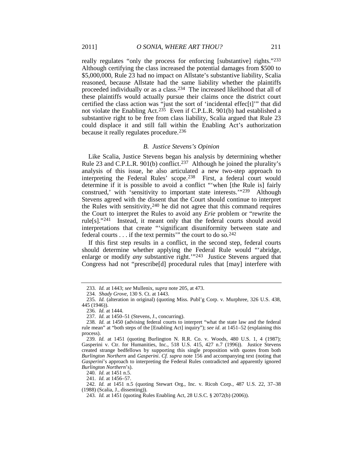really regulates "only the process for enforcing [substantive] rights."[233](#page-23-0) Although certifying the class increased the potential damages from \$500 to \$5,000,000, Rule 23 had no impact on Allstate's substantive liability, Scalia reasoned, because Allstate had the same liability whether the plaintiffs proceeded individually or as a class.[234](#page-23-1) The increased likelihood that all of these plaintiffs would actually pursue their claims once the district court certified the class action was "just the sort of 'incidental effec[t]'" that did not violate the Enabling Act.<sup>[235](#page-23-2)</sup> Even if C.P.L.R. 901(b) had established a substantive right to be free from class liability, Scalia argued that Rule 23 could displace it and still fall within the Enabling Act's authorization because it really regulates procedure.[236](#page-23-3)

#### <span id="page-23-13"></span><span id="page-23-11"></span>*B. Justice Stevens's Opinion*

Like Scalia, Justice Stevens began his analysis by determining whether Rule 23 and C.P.L.R. 901(b) conflict.<sup>237</sup> Although he joined the plurality's analysis of this issue, he also articulated a new two-step approach to interpreting the Federal Rules' scope.[238](#page-23-5) First, a federal court would determine if it is possible to avoid a conflict "'when [the Rule is] fairly construed,' with 'sensitivity to important state interests.'"[239](#page-23-6) Although Stevens agreed with the dissent that the Court should continue to interpret the Rules with sensitivity,  $240$  he did not agree that this command requires the Court to interpret the Rules to avoid any *Erie* problem or "rewrite the rule[s]."[241](#page-23-8) Instead, it meant only that the federal courts should avoid interpretations that create "'significant disuniformity between state and federal courts . . . if the text permits'" the court to do so.[242](#page-23-9)

If this first step results in a conflict, in the second step, federal courts should determine whether applying the Federal Rule would "'abridge, enlarge or modify *any* substantive right."<sup>[243](#page-23-10)</sup> Justice Stevens argued that Congress had not "prescribe[d] procedural rules that [may] interfere with

241*. Id.* at 1456–57.

<span id="page-23-10"></span><span id="page-23-9"></span><span id="page-23-8"></span><span id="page-23-7"></span>242*. Id.* at 1451 n.5 (quoting Stewart Org., Inc. v. Ricoh Corp., 487 U.S. 22, 37–38 (1988) (Scalia, J., dissenting)).

<span id="page-23-12"></span><sup>233</sup>*. Id.* at 1443; *see* Mullenix, *supra* note [205,](#page-20-1) at 473.

<sup>234</sup>*. Shady Grove*, 130 S. Ct. at 1443.

<span id="page-23-3"></span><span id="page-23-2"></span><span id="page-23-1"></span><span id="page-23-0"></span><sup>235</sup>*. Id.* (alteration in original) (quoting Miss. Publ'g Corp. v. Murphree, 326 U.S. 438, 445 (1946)).

<sup>236</sup>*. Id.* at 1444.

<sup>237</sup>*. Id.* at 1450–51 (Stevens, J., concurring).

<span id="page-23-5"></span><span id="page-23-4"></span><sup>238</sup>*. Id.* at 1450 (advising federal courts to interpret "what the state law and the federal rule mean" at "both steps of the [Enabling Act] inquiry"); *see id.* at 1451–52 (explaining this process).

<span id="page-23-6"></span><sup>239</sup>*. Id.* at 1451 (quoting Burlington N. R.R. Co. v. Woods, 480 U.S. 1, 4 (1987); Gasperini v. Ctr. for Humanities, Inc., 518 U.S. 415, 427 n.7 (1996)). Justice Stevens created strange bedfellows by supporting this single proposition with quotes from both *Burlington Northern* and *Gasperini*. *Cf. supra* note 156 and accompanying text (noting that *Gasperini*'s approach to interpreting the Federal Rules contradicted and apparently ignored *Burlington Northern*'s).

<sup>240</sup>*. Id.* at 1451 n.5.

<sup>243</sup>*. Id.* at 1451 (quoting Rules Enabling Act, 28 U.S.C. § 2072(b) (2006)).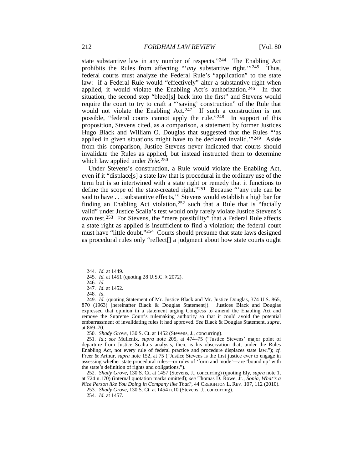<span id="page-24-13"></span><span id="page-24-11"></span>state substantive law in any number of respects.["244](#page-24-0) The Enabling Act prohibits the Rules from affecting "'*any* substantive right.'"[245](#page-24-1) Thus, federal courts must analyze the Federal Rule's "application" to the state law: if a Federal Rule would "effectively" alter a substantive right when applied, it would violate the Enabling Act's authorization.<sup>[246](#page-24-2)</sup> In that situation, the second step "bleed[s] back into the first" and Stevens would require the court to try to craft a "'saving' construction" of the Rule that would not violate the Enabling Act. $247$  If such a construction is not possible, "federal courts cannot apply the rule."[248](#page-24-4) In support of this proposition, Stevens cited, as a comparison, a statement by former Justices Hugo Black and William O. Douglas that suggested that the Rules "'as applied in given situations might have to be declared invalid.'"[249](#page-24-5) Aside from this comparison, Justice Stevens never indicated that courts should invalidate the Rules as applied, but instead instructed them to determine which law applied under *Erie*.[250](#page-24-6)

<span id="page-24-15"></span><span id="page-24-14"></span><span id="page-24-12"></span>Under Stevens's construction, a Rule would violate the Enabling Act, even if it "displace[s] a state law that is procedural in the ordinary use of the term but is so intertwined with a state right or remedy that it functions to define the scope of the state-created right."[251](#page-24-7) Because "'any rule can be said to have . . . substantive effects,'" Stevens would establish a high bar for finding an Enabling Act violation,  $252$  such that a Rule that is "facially valid" under Justice Scalia's test would only rarely violate Justice Stevens's own test.[253](#page-24-9) For Stevens, the "mere possibility" that a Federal Rule affects a state right as applied is insufficient to find a violation; the federal court must have "little doubt."<sup>[254](#page-24-10)</sup> Courts should presume that state laws designed as procedural rules only "reflect[] a judgment about how state courts ought

250*. Shady Grove*, 130 S. Ct. at 1452 (Stevens, J., concurring).

<span id="page-24-10"></span><span id="page-24-9"></span><span id="page-24-8"></span>252*. Shady Grove*, 130 S. Ct. at 1457 (Stevens, J., concurring) (quoting Ely, *supra* note [1,](#page-2-8)  at 724 n.170) (internal quotation marks omitted); *see* Thomas D. Rowe, Jr., *Sonia, What's a Nice Person like You Doing in Company like That?*, 44 CREIGHTON L. REV. 107, 112 (2010).

<sup>244</sup>*. Id.* at 1449.

<span id="page-24-0"></span><sup>245</sup>*. Id.* at 1451 (quoting 28 U.S.C. § 2072).

<sup>246</sup>*. Id.*

<sup>247</sup>*. Id.* at 1452.

<sup>248</sup>*. Id.*

<span id="page-24-5"></span><span id="page-24-4"></span><span id="page-24-3"></span><span id="page-24-2"></span><span id="page-24-1"></span><sup>249</sup>*. Id.* (quoting Statement of Mr. Justice Black and Mr. Justice Douglas, 374 U.S. 865, 870 (1963) [hereinafter Black & Douglas Statement]). Justices Black and Douglas expressed that opinion in a statement urging Congress to amend the Enabling Act and remove the Supreme Court's rulemaking authority so that it could avoid the potential embarrassment of invalidating rules it had approved. *See* Black & Douglas Statement, *supra*, at 869–70.

<span id="page-24-7"></span><span id="page-24-6"></span><sup>251</sup>*. Id.*; *see* Mullenix, *supra* note [205,](#page-20-1) at 474–75 ("Justice Stevens' major point of departure from Justice Scalia's analysis, then, is his observation that, under the Rules Enabling Act, not every rule of federal practice and procedure displaces state law."); *cf.* Freer & Arthur, *supra* note [152,](#page-15-13) at 75 ("Justice Stevens is the first justice ever to engage in assessing whether state procedural rules—or rules of 'form and mode'—are 'bound up' with the state's definition of rights and obligations.").

<sup>253</sup>*. Shady Grove*, 130 S. Ct. at 1454 n.10 (Stevens, J., concurring).

<sup>254</sup>*. Id.* at 1457.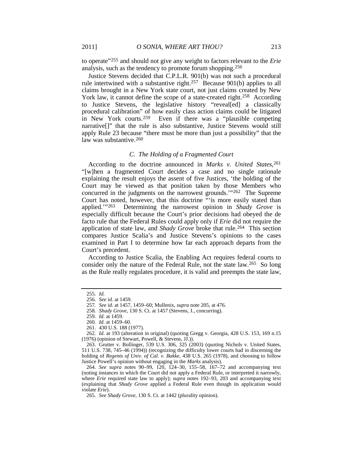to operate"[255](#page-25-0) and should not give any weight to factors relevant to the *Erie* analysis, such as the tendency to promote forum shopping.[256](#page-25-1)

Justice Stevens decided that C.P.L.R. 901(b) was not such a procedural rule intertwined with a substantive right[.257](#page-25-2) Because 901(b) applies to all claims brought in a New York state court, not just claims created by New York law, it cannot define the scope of a state-created right.<sup>258</sup> According to Justice Stevens, the legislative history "reveal[ed] a classically procedural calibration" of how easily class action claims could be litigated in New York courts.<sup>[259](#page-25-4)</sup> Even if there was a "plausible competing narrative[]" that the rule is also substantive, Justice Stevens would still apply Rule 23 because "there must be more than just a possibility" that the law was substantive.<sup>[260](#page-25-5)</sup>

### <span id="page-25-11"></span>*C. The Holding of a Fragmented Court*

According to the doctrine announced in *Marks v. United States*<sup>[261](#page-25-6)</sup>, "[w]hen a fragmented Court decides a case and no single rationale explaining the result enjoys the assent of five Justices, 'the holding of the Court may be viewed as that position taken by those Members who concurred in the judgments on the narrowest grounds.'["262](#page-25-7) The Supreme Court has noted, however, that this doctrine "'is more easily stated than applied.'"[263](#page-25-8) Determining the narrowest opinion in *Shady Grove* is especially difficult because the Court's prior decisions had obeyed the de facto rule that the Federal Rules could apply only if *Erie* did not require the application of state law, and *Shady Grove* broke that rule.<sup>[264](#page-25-9)</sup> This section compares Justice Scalia's and Justice Stevens's opinions to the cases examined in Part I to determine how far each approach departs from the Court's precedent.

According to Justice Scalia, the Enabling Act requires federal courts to consider only the nature of the Federal Rule, not the state law.<sup>[265](#page-25-10)</sup> So long as the Rule really regulates procedure, it is valid and preempts the state law,

<span id="page-25-1"></span><span id="page-25-0"></span><sup>255</sup>*. Id.*

<sup>256</sup>*. See id.* at 1459.

<sup>257</sup>*. See id.* at 1457, 1459–60; Mullenix, *supra* not[e 205,](#page-20-1) at 476.

<sup>258</sup>*. Shady Grove*, 130 S. Ct. at 1457 (Stevens, J., concurring).

<sup>259</sup>*. Id.* at 1459.

<sup>260</sup>*. Id.* at 1459–60.

<sup>261.</sup> 430 U.S. 188 (1977).

<span id="page-25-7"></span><span id="page-25-6"></span><span id="page-25-5"></span><span id="page-25-4"></span><span id="page-25-3"></span><span id="page-25-2"></span><sup>262</sup>*. Id.* at 193 (alteration in original) (quoting Gregg v. Georgia, 428 U.S. 153, 169 n.15 (1976) (opinion of Stewart, Powell, & Stevens, JJ.)).

<span id="page-25-8"></span><sup>263.</sup> Grutter v. Bollinger, 539 U.S. 306, 325 (2003) (quoting Nichols v. United States, 511 U.S. 738, 745–46 (1994)) (recognizing the difficulty lower courts had in discerning the holding of *Regents of Univ. of Cal. v. Bakke*, 438 U.S. 265 (1978), and choosing to follow Justice Powell's opinion without engaging in the *Marks* analysis).

<span id="page-25-9"></span><sup>264</sup>*. See supra* notes 90–99, 120, 124–30, 155–58, 167–72 and accompanying text (noting instances in which the Court did not apply a Federal Rule, or interpreted it narrowly, where *Erie* required state law to apply); *supra* notes 192–93, 203 and accompanying text (explaining that *Shady Grove* applied a Federal Rule even though its application would violate *Erie*).

<span id="page-25-10"></span><sup>265</sup>*. See Shady Grove*, 130 S. Ct. at 1442 (plurality opinion).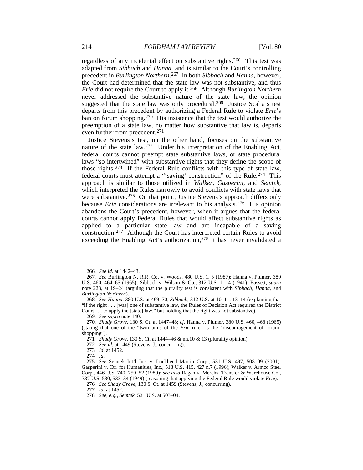<span id="page-26-16"></span>regardless of any incidental effect on substantive rights.[266](#page-26-0) This test was adapted from *Sibbach* and *Hanna*, and is similar to the Court's controlling precedent in *Burlington Northern*.[267](#page-26-1) In both *Sibbach* and *Hanna*, however, the Court had determined that the state law was not substantive, and thus *Erie* did not require the Court to apply it.[268](#page-26-2) Although *Burlington Northern* never addressed the substantive nature of the state law, the opinion suggested that the state law was only procedural.<sup>269</sup> Justice Scalia's test departs from this precedent by authorizing a Federal Rule to violate *Erie*'s ban on forum shopping.<sup>[270](#page-26-4)</sup> His insistence that the test would authorize the preemption of a state law, no matter how substantive that law is, departs even further from precedent.[271](#page-26-5)

<span id="page-26-15"></span><span id="page-26-14"></span>Justice Stevens's test, on the other hand, focuses on the substantive nature of the state law[.272](#page-26-6) Under his interpretation of the Enabling Act, federal courts cannot preempt state substantive laws, or state procedural laws "so intertwined" with substantive rights that they define the scope of those rights.[273](#page-26-7) If the Federal Rule conflicts with this type of state law, federal courts must attempt a "'saving' construction" of the Rule.<sup>[274](#page-26-8)</sup> This approach is similar to those utilized in *Walker*, *Gasperini*, and *Semtek*, which interpreted the Rules narrowly to avoid conflicts with state laws that were substantive.<sup>[275](#page-26-9)</sup> On that point, Justice Stevens's approach differs only because *Erie* considerations are irrelevant to his analysis.<sup>276</sup> His opinion abandons the Court's precedent, however, when it argues that the federal courts cannot apply Federal Rules that would affect substantive rights as applied to a particular state law and are incapable of a saving construction.[277](#page-26-11) Although the Court has interpreted certain Rules to avoid exceeding the Enabling Act's authorization,<sup>[278](#page-26-12)</sup> it has never invalidated a

<span id="page-26-13"></span><sup>266</sup>*. See id.* at 1442–43.

<span id="page-26-1"></span><span id="page-26-0"></span><sup>267</sup>*. See* Burlington N. R.R. Co. v. Woods, 480 U.S. 1, 5 (1987); Hanna v. Plumer, 380 U.S. 460, 464–65 (1965); Sibbach v. Wilson & Co., 312 U.S. 1, 14 (1941); Bassett, *supra* note [223,](#page-22-1) at 19–24 (arguing that the plurality test is consistent with *Sibbach*, *Hanna*, and *Burlington Northern*).

<span id="page-26-2"></span><sup>268</sup>*. See Hanna*, 380 U.S. at 469–70; *Sibbach*, 312 U.S. at 10–11, 13–14 (explaining that "if the right . . . [was] one of substantive law, the Rules of Decision Act required the District Court . . . to apply the [state] law," but holding that the right was not substantive).

<sup>269</sup>*. See supra* not[e 140.](#page-14-16)

<span id="page-26-5"></span><span id="page-26-4"></span><span id="page-26-3"></span><sup>270</sup>*. Shady Grove*, 130 S. Ct. at 1447–48; *cf.* Hanna v. Plumer, 380 U.S. 460, 468 (1965) (stating that one of the "twin aims of the *Erie* rule" is the "discouragement of forumshopping").

<sup>271</sup>*. Shady Grove*, 130 S. Ct. at 1444–46 & nn.10 & 13 (plurality opinion).

<sup>272</sup>*. See id.* at 1449 (Stevens, J., concurring).

<sup>273</sup>*. Id.* at 1452.

<sup>274</sup>*. Id.*

<span id="page-26-10"></span><span id="page-26-9"></span><span id="page-26-8"></span><span id="page-26-7"></span><span id="page-26-6"></span><sup>275</sup>*. See* Semtek Int'l Inc. v. Lockheed Martin Corp., 531 U.S. 497, 508–09 (2001); Gasperini v. Ctr. for Humanities, Inc., 518 U.S. 415, 427 n.7 (1996); Walker v. Armco Steel Corp., 446 U.S. 740, 750–52 (1980); *see also* Ragan v. Merchs. Transfer & Warehouse Co., 337 U.S. 530, 533–34 (1949) (reasoning that applying the Federal Rule would violate *Erie*).

<sup>276</sup>*. See Shady Grove*, 130 S. Ct. at 1459 (Stevens, J., concurring).

<sup>277</sup>*. Id.* at 1452.

<span id="page-26-12"></span><span id="page-26-11"></span><sup>278</sup>*. See, e.g.*, *Semtek*, 531 U.S. at 503–04.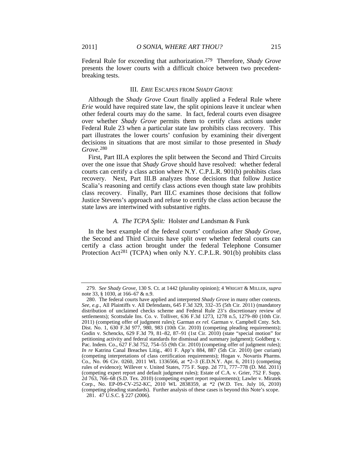Federal Rule for exceeding that authorization.[279](#page-27-0) Therefore, *Shady Grove* presents the lower courts with a difficult choice between two precedentbreaking tests.

#### III. *ERIE* ESCAPES FROM *SHADY GROVE*

Although the *Shady Grove* Court finally applied a Federal Rule where *Erie* would have required state law, the split opinions leave it unclear when other federal courts may do the same. In fact, federal courts even disagree over whether *Shady Grove* permits them to certify class actions under Federal Rule 23 when a particular state law prohibits class recovery. This part illustrates the lower courts' confusion by examining their divergent decisions in situations that are most similar to those presented in *Shady Grove*.[280](#page-27-1)

First, Part III.A explores the split between the Second and Third Circuits over the one issue that *Shady Grove* should have resolved: whether federal courts can certify a class action where N.Y. C.P.L.R. 901(b) prohibits class recovery. Next, Part III.B analyzes those decisions that follow Justice Scalia's reasoning and certify class actions even though state law prohibits class recovery. Finally, Part III.C examines those decisions that follow Justice Stevens's approach and refuse to certify the class action because the state laws are intertwined with substantive rights.

#### *A. The TCPA Split:* Holster *and* Landsman & Funk

In the best example of the federal courts' confusion after *Shady Grove*, the Second and Third Circuits have split over whether federal courts can certify a class action brought under the federal Telephone Consumer Protection Act<sup>281</sup> (TCPA) when only N.Y. C.P.L.R. 901(b) prohibits class

<sup>279</sup>*. See Shady Grove*, 130 S. Ct. at 1442 (plurality opinion); 4 WRIGHT & MILLER, *supra* note [33,](#page-5-15) § 1030, at 166–67 & n.9.

<span id="page-27-2"></span><span id="page-27-1"></span><span id="page-27-0"></span><sup>280.</sup> The federal courts have applied and interpreted *Shady Grove* in many other contexts. *See, e.g.*, All Plaintiffs v. All Defendants, 645 F.3d 329, 332–35 (5th Cir. 2011) (mandatory distribution of unclaimed checks scheme and Federal Rule 23's discretionary review of settlements); Scottsdale Ins. Co. v. Tolliver, 636 F.3d 1273, 1278 n.5, 1279–80 (10th Cir. 2011) (competing offer of judgment rules); Garman *ex rel.* Garman v. Campbell Cnty. Sch. Dist. No. 1, 630 F.3d 977, 980, 983 (10th Cir. 2010) (competing pleading requirements); Godin v. Schencks, 629 F.3d 79, 81–82, 87–91 (1st Cir. 2010) (state "special motion" for petitioning activity and federal standards for dismissal and summary judgment); Goldberg v. Pac. Indem. Co., 627 F.3d 752, 754–55 (9th Cir. 2010) (competing offer of judgment rules); *In re* Katrina Canal Breaches Litig., 401 F. App'x 884, 887 (5th Cir. 2010) (per curiam) (competing interpretations of class certification requirements); Hogan v. Novartis Pharms. Co., No. 06 Civ. 0260, 2011 WL 1336566, at \*2–3 (E.D.N.Y. Apr. 6, 2011) (competing rules of evidence); Willever v. United States, 775 F. Supp. 2d 771, 777–778 (D. Md. 2011) (competing expert report and default judgment rules); Estate of C.A. v. Grier, 752 F. Supp. 2d 763, 766–68 (S.D. Tex. 2010) (competing expert report requirements); Lawler v. Miratek Corp., No. EP-09-CV-252-KC, 2010 WL 2838359, at \*2 (W.D. Tex. July 16, 2010) (competing pleading standards). Further analysis of these cases is beyond this Note's scope. 281. 47 U.S.C. § 227 (2006).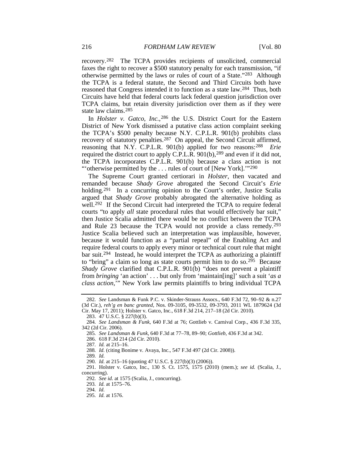recovery.[282](#page-28-0) The TCPA provides recipients of unsolicited, commercial faxes the right to recover a \$500 statutory penalty for each transmission, "if otherwise permitted by the laws or rules of court of a State.["283](#page-28-1) Although the TCPA is a federal statute, the Second and Third Circuits both have reasoned that Congress intended it to function as a state law[.284](#page-28-2) Thus, both Circuits have held that federal courts lack federal question jurisdiction over TCPA claims, but retain diversity jurisdiction over them as if they were state law claims.[285](#page-28-3)

In *Holster v. Gatco, Inc.*,<sup>[286](#page-28-4)</sup> the U.S. District Court for the Eastern District of New York dismissed a putative class action complaint seeking the TCPA's \$500 penalty because N.Y. C.P.L.R. 901(b) prohibits class recovery of statutory penalties[.287](#page-28-5) On appeal, the Second Circuit affirmed, reasoning that N.Y. C.P.L.R. 901(b) applied for two reasons[:288](#page-28-6) *Erie* required the district court to apply C.P.L. $\hat{R}$ . 901(b),<sup>[289](#page-28-7)</sup> and even if it did not, the TCPA incorporates C.P.L.R. 901(b) because a class action is not "'otherwise permitted by the . . . rules of court of [New York]."<sup>[290](#page-28-8)</sup>

<span id="page-28-14"></span>The Supreme Court granted certiorari in *Holster*, then vacated and remanded because *Shady Grove* abrogated the Second Circuit's *Erie* holding.<sup>[291](#page-28-9)</sup> In a concurring opinion to the Court's order, Justice Scalia argued that *Shady Grove* probably abrogated the alternative holding as well.<sup>[292](#page-28-10)</sup> If the Second Circuit had interpreted the TCPA to require federal courts "to apply *all* state procedural rules that would effectively bar suit," then Justice Scalia admitted there would be no conflict between the TCPA and Rule 23 because the TCPA would not provide a class remedy.[293](#page-28-11) Justice Scalia believed such an interpretation was implausible, however, because it would function as a "partial repeal" of the Enabling Act and require federal courts to apply every minor or technical court rule that might bar suit[.294](#page-28-12) Instead, he would interpret the TCPA as authorizing a plaintiff to "bring" a claim so long as state courts permit him to do so.<sup>[295](#page-28-13)</sup> Because *Shady Grove* clarified that C.P.L.R. 901(b) "does not prevent a plaintiff from *bringing* 'an action' . . . but only from 'maintain[ing]' such a suit '*as a class action*,'" New York law permits plaintiffs to bring individual TCPA

<span id="page-28-0"></span><sup>282</sup>*. See* Landsman & Funk P.C. v. Skinder-Strauss Assocs., 640 F.3d 72, 90–92 & n.27 (3d Cir.), *reh'g en banc granted*, Nos. 09-3105, 09-3532, 09-3793, 2011 WL 1879624 (3d Cir. May 17, 2011); Holster v. Gatco, Inc., 618 F.3d 214, 217–18 (2d Cir. 2010).

<sup>283.</sup> 47 U.S.C. § 227(b)(3).

<span id="page-28-5"></span><span id="page-28-4"></span><span id="page-28-3"></span><span id="page-28-2"></span><span id="page-28-1"></span><sup>284</sup>*. See Landsman & Funk*, 640 F.3d at 76; Gottlieb v. Carnival Corp., 436 F.3d 335, 342 (2d Cir. 2006).

<sup>285</sup>*. See Landsman & Funk*, 640 F.3d at 77–78, 89–90; *Gottlieb*, 436 F.3d at 342.

<sup>286.</sup> 618 F.3d 214 (2d Cir. 2010).

<sup>287</sup>*. Id.* at 215–16.

<sup>288</sup>*. Id.* (citing Bonime v. Avaya, Inc., 547 F.3d 497 (2d Cir. 2008)).

<sup>289</sup>*. Id.*

<sup>290</sup>*. Id.* at 215–16 (quoting 47 U.S.C. § 227(b)(3) (2006)).

<span id="page-28-12"></span><span id="page-28-11"></span><span id="page-28-10"></span><span id="page-28-9"></span><span id="page-28-8"></span><span id="page-28-7"></span><span id="page-28-6"></span><sup>291.</sup> Holster v. Gatco, Inc., 130 S. Ct. 1575, 1575 (2010) (mem.); *see id.* (Scalia, J., concurring).

<sup>292</sup>*. See id.* at 1575 (Scalia, J., concurring).

<sup>293</sup>*. Id.* at 1575–76.

<sup>294</sup>*. Id.*

<span id="page-28-13"></span><sup>295</sup>*. Id.* at 1576.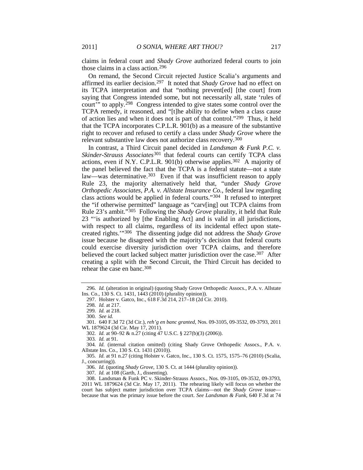claims in federal court and *Shady Grove* authorized federal courts to join those claims in a class action.[296](#page-29-0)

On remand, the Second Circuit rejected Justice Scalia's arguments and affirmed its earlier decision.[297](#page-29-1) It noted that *Shady Grove* had no effect on its TCPA interpretation and that "nothing prevent[ed] [the court] from saying that Congress intended some, but not necessarily all, state 'rules of court'" to apply.[298](#page-29-2) Congress intended to give states some control over the TCPA remedy, it reasoned, and "[t]he ability to define when a class cause of action lies and when it does not is part of that control."[299](#page-29-3) Thus, it held that the TCPA incorporates C.P.L.R. 901(b) as a measure of the substantive right to recover and refused to certify a class under *Shady Grove* where the relevant substantive law does not authorize class recovery.[300](#page-29-4)

<span id="page-29-14"></span><span id="page-29-13"></span>In contrast, a Third Circuit panel decided in *Landsman & Funk P.C. v. Skinder-Strauss Associates*<sup>[301](#page-29-5)</sup> that federal courts can certify TCPA class actions, even if N.Y. C.P.L.R. 901(b) otherwise applies.<sup>302</sup> A majority of the panel believed the fact that the TCPA is a federal statute—not a state law—was determinative.<sup>[303](#page-29-7)</sup> Even if that was insufficient reason to apply Rule 23, the majority alternatively held that, "under *Shady Grove Orthopedic Associates, P.A. v. Allstate Insurance Co.*, federal law regarding class actions would be applied in federal courts."[304](#page-29-8) It refused to interpret the "if otherwise permitted" language as "carv[ing] out TCPA claims from Rule 23's ambit."[305](#page-29-9) Following the *Shady Grove* plurality, it held that Rule 23 "'is authorized by [the Enabling Act] and is valid in all jurisdictions, with respect to all claims, regardless of its incidental effect upon statecreated rights.'"[306](#page-29-10) The dissenting judge did not address the *Shady Grove* issue because he disagreed with the majority's decision that federal courts could exercise diversity jurisdiction over TCPA claims, and therefore believed the court lacked subject matter jurisdiction over the case.<sup>307</sup> After creating a split with the Second Circuit, the Third Circuit has decided to rehear the case en banc.[308](#page-29-12)

<span id="page-29-2"></span><span id="page-29-1"></span><span id="page-29-0"></span><sup>296</sup>*. Id.* (alteration in original) (quoting Shady Grove Orthopedic Assocs., P.A. v. Allstate Ins. Co., 130 S. Ct. 1431, 1443 (2010) (plurality opinion)).

<sup>297.</sup> Holster v. Gatco, Inc., 618 F.3d 214, 217–18 (2d Cir. 2010).

<sup>298</sup>*. Id.* at 217.

<sup>299</sup>*. Id.* at 218.

<sup>300</sup>*. See id.*

<span id="page-29-6"></span><span id="page-29-5"></span><span id="page-29-4"></span><span id="page-29-3"></span><sup>301.</sup> 640 F.3d 72 (3d Cir.), *reh'g en banc granted*, Nos. 09-3105, 09-3532, 09-3793, 2011 WL 1879624 (3d Cir. May 17, 2011).

<sup>302</sup>*. Id.* at 90–92 & n.27 (citing 47 U.S.C. § 227(b)(3) (2006)).

<sup>303</sup>*. Id.* at 91.

<span id="page-29-8"></span><span id="page-29-7"></span><sup>304</sup>*. Id.* (internal citation omitted) (citing Shady Grove Orthopedic Assocs., P.A. v. Allstate Ins. Co., 130 S. Ct. 1431 (2010)).

<span id="page-29-10"></span><span id="page-29-9"></span><sup>305</sup>*. Id.* at 91 n.27 (citing Holster v. Gatco, Inc., 130 S. Ct. 1575, 1575–76 (2010) (Scalia, J., concurring)).

<sup>306</sup>*. Id.* (quoting *Shady Grove*, 130 S. Ct. at 1444 (plurality opinion)).

<sup>307</sup>*. Id.* at 108 (Garth, J., dissenting).

<span id="page-29-12"></span><span id="page-29-11"></span><sup>308.</sup> Landsman & Funk PC v. Skinder-Strauss Assocs., Nos. 09-3105, 09-3532, 09-3793, 2011 WL 1879624 (3d Cir. May 17, 2011). The rehearing likely will focus on whether the court has subject matter jurisdiction over TCPA claims—not the *Shady Grove* issue because that was the primary issue before the court. *See Landsman & Funk*, 640 F.3d at 74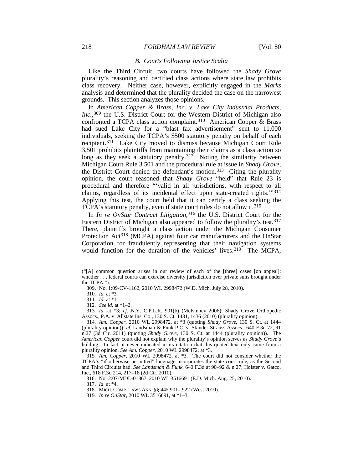#### <span id="page-30-12"></span><span id="page-30-11"></span>*B. Courts Following Justice Scalia*

Like the Third Circuit, two courts have followed the *Shady Grove*  plurality's reasoning and certified class actions where state law prohibits class recovery. Neither case, however, explicitly engaged in the *Marks* analysis and determined that the plurality decided the case on the narrowest grounds. This section analyzes those opinions.

In *American Copper & Brass, Inc. v. Lake City Industrial Products, Inc.*,[309](#page-30-0) the U.S. District Court for the Western District of Michigan also confronted a TCPA class action complaint.[310](#page-30-1) American Copper & Brass had sued Lake City for a "blast fax advertisement" sent to 11,000 individuals, seeking the TCPA's \$500 statutory penalty on behalf of each recipient.[311](#page-30-2) Lake City moved to dismiss because Michigan Court Rule 3.501 prohibits plaintiffs from maintaining their claims as a class action so long as they seek a statutory penalty.<sup>312</sup> Noting the similarity between Michigan Court Rule 3.501 and the procedural rule at issue in *Shady Grove*, the District Court denied the defendant's motion[.313](#page-30-4) Citing the plurality opinion, the court reasoned that *Shady Grove* "held" that Rule 23 is procedural and therefore "'valid in all jurisdictions, with respect to all claims, regardless of its incidental effect upon state-created rights.'"[314](#page-30-5) Applying this test, the court held that it can certify a class seeking the TCPA's statutory penalty, even if state court rules do not allow it.<sup>[315](#page-30-6)</sup>

In *In re OnStar Contract Litigation*,<sup>[316](#page-30-7)</sup> the U.S. District Court for the Eastern District of Michigan also appeared to follow the plurality's test.[317](#page-30-8) There, plaintiffs brought a class action under the Michigan Consumer Protection Act<sup>[318](#page-30-9)</sup> (MCPA) against four car manufacturers and the OnStar Corporation for fraudulently representing that their navigation systems would function for the duration of the vehicles' lives.<sup>[319](#page-30-10)</sup> The MCPA,

<span id="page-30-0"></span><sup>(&</sup>quot;[A] common question arises in our review of each of the [three] cases [on appeal]: whether . . . federal courts can exercise diversity jurisdiction over private suits brought under the TCPA.").

<sup>309.</sup> No. 1:09-CV-1162, 2010 WL 2998472 (W.D. Mich. July 28, 2010).

<sup>310</sup>*. Id.* at \*3.

<sup>311</sup>*. Id.* at \*1.

<sup>312</sup>*. See id.* at \*1–2.

<span id="page-30-4"></span><span id="page-30-3"></span><span id="page-30-2"></span><span id="page-30-1"></span><sup>313</sup>*. Id.* at \*3; *cf.* N.Y. C.P.L.R. 901(b) (McKinney 2006); Shady Grove Orthopedic Assocs., P.A. v. Allstate Ins. Co., 130 S. Ct. 1431, 1436 (2010) (plurality opinion).

<span id="page-30-5"></span><sup>314</sup>*. Am. Copper*, 2010 WL 2998472, at \*3 (quoting *Shady Grove*, 130 S. Ct. at 1444 (plurality opinion)); *cf.* Landsman & Funk P.C. v. Skinder-Strauss Assocs., 640 F.3d 72, 91 n.27 (3d Cir. 2011) (quoting *Shady Grove*, 130 S. Ct. at 1444 (plurality opinion)). The *American Copper* court did not explain why the plurality's opinion serves as *Shady Grove*'s holding. In fact, it never indicated in its citation that this quoted text only came from a plurality opinion. *See Am. Copper*, 2010 WL 2998472, at \*3.

<span id="page-30-7"></span><span id="page-30-6"></span><sup>315</sup>*. Am. Copper*, 2010 WL 2998472, at \*3. The court did not consider whether the TCPA's "if otherwise permitted" language incorporates the state court rule, as the Second and Third Circuits had. *See Landsman & Funk*, 640 F.3d at 90–92 & n.27; Holster v. Gatco, Inc., 618 F.3d 214, 217–18 (2d Cir. 2010).

<sup>316.</sup> No. 2:07-MDL-01867, 2010 WL 3516691 (E.D. Mich. Aug. 25, 2010).

<span id="page-30-8"></span><sup>317.</sup> *Id.* at \*4.

<sup>318.</sup> MICH. COMP. LAWS ANN. §§ 445.901–.922 (West 2010).

<span id="page-30-10"></span><span id="page-30-9"></span><sup>319</sup>*. In re OnStar*, 2010 WL 3516691, at \*1–3.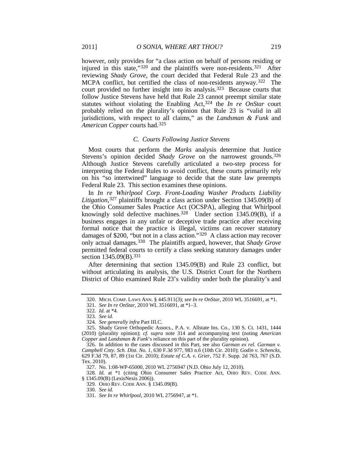<span id="page-31-12"></span>however, only provides for "a class action on behalf of persons residing or injured in this state,"<sup>320</sup> and the plaintiffs were non-residents.<sup>[321](#page-31-1)</sup> After reviewing *Shady Grove*, the court decided that Federal Rule 23 and the MCPA conflict, but certified the class of non-residents anyway.[322](#page-31-2) The court provided no further insight into its analysis.[323](#page-31-3) Because courts that follow Justice Stevens have held that Rule 23 cannot preempt similar state statutes without violating the Enabling Act,[324](#page-31-4) the *In re OnStar* court probably relied on the plurality's opinion that Rule 23 is "valid in all jurisdictions, with respect to all claims," as the *Landsman & Funk* and *American Copper* courts had.[325](#page-31-5)

#### <span id="page-31-14"></span><span id="page-31-13"></span>*C. Courts Following Justice Stevens*

Most courts that perform the *Marks* analysis determine that Justice Stevens's opinion decided *Shady Grove* on the narrowest grounds.[326](#page-31-6) Although Justice Stevens carefully articulated a two-step process for interpreting the Federal Rules to avoid conflict, these courts primarily rely on his "so intertwined" language to decide that the state law preempts Federal Rule 23. This section examines these opinions.

In *In re Whirlpool Corp. Front-Loading Washer Products Liability Litigation*, [327](#page-31-7) plaintiffs brought a class action under Section 1345.09(B) of the Ohio Consumer Sales Practice Act (OCSPA), alleging that Whirlpool knowingly sold defective machines.<sup>[328](#page-31-8)</sup> Under section  $1345.09(B)$ , if a business engages in any unfair or deceptive trade practice after receiving formal notice that the practice is illegal, victims can recover statutory damages of \$200, "but not in a class action."<sup>329</sup> A class action may recover only actual damages.[330](#page-31-10) The plaintiffs argued, however, that *Shady Grove* permitted federal courts to certify a class seeking statutory damages under section 1345.09(B).<sup>[331](#page-31-11)</sup>

After determining that section 1345.09(B) and Rule 23 conflict, but without articulating its analysis, the U.S. District Court for the Northern District of Ohio examined Rule 23's validity under both the plurality's and

<span id="page-31-11"></span><span id="page-31-10"></span><span id="page-31-9"></span><span id="page-31-8"></span><span id="page-31-7"></span>328*. Id.* at \*1 (citing Ohio Consumer Sales Practice Act, OHIO REV. CODE ANN. § 1345.09(B) (LexisNexis 2006)).

<span id="page-31-0"></span><sup>320.</sup> MICH. COMP. LAWS ANN. § 445.911(3); *see In re OnStar*, 2010 WL 3516691, at \*1.

<sup>321</sup>*. See In re OnStar*, 2010 WL 3516691, at \*1–3.

<sup>322</sup>*. Id.* at \*4.

<sup>323</sup>*. See id.*

<sup>324</sup>*. See generally infra* Part III.C.

<span id="page-31-5"></span><span id="page-31-4"></span><span id="page-31-3"></span><span id="page-31-2"></span><span id="page-31-1"></span><sup>325.</sup> Shady Grove Orthopedic Assocs., P.A. v. Allstate Ins. Co., 130 S. Ct. 1431, 1444 (2010) (plurality opinion); *cf. supra* note [314](#page-30-11) and accompanying text (noting *American Copper* and *Landsman & Funk*'s reliance on this part of the plurality opinion).

<span id="page-31-6"></span><sup>326.</sup> In addition to the cases discussed in this Part, see also *Garman ex rel. Garman v. Campbell Cnty. Sch. Dist. No. 1*, 630 F.3d 977, 983 n.6 (10th Cir. 2010); *Godin v. Schencks*, 629 F.3d 79, 87, 89 (1st Cir. 2010); *Estate of C.A. v. Grier*, 752 F. Supp. 2d 763, 767 (S.D. Tex. 2010).

<sup>327.</sup> No. 1:08-WP-65000, 2010 WL 2756947 (N.D. Ohio July 12, 2010).

<sup>329.</sup> OHIO REV. CODE ANN. § 1345.09(B).

<sup>330</sup>*. See id.*

<sup>331</sup>*. See In re Whirlpool*, 2010 WL 2756947, at \*1.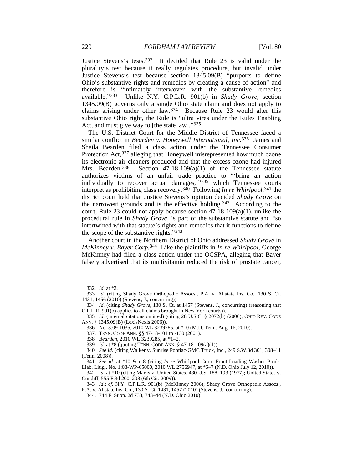<span id="page-32-13"></span>Justice Stevens's tests.[332](#page-32-0) It decided that Rule 23 is valid under the plurality's test because it really regulates procedure, but invalid under Justice Stevens's test because section 1345.09(B) "purports to define Ohio's substantive rights and remedies by creating a cause of action" and therefore is "intimately interwoven with the substantive remedies available."[333](#page-32-1) Unlike N.Y. C.P.L.R. 901(b) in *Shady Grove*, section 1345.09(B) governs only a single Ohio state claim and does not apply to claims arising under other law.[334](#page-32-2) Because Rule 23 would alter this substantive Ohio right, the Rule is "ultra vires under the Rules Enabling Act, and must give way to [the state law]."[335](#page-32-3)

<span id="page-32-15"></span>The U.S. District Court for the Middle District of Tennessee faced a similar conflict in *Bearden v. Honeywell International, Inc.*[336](#page-32-4) James and Sheila Bearden filed a class action under the Tennessee Consumer Protection Act, [337](#page-32-5) alleging that Honeywell misrepresented how much ozone its electronic air cleaners produced and that the excess ozone had injured Mrs. Bearden.[338](#page-32-6) Section 47-18-109(a)(1) of the Tennessee statute authorizes victims of an unfair trade practice to "'bring an action individually to recover actual damages,  $\frac{339}{12}$  $\frac{339}{12}$  $\frac{339}{12}$  which Tennessee courts interpret as prohibiting class recovery.[340](#page-32-8) Following *In re Whirlpool*,[341](#page-32-9) the district court held that Justice Stevens's opinion decided *Shady Grove* on the narrowest grounds and is the effective holding.<sup>[342](#page-32-10)</sup> According to the court, Rule 23 could not apply because section  $47-18-109(a)(1)$ , unlike the procedural rule in *Shady Grove*, is part of the substantive statute and "so intertwined with that statute's rights and remedies that it functions to define the scope of the substantive rights."[343](#page-32-11)

<span id="page-32-14"></span>Another court in the Northern District of Ohio addressed *Shady Grove* in *McKinney v. Bayer Corp.*[344](#page-32-12) Like the plaintiffs in *In re Whirlpool*, George McKinney had filed a class action under the OCSPA, alleging that Bayer falsely advertised that its multivitamin reduced the risk of prostate cancer,

<sup>332</sup>*. Id.* at \*2.

<span id="page-32-0"></span><sup>333</sup>*. Id.* (citing Shady Grove Orthopedic Assocs., P.A. v. Allstate Ins. Co., 130 S. Ct. 1431, 1456 (2010) (Stevens, J., concurring)).

<span id="page-32-3"></span><span id="page-32-2"></span><span id="page-32-1"></span><sup>334</sup>*. Id.* (citing *Shady Grove*, 130 S. Ct. at 1457 (Stevens, J., concurring) (reasoning that C.P.L.R. 901(b) applies to all claims brought in New York courts)).

<span id="page-32-4"></span><sup>335</sup>*. Id.* (internal citations omitted) (citing 28 U.S.C. § 2072(b) (2006); OHIO REV. CODE ANN. § 1345.09(B) (LexisNexis 2006)).

<sup>336.</sup> No. 3:09-1035, 2010 WL 3239285, at \*10 (M.D. Tenn. Aug. 16, 2010).

<sup>337.</sup> TENN. CODE ANN. §§ 47-18-101 to -130 (2001).

<sup>338</sup>*. Bearden*, 2010 WL 3239285, at \*1–2.

<sup>339</sup>*. Id.* at \*8 (quoting TENN. CODE ANN. § 47-18-109(a)(1)).

<span id="page-32-8"></span><span id="page-32-7"></span><span id="page-32-6"></span><span id="page-32-5"></span><sup>340</sup>*. See id.* (citing Walker v. Sunrise Pontiac-GMC Truck, Inc., 249 S.W.3d 301, 308–11 (Tenn. 2008)).

<span id="page-32-9"></span><sup>341</sup>*. See id.* at \*10 & n.8 (citing *In re* Whirlpool Corp. Front-Loading Washer Prods. Liab. Litig., No. 1:08-WP-65000, 2010 WL 2756947, at \*6–7 (N.D. Ohio July 12, 2010)).

<span id="page-32-10"></span><sup>342</sup>*. Id.* at \*10 (citing Marks v. United States, 430 U.S. 188, 193 (1977); United States v. Cundiff, 555 F.3d 200, 208 (6th Cir. 2009)).

<span id="page-32-12"></span><span id="page-32-11"></span><sup>343</sup>*. Id.*; *cf.* N.Y. C.P.L.R. 901(b) (McKinney 2006); Shady Grove Orthopedic Assocs., P.A. v. Allstate Ins. Co., 130 S. Ct. 1431, 1457 (2010) (Stevens, J., concurring).

<sup>344.</sup> 744 F. Supp. 2d 733, 743–44 (N.D. Ohio 2010).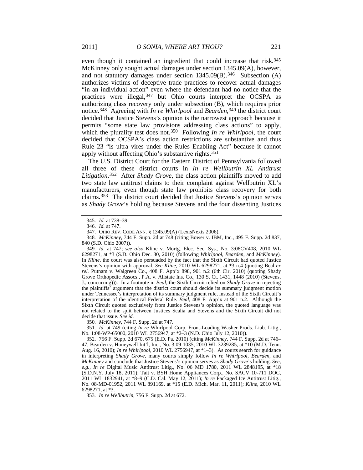<span id="page-33-10"></span>even though it contained an ingredient that could increase that risk.<sup>[345](#page-33-0)</sup> McKinney only sought actual damages under section 1345.09(A), however, and not statutory damages under section  $1345.09(B)$ .<sup>[346](#page-33-1)</sup> Subsection (A) authorizes victims of deceptive trade practices to recover actual damages "in an individual action" even where the defendant had no notice that the practices were illegal,<sup>[347](#page-33-2)</sup> but Ohio courts interpret the OCSPA as authorizing class recovery only under subsection (B), which requires prior notice.[348](#page-33-3) Agreeing with *In re Whirlpool* and *Bearden*,[349](#page-33-4) the district court decided that Justice Stevens's opinion is the narrowest approach because it permits "some state law provisions addressing class actions" to apply, which the plurality test does not.<sup>[350](#page-33-5)</sup> Following *In re Whirlpool*, the court decided that OCSPA's class action restrictions are substantive and thus Rule 23 "is ultra vires under the Rules Enabling Act" because it cannot apply without affecting Ohio's substantive rights.[351](#page-33-6)

<span id="page-33-9"></span>The U.S. District Court for the Eastern District of Pennsylvania followed all three of these district courts in *In re Wellbutrin XL Antitrust Litigation*.[352](#page-33-7) After *Shady Grove*, the class action plaintiffs moved to add two state law antitrust claims to their complaint against Wellbutrin XL's manufacturers, even though state law prohibits class recovery for both claims.[353](#page-33-8) The district court decided that Justice Stevens's opinion serves as *Shady Grove*'s holding because Stevens and the four dissenting Justices

<span id="page-33-4"></span>349*. Id.* at 747; *see also* Kline v. Mortg. Elec. Sec. Sys., No. 3:08CV408, 2010 WL 6298271, at \*3 (S.D. Ohio Dec. 30, 2010) (following *Whirlpool*, *Bearden*, and *McKinney*). In *Kline*, the court was also persuaded by the fact that the Sixth Circuit had quoted Justice Stevens's opinion with approval. *See Kline*, 2010 WL 6298271, at \*3 n.4 (quoting Beal *ex rel.* Putnam v. Walgreen Co., 408 F. App'x 898, 901 n.2 (6th Cir. 2010) (quoting Shady Grove Orthopedic Assocs., P.A. v. Allstate Ins. Co., 130 S. Ct. 1431, 1448 (2010) (Stevens, J., concurring))). In a footnote in *Beal*, the Sixth Circuit relied on *Shady Grove* in rejecting the plaintiffs' argument that the district court should decide its summary judgment motion under Tennessee's interpretation of its summary judgment rule, instead of the Sixth Circuit's interpretation of the identical Federal Rule. *Beal*, 408 F. App'x at 901 n.2. Although the Sixth Circuit quoted exclusively from Justice Stevens's opinion, the quoted language was not related to the split between Justices Scalia and Stevens and the Sixth Circuit did not decide that issue. *See id.*

350*. McKinney*, 744 F. Supp. 2d at 747.

<span id="page-33-6"></span><span id="page-33-5"></span>351*. Id.* at 749 (citing *In re* Whirlpool Corp. Front-Loading Washer Prods. Liab. Litig., No. 1:08-WP-65000, 2010 WL 2756947, at \*2–3 (N.D. Ohio July 12, 2010)).

<span id="page-33-7"></span>352. 756 F. Supp. 2d 670, 675 (E.D. Pa. 2010) (citing *McKinney*, 744 F. Supp. 2d at 746– 47; Bearden v. Honeywell Int'l, Inc., No. 3:09-1035, 2010 WL 3239285, at \*10 (M.D. Tenn. Aug. 16, 2010); *In re Whirlpool*, 2010 WL 2756947, at \*1–3). As courts search for guidance in interpreting *Shady Grove*, many courts simply follow *In re Whirlpool*, *Bearden*, and *McKinney* and conclude that Justice Stevens's opinion serves as *Shady Grove*'s holding. *See, e.g.*, *In re* Digital Music Antitrust Litig., No. 06 MD 1780, 2011 WL 2848195, at \*18 (S.D.N.Y. July 18, 2011); Tait v. BSH Home Appliances Corp., No. SACV 10-711 DOC, 2011 WL 1832941, at \*8–9 (C.D. Cal. May 12, 2011); *In re* Packaged Ice Antitrust Litig., No. 08-MD-01952, 2011 WL 891169, at \*15 (E.D. Mich. Mar. 11, 2011); *Kline*, 2010 WL 6298271, at \*3.

<span id="page-33-8"></span>353*. In re Wellbutrin*, 756 F. Supp. 2d at 672.

<sup>345</sup>*. Id.* at 738–39.

<sup>346</sup>*. Id.* at 747.

<sup>347.</sup> OHIO REV. CODE ANN. § 1345.09(A) (LexisNexis 2006).

<span id="page-33-3"></span><span id="page-33-2"></span><span id="page-33-1"></span><span id="page-33-0"></span><sup>348</sup>*. McKinney*, 744 F. Supp. 2d at 748 (citing Bower v. IBM, Inc., 495 F. Supp. 2d 837, 840 (S.D. Ohio 2007)).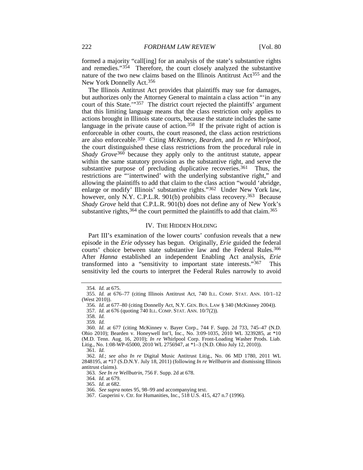<span id="page-34-14"></span>formed a majority "call[ing] for an analysis of the state's substantive rights and remedies."[354](#page-34-0) Therefore, the court closely analyzed the substantive nature of the two new claims based on the Illinois Antitrust Act<sup>[355](#page-34-1)</sup> and the New York Donnelly Act.[356](#page-34-2)

<span id="page-34-15"></span>The Illinois Antitrust Act provides that plaintiffs may sue for damages, but authorizes only the Attorney General to maintain a class action "'in any court of this State.'"[357](#page-34-3) The district court rejected the plaintiffs' argument that this limiting language means that the class restriction only applies to actions brought in Illinois state courts, because the statute includes the same language in the private cause of action.<sup>358</sup> If the private right of action is enforceable in other courts, the court reasoned, the class action restrictions are also enforceable.[359](#page-34-5) Citing *McKinney*, *Bearden*, and *In re Whirlpool*, the court distinguished these class restrictions from the procedural rule in *Shady Grove*[360](#page-34-6) because they apply only to the antitrust statute, appear within the same statutory provision as the substantive right, and serve the substantive purpose of precluding duplicative recoveries.<sup>[361](#page-34-7)</sup> Thus, the restrictions are "'intertwined' with the underlying substantive right," and allowing the plaintiffs to add that claim to the class action "would 'abridge, enlarge or modify' Illinois' substantive rights.["362](#page-34-8) Under New York law, however, only N.Y. C.P.L.R. 901(b) prohibits class recovery.<sup>363</sup> Because *Shady Grove* held that C.P.L.R. 901(b) does not define any of New York's substantive rights,  $364$  the court permitted the plaintiffs to add that claim.  $365$ 

#### IV. THE HIDDEN HOLDING

Part III's examination of the lower courts' confusion reveals that a new episode in the *Erie* odyssey has begun. Originally, *Erie* guided the federal courts' choice between state substantive law and the Federal Rules.<sup>[366](#page-34-12)</sup> After *Hanna* established an independent Enabling Act analysis, *Erie* transformed into a "sensitivity to important state interests."[367](#page-34-13) This sensitivity led the courts to interpret the Federal Rules narrowly to avoid

363*. See In re Wellbutrin*, 756 F. Supp. 2d at 678.

364*. Id.* at 679.

<span id="page-34-11"></span>365*. Id.* at 682.

<sup>354</sup>*. Id.* at 675.

<span id="page-34-3"></span><span id="page-34-2"></span><span id="page-34-1"></span><span id="page-34-0"></span><sup>355</sup>*. Id.* at 676–77 (citing Illinois Antitrust Act, 740 ILL. COMP. STAT. ANN. 10/1–12 (West 2010)).

<sup>356</sup>*. Id.* at 677–80 (citing Donnelly Act, N.Y. GEN. BUS. LAW § 340 (McKinney 2004)).

<sup>357</sup>*. Id.* at 676 (quoting 740 ILL. COMP. STAT. ANN. 10/7(2)).

<sup>358</sup>*. Id.*

<sup>359</sup>*. Id.*

<span id="page-34-6"></span><span id="page-34-5"></span><span id="page-34-4"></span><sup>360</sup>*. Id.* at 677 (citing McKinney v. Bayer Corp., 744 F. Supp. 2d 733, 745–47 (N.D. Ohio 2010); Bearden v. Honeywell Int'l, Inc., No. 3:09-1035, 2010 WL 3239285, at \*10 (M.D. Tenn. Aug. 16, 2010); *In re* Whirlpool Corp. Front-Loading Washer Prods. Liab. Litig., No. 1:08-WP-65000, 2010 WL 2756947, at \*1–3 (N.D. Ohio July 12, 2010)). 361*. Id.*

<span id="page-34-10"></span><span id="page-34-9"></span><span id="page-34-8"></span><span id="page-34-7"></span><sup>362</sup>*. Id.*; *see also In re* Digital Music Antitrust Litig., No. 06 MD 1780, 2011 WL 2848195, at \*17 (S.D.N.Y. July 18, 2011) (following *In re Wellbutrin* and dismissing Illinois antitrust claims).

<sup>366</sup>*. See supra* note[s 95,](#page-11-1) [98](#page-11-2)[–99](#page-11-3) and accompanying text.

<span id="page-34-13"></span><span id="page-34-12"></span><sup>367.</sup> Gasperini v. Ctr. for Humanities, Inc., 518 U.S. 415, 427 n.7 (1996).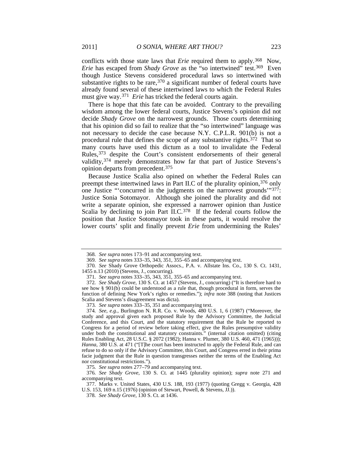<span id="page-35-0"></span>conflicts with those state laws that *Erie* required them to apply.[368](#page-35-1) Now, *Erie* has escaped from *Shady Grove* as the "so intertwined" test.<sup>369</sup> Even though Justice Stevens considered procedural laws so intertwined with substantive rights to be rare,  $370$  a significant number of federal courts have already found several of these intertwined laws to which the Federal Rules must give way.[371](#page-35-4) *Erie* has tricked the federal courts again.

There is hope that this fate can be avoided. Contrary to the prevailing wisdom among the lower federal courts, Justice Stevens's opinion did not decide *Shady Grove* on the narrowest grounds. Those courts determining that his opinion did so fail to realize that the "so intertwined" language was not necessary to decide the case because N.Y. C.P.L.R. 901(b) is not a procedural rule that defines the scope of any substantive rights. [372](#page-35-5) That so many courts have used this dictum as a tool to invalidate the Federal Rules,[373](#page-35-6) despite the Court's consistent endorsements of their general validity,[374](#page-35-7) merely demonstrates how far that part of Justice Stevens's opinion departs from precedent.[375](#page-35-8)

Because Justice Scalia also opined on whether the Federal Rules can preempt these intertwined laws in Part II.C of the plurality opinion,[376](#page-35-9) only one Justice "'concurred in the judgments on the narrowest grounds'"[377](#page-35-10): Justice Sonia Sotomayor. Although she joined the plurality and did not write a separate opinion, she expressed a narrower opinion than Justice Scalia by declining to join Part II.C.<sup>[378](#page-35-11)</sup> If the federal courts follow the position that Justice Sotomayor took in these parts, it would resolve the lower courts' split and finally prevent *Erie* from undermining the Rules'

<sup>368</sup>*. See supra* notes [173–](#page-17-0)91 and accompanying text.

<sup>369</sup>*. See supra* note[s 333–](#page-32-13)35[, 343,](#page-32-14) [351,](#page-33-9) [355–](#page-34-14)65 and accompanying text.

<span id="page-35-3"></span><span id="page-35-2"></span><span id="page-35-1"></span><sup>370</sup>*. See* Shady Grove Orthopedic Assocs., P.A. v. Allstate Ins. Co., 130 S. Ct. 1431, 1455 n.13 (2010) (Stevens, J., concurring).

<sup>371</sup>*. See supra* note[s 333–](#page-32-13)35[, 343,](#page-32-14) [351,](#page-33-9) [355–](#page-34-14)65 and accompanying text.

<span id="page-35-5"></span><span id="page-35-4"></span><sup>372</sup>*. See Shady Grove*, 130 S. Ct. at 1457 (Stevens, J., concurring) ("It is therefore hard to see how § 901(b) could be understood as a rule that, though procedural in form, serves the function of defining New York's rights or remedies."); *infra* note [388](#page-37-0) (noting that Justices Scalia and Stevens's disagreement was dicta).

<sup>373</sup>*. See supra* note[s 333–](#page-32-13)35[, 351](#page-33-9) and accompanying text.

<span id="page-35-7"></span><span id="page-35-6"></span><sup>374</sup>*. See, e.g.*, Burlington N. R.R. Co. v. Woods, 480 U.S. 1, 6 (1987) ("Moreover, the study and approval given each proposed Rule by the Advisory Committee, the Judicial Conference, and this Court, and the statutory requirement that the Rule be reported to Congress for a period of review before taking effect, give the Rules presumptive validity under both the constitutional and statutory constraints." (internal citation omitted) (citing Rules Enabling Act, 28 U.S.C. § 2072 (1982); Hanna v. Plumer, 380 U.S. 460, 471 (1965))); *Hanna*, 380 U.S. at 471 ("[T]he court has been instructed to apply the Federal Rule, and can refuse to do so only if the Advisory Committee, this Court, and Congress erred in their prima facie judgment that the Rule in question transgresses neither the terms of the Enabling Act nor constitutional restrictions.").

<sup>375</sup>*. See supra* note[s 277–](#page-26-13)79 and accompanying text.

<span id="page-35-9"></span><span id="page-35-8"></span><sup>376</sup>*. See Shady Grove*, 130 S. Ct. at 1445 (plurality opinion); *supra* note [271](#page-26-14) and accompanying text.

<span id="page-35-11"></span><span id="page-35-10"></span><sup>377.</sup> Marks v. United States, 430 U.S. 188, 193 (1977) (quoting Gregg v. Georgia, 428 U.S. 153, 169 n.15 (1976) (opinion of Stewart, Powell, & Stevens, JJ.)).

<sup>378</sup>*. See Shady Grove*, 130 S. Ct. at 1436.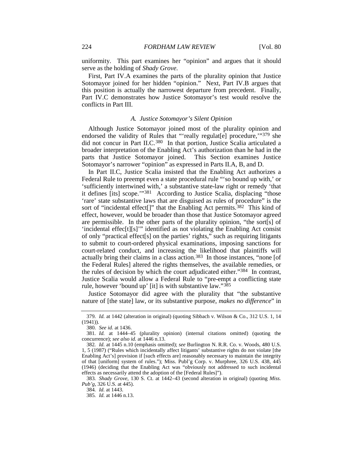uniformity. This part examines her "opinion" and argues that it should serve as the holding of *Shady Grove*.

First, Part IV.A examines the parts of the plurality opinion that Justice Sotomayor joined for her hidden "opinion." Next, Part IV.B argues that this position is actually the narrowest departure from precedent. Finally, Part IV.C demonstrates how Justice Sotomayor's test would resolve the conflicts in Part III.

#### *A. Justice Sotomayor's Silent Opinion*

Although Justice Sotomayor joined most of the plurality opinion and endorsed the validity of Rules that "'really regulater procedure,"<sup>[379](#page-36-0)</sup> she did not concur in Part II.C.<sup>[380](#page-36-1)</sup> In that portion, Justice Scalia articulated a broader interpretation of the Enabling Act's authorization than he had in the parts that Justice Sotomayor joined. This Section examines Justice Sotomayor's narrower "opinion" as expressed in Parts II.A, B, and D.

<span id="page-36-7"></span>In Part II.C, Justice Scalia insisted that the Enabling Act authorizes a Federal Rule to preempt even a state procedural rule "'so bound up with,' or 'sufficiently intertwined with,' a substantive state-law right or remedy 'that it defines [its] scope.'" [381](#page-36-2) According to Justice Scalia, displacing "those 'rare' state substantive laws that are disguised as rules of procedure" is the sort of "incidental effect<sup>[]"</sup> that the Enabling Act permits.<sup>382</sup> This kind of effect, however, would be broader than those that Justice Sotomayor agreed are permissible. In the other parts of the plurality opinion, "the sort[s] of 'incidental effec[t][s]'" identified as not violating the Enabling Act consist of only "practical effect[s] on the parties' rights," such as requiring litigants to submit to court-ordered physical examinations, imposing sanctions for court-related conduct, and increasing the likelihood that plaintiffs will actually bring their claims in a class action.[383](#page-36-4) In those instances, "none [of the Federal Rules] altered the rights themselves, the available remedies, or the rules of decision by which the court adjudicated either."[384](#page-36-5) In contrast, Justice Scalia would allow a Federal Rule to "pre-empt a conflicting state rule, however 'bound up' [it] is with substantive law."[385](#page-36-6)

Justice Sotomayor did agree with the plurality that "the substantive nature of [the state] law, or its substantive purpose, *makes no difference*" in

<span id="page-36-0"></span><sup>379</sup>*. Id.* at 1442 (alteration in original) (quoting Sibbach v. Wilson & Co., 312 U.S. 1, 14 (1941)).

<sup>380</sup>*. See id.* at 1436.

<span id="page-36-2"></span><span id="page-36-1"></span><sup>381</sup>*. Id.* at 1444–45 (plurality opinion) (internal citations omitted) (quoting the concurrence); *see also id.* at 1446 n.13.

<span id="page-36-3"></span><sup>382</sup>*. Id.* at 1445 n.10 (emphasis omitted); *see* Burlington N. R.R. Co. v. Woods, 480 U.S. 1, 5 (1987) ("Rules which incidentally affect litigants' substantive rights do not violate [the Enabling Act's] provision if [such effects are] reasonably necessary to maintain the integrity of that [uniform] system of rules."); Miss. Publ'g Corp. v. Murphree, 326 U.S. 438, 445 (1946) (deciding that the Enabling Act was "obviously not addressed to such incidental effects as necessarily attend the adoption of the [Federal Rules]").

<span id="page-36-6"></span><span id="page-36-5"></span><span id="page-36-4"></span><sup>383</sup>*. Shady Grove*, 130 S. Ct. at 1442–43 (second alteration in original) (quoting *Miss. Pub'g*, 326 U.S. at 445).

<sup>384</sup>*. Id.* at 1443.

<sup>385</sup>*. Id.* at 1446 n.13.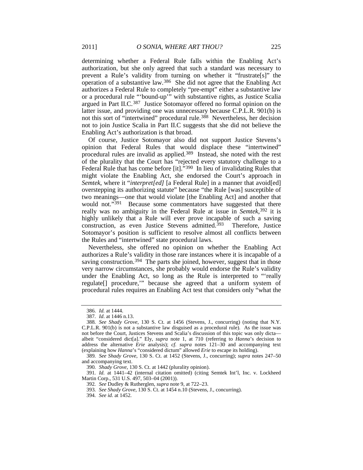determining whether a Federal Rule falls within the Enabling Act's authorization, but she only agreed that such a standard was necessary to prevent a Rule's validity from turning on whether it "frustrate[s]" the operation of a substantive law.[386](#page-37-1) She did not agree that the Enabling Act authorizes a Federal Rule to completely "pre-empt" either a substantive law or a procedural rule "'bound-up'" with substantive rights, as Justice Scalia argued in Part II.C.[387](#page-37-2) Justice Sotomayor offered no formal opinion on the latter issue, and providing one was unnecessary because C.P.L.R. 901(b) is not this sort of "intertwined" procedural rule.<sup>[388](#page-37-3)</sup> Nevertheless, her decision not to join Justice Scalia in Part II.C suggests that she did not believe the Enabling Act's authorization is that broad.

<span id="page-37-0"></span>Of course, Justice Sotomayor also did not support Justice Stevens's opinion that Federal Rules that would displace these "intertwined" procedural rules are invalid as applied. [389](#page-37-4) Instead, she noted with the rest of the plurality that the Court has "rejected every statutory challenge to a Federal Rule that has come before [it]."[390](#page-37-5) In lieu of invalidating Rules that might violate the Enabling Act, she endorsed the Court's approach in *Semtek*, where it "*interpret[ed]* [a Federal Rule] in a manner that avoid[ed] overstepping its authorizing statute" because "the Rule [was] susceptible of two meanings—one that would violate [the Enabling Act] and another that would not."<sup>[391](#page-37-6)</sup> Because some commentators have suggested that there really was no ambiguity in the Federal Rule at issue in *Semtek*, [392](#page-37-7) it is highly unlikely that a Rule will ever prove incapable of such a saving construction, as even Justice Stevens admitted.<sup>393</sup> Therefore, Justice Sotomayor's position is sufficient to resolve almost all conflicts between the Rules and "intertwined" state procedural laws.

Nevertheless, she offered no opinion on whether the Enabling Act authorizes a Rule's validity in those rare instances where it is incapable of a saving construction.<sup>[394](#page-37-9)</sup> The parts she joined, however, suggest that in those very narrow circumstances, she probably would endorse the Rule's validity under the Enabling Act, so long as the Rule is interpreted to "'really regulate[] procedure,'" because she agreed that a uniform system of procedural rules requires an Enabling Act test that considers only "what the

<span id="page-37-9"></span><span id="page-37-8"></span><span id="page-37-7"></span><span id="page-37-6"></span><span id="page-37-5"></span>391*. Id.* at 1441–42 (internal citation omitted) (citing Semtek Int'l, Inc. v. Lockheed Martin Corp., 531 U.S. 497, 503–04 (2001)).

<sup>386</sup>*. Id.* at 1444.

<sup>387</sup>*. Id*. at 1446 n.13.

<span id="page-37-3"></span><span id="page-37-2"></span><span id="page-37-1"></span><sup>388</sup>*. See Shady Grove*, 130 S. Ct. at 1456 (Stevens, J., concurring) (noting that N.Y. C.P.L.R. 901(b) is not a substantive law disguised as a procedural rule). As the issue was not before the Court, Justices Stevens and Scalia's discussion of this topic was only dicta albeit "considered dict[a]." Ely, *supra* note [1,](#page-2-8) at 710 (referring to *Hanna*'s decision to address the alternative *Erie* analysis); *cf. supra* notes [121–](#page-13-1)30 and accompanying text (explaining how *Hanna*'s "considered dictum" allowed *Erie* to escape its holding).

<span id="page-37-4"></span><sup>389</sup>*. See Shady Grove*, 130 S. Ct. at 1452 (Stevens, J., concurring); *supra* notes [247–](#page-24-11)50 and accompanying text.

<sup>390</sup>*. Shady Grove*, 130 S. Ct. at 1442 (plurality opinion).

<sup>392</sup>*. See* Dudley & Rutherglen, *supra* not[e 9,](#page-3-0) at 722–23.

<sup>393</sup>*. See Shady Grove*, 130 S. Ct. at 1454 n.10 (Stevens, J., concurring).

<sup>394</sup>*. See id.* at 1452.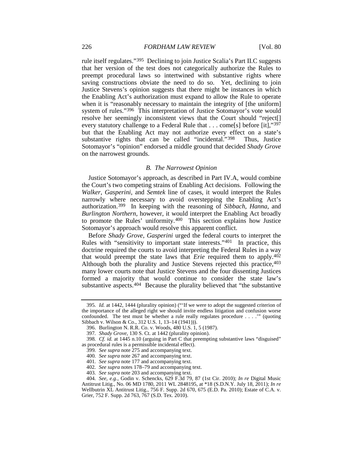rule itself regulates."[395](#page-38-0) Declining to join Justice Scalia's Part II.C suggests that her version of the test does not categorically authorize the Rules to preempt procedural laws so intertwined with substantive rights where saving constructions obviate the need to do so. Yet, declining to join Justice Stevens's opinion suggests that there might be instances in which the Enabling Act's authorization must expand to allow the Rule to operate when it is "reasonably necessary to maintain the integrity of [the uniform] system of rules."[396](#page-38-1) This interpretation of Justice Sotomayor's vote would resolve her seemingly inconsistent views that the Court should "reject[] every statutory challenge to a Federal Rule that . . . come[s] before [it],"[397](#page-38-2) but that the Enabling Act may not authorize every effect on a state's substantive rights that can be called "incidental."<sup>[398](#page-38-3)</sup> Thus, Justice Sotomayor's "opinion" endorsed a middle ground that decided *Shady Grove* on the narrowest grounds.

#### <span id="page-38-11"></span>*B. The Narrowest Opinion*

Justice Sotomayor's approach, as described in Part IV.A, would combine the Court's two competing strains of Enabling Act decisions. Following the *Walker*, *Gasperini*, and *Semtek* line of cases, it would interpret the Rules narrowly where necessary to avoid overstepping the Enabling Act's authorization.[399](#page-38-4) In keeping with the reasoning of *Sibbach*, *Hanna*, and *Burlington Northern*, however, it would interpret the Enabling Act broadly to promote the Rules' uniformity.[400](#page-38-5) This section explains how Justice Sotomayor's approach would resolve this apparent conflict.

Before *Shady Grove*, *Gasperini* urged the federal courts to interpret the Rules with "sensitivity to important state interests."<sup>401</sup> In practice, this doctrine required the courts to avoid interpreting the Federal Rules in a way that would preempt the state laws that *Erie* required them to apply.[402](#page-38-7) Although both the plurality and Justice Stevens rejected this practice, [403](#page-38-8) many lower courts note that Justice Stevens and the four dissenting Justices formed a majority that would continue to consider the state law's substantive aspects.<sup>[404](#page-38-9)</sup> Because the plurality believed that "the substantive

<span id="page-38-10"></span><span id="page-38-0"></span><sup>395</sup>*. Id.* at 1442, 1444 (plurality opinion) ("'If we were to adopt the suggested criterion of the importance of the alleged right we should invite endless litigation and confusion worse confounded. The test must be whether a rule really regulates procedure . . . .'" (quoting Sibbach v. Wilson & Co., 312 U.S. 1, 13–14 (1941))).

<sup>396.</sup> Burlington N. R.R. Co. v. Woods, 480 U.S. 1, 5 (1987).

<sup>397</sup>*. Shady Grove*, 130 S. Ct. at 1442 (plurality opinion).

<span id="page-38-5"></span><span id="page-38-4"></span><span id="page-38-3"></span><span id="page-38-2"></span><span id="page-38-1"></span><sup>398</sup>*. Cf. id.* at 1445 n.10 (arguing in Part C that preempting substantive laws "disguised" as procedural rules is a permissible incidental effect).

<sup>399</sup>*. See supra* not[e 275](#page-26-15) and accompanying text.

<sup>400</sup>*. See supra* not[e 267](#page-26-16) and accompanying text.

<sup>401</sup>*. See supra* not[e 177](#page-18-16) and accompanying text.

<sup>402</sup>*. See supra* note[s 178–](#page-18-17)79 and accompanying text.

<sup>403</sup>*. See supra* not[e 203](#page-20-0) and accompanying text.

<span id="page-38-9"></span><span id="page-38-8"></span><span id="page-38-7"></span><span id="page-38-6"></span><sup>404</sup>*. See, e.g.*, Godin v. Schencks, 629 F.3d 79, 87 (1st Cir. 2010); *In re* Digital Music Antitrust Litig., No. 06 MD 1780, 2011 WL 2848195, at \*18 (S.D.N.Y. July 18, 2011); *In re* Wellbutrin XL Antitrust Litig., 756 F. Supp. 2d 670, 675 (E.D. Pa. 2010); Estate of C.A. v. Grier, 752 F. Supp. 2d 763, 767 (S.D. Tex. 2010).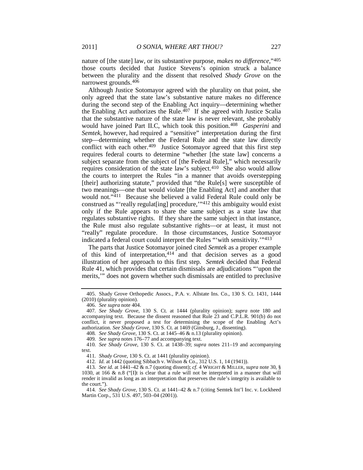nature of [the state] law, or its substantive purpose, *makes no difference*,"[405](#page-39-0) those courts decided that Justice Stevens's opinion struck a balance between the plurality and the dissent that resolved *Shady Grove* on the narrowest grounds.[406](#page-39-1)

<span id="page-39-11"></span>Although Justice Sotomayor agreed with the plurality on that point, she only agreed that the state law's substantive nature makes no difference during the second step of the Enabling Act inquiry—determining whether the Enabling Act authorizes the Rule. $407$  If she agreed with Justice Scalia that the substantive nature of the state law is never relevant, she probably would have joined Part II.C, which took this position.[408](#page-39-3) *Gasperini* and *Semtek*, however, had required a "sensitive" interpretation during the first step—determining whether the Federal Rule and the state law directly conflict with each other.<sup>[409](#page-39-4)</sup> Justice Sotomayor agreed that this first step requires federal courts to determine "whether [the state law] concerns a subject separate from the subject of [the Federal Rule]," which necessarily requires consideration of the state law's subject.[410](#page-39-5) She also would allow the courts to interpret the Rules "in a manner that avoids overstepping [their] authorizing statute," provided that "the Rule[s] were susceptible of two meanings—one that would violate [the Enabling Act] and another that would not."[411](#page-39-6) Because she believed a valid Federal Rule could only be construed as "'really regulat[ing] procedure,'"[412](#page-39-7) this ambiguity would exist only if the Rule appears to share the same subject as a state law that regulates substantive rights. If they share the same subject in that instance, the Rule must also regulate substantive rights—or at least, it must not "really" regulate procedure. In those circumstances, Justice Sotomayor indicated a federal court could interpret the Rules "'with sensitivity.'"[413](#page-39-8)

<span id="page-39-12"></span><span id="page-39-10"></span>The parts that Justice Sotomayor joined cited *Semtek* as a proper example of this kind of interpretation, [414](#page-39-9) and that decision serves as a good illustration of her approach to this first step. *Semtek* decided that Federal Rule 41, which provides that certain dismissals are adjudications "'upon the merits,'" does not govern whether such dismissals are entitled to preclusive

<span id="page-39-0"></span><sup>405.</sup> Shady Grove Orthopedic Assocs., P.A. v. Allstate Ins. Co., 130 S. Ct. 1431, 1444 (2010) (plurality opinion).

<sup>406.</sup> *See supra* not[e 404.](#page-38-10)

<span id="page-39-2"></span><span id="page-39-1"></span><sup>407</sup>*. See Shady Grove*, 130 S. Ct. at 1444 (plurality opinion); *supra* note [180](#page-18-18) and accompanying text. Because the dissent reasoned that Rule 23 and C.P.L.R. 901(b) do not conflict, it never proposed a test for determining the scope of the Enabling Act's authorization. *See Shady Grove*, 130 S. Ct. at 1469 (Ginsburg, J., dissenting).

<sup>408</sup>*. See Shady Grove*, 130 S. Ct. at 1445–46 & n.13 (plurality opinion).

<sup>409</sup>*. See supra* note[s 176–](#page-18-19)77 and accompanying text.

<span id="page-39-5"></span><span id="page-39-4"></span><span id="page-39-3"></span><sup>410</sup>*. See Shady Grove*, 130 S. Ct. at 1438–39; *supra* notes [211–](#page-21-13)19 and accompanying text.

<sup>411</sup>*. Shady Grove*, 130 S. Ct. at 1441 (plurality opinion).

<sup>412</sup>*. Id.* at 1442 (quoting Sibbach v. Wilson & Co., 312 U.S. 1, 14 (1941)).

<span id="page-39-8"></span><span id="page-39-7"></span><span id="page-39-6"></span><sup>413</sup>*. See id.* at 1441–42 & n.7 (quoting dissent); *cf.* 4 WRIGHT & MILLER, *supra* note 30, § 1030, at 166 & n.8 ("[I]t is clear that a rule will not be interpreted in a manner that will render it invalid as long as an interpretation that preserves the rule's integrity is available to the court.").

<span id="page-39-9"></span><sup>414</sup>*. See Shady Grove*, 130 S. Ct. at 1441–42 & n.7 (citing Semtek Int'l Inc. v. Lockheed Martin Corp., 531 U.S. 497, 503–04 (2001)).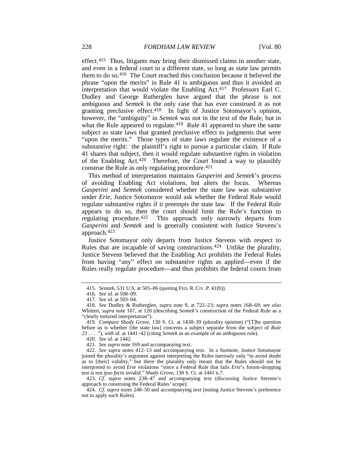effect.[415](#page-40-0) Thus, litigants may bring their dismissed claims in another state, and even in a federal court in a different state, so long as state law permits them to do so.[416](#page-40-1) The Court reached this conclusion because it believed the phrase "upon the merits" in Rule 41 is ambiguous and thus it avoided an interpretation that would violate the Enabling Act.[417](#page-40-2) Professors Earl C. Dudley and George Rutherglen have argued that the phrase is not ambiguous and *Semtek* is the only case that has ever construed it as not granting preclusive effect.[418](#page-40-3) In light of Justice Sotomayor's opinion, however, the "ambiguity" in *Semtek* was not in the text of the Rule, but in what the Rule appeared to regulate.<sup>[419](#page-40-4)</sup> Rule 41 appeared to share the same subject as state laws that granted preclusive effect to judgments that were "upon the merits." Those types of state laws regulate the existence of a substantive right: the plaintiff's right to pursue a particular claim. If Rule 41 shares that subject, then it would regulate substantive rights in violation of the Enabling Act[.420](#page-40-5) Therefore, the Court found a way to plausibly construe the Rule as only regulating procedure.[421](#page-40-6)

<span id="page-40-11"></span><span id="page-40-10"></span>This method of interpretation maintains *Gasperini* and *Semtek*'s process of avoiding Enabling Act violations, but alters the focus. Whereas *Gasperini* and *Semtek* considered whether the state law was substantive under *Erie*, Justice Sotomayor would ask whether the Federal Rule would regulate substantive rights if it preempts the state law. If the Federal Rule appears to do so, then the court should limit the Rule's function to regulating procedure.[422](#page-40-7) This approach only narrowly departs from *Gasperini* and *Semtek* and is generally consistent with Justice Stevens's approach.[423](#page-40-8)

Justice Sotomayor only departs from Justice Stevens with respect to Rules that are incapable of saving constructions.<sup>[424](#page-40-9)</sup> Unlike the plurality, Justice Stevens believed that the Enabling Act prohibits the Federal Rules from having "any" effect on substantive rights as applied—even if the Rules really regulate procedure—and thus prohibits the federal courts from

<sup>415</sup>*. Semtek*, 531 U.S. at 505–06 (quoting FED. R. CIV. P. 41(b)).

<sup>416</sup>*. See id.* at 508–09.

<sup>417</sup>*. See id.* at 503–04.

<span id="page-40-3"></span><span id="page-40-2"></span><span id="page-40-1"></span><span id="page-40-0"></span><sup>418</sup>*. See* Dudley & Rutherglen, *supra* note [9,](#page-3-0) at 722–23; *supra* notes [168–](#page-17-16)69; *see also* Whitten, *supra* note [167,](#page-17-1) at 120 (describing *Semtek*'s construction of the Federal Rule as a "clearly tortured interpretation").

<span id="page-40-4"></span><sup>419</sup>*. Compare Shady Grove*, 130 S. Ct. at 1438–39 (plurality opinion) ("[T]he question before us is whether [the state law] concerns a subject separate from the subject of *Rule 23* . . . ."), *with id.* at 1441–42 (citing *Semtek* as an example of an ambiguous rule).

<sup>420</sup>*. See id.* at 1442.

<sup>421</sup>*. See supra* not[e 169](#page-17-17) and accompanying text.

<span id="page-40-7"></span><span id="page-40-6"></span><span id="page-40-5"></span><sup>422</sup>*. See supra* notes [412–](#page-39-10)13 and accompanying text. In a footnote, Justice Sotomayor joined the plurality's argument against interpreting the Rules narrowly only "to avoid doubt as to [their] validity," but there the plurality only meant that the Rules should not be interpreted to avoid *Erie* violations "since a Federal Rule that fails *Erie*'s forum-shopping test is not *ipso facto* invalid." *Shady Grove*, 130 S. Ct. at 1441 n.7.

<span id="page-40-8"></span><sup>423</sup>*. Cf. supra* notes [238–](#page-23-11)47 and accompanying text (discussing Justice Stevens's approach to construing the Federal Rules' scope).

<span id="page-40-9"></span><sup>424</sup>*. Cf. supra* notes [248–](#page-24-12)50 and accompanying text (noting Justice Stevens's preference not to apply such Rules).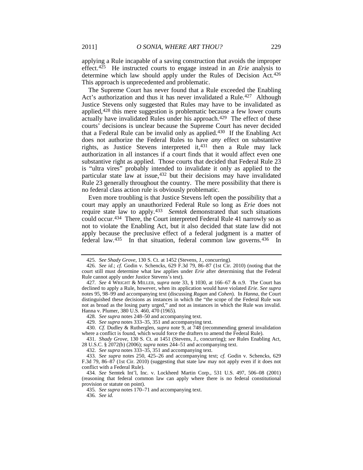<span id="page-41-0"></span>applying a Rule incapable of a saving construction that avoids the improper effect.[425](#page-41-1) He instructed courts to engage instead in an *Erie* analysis to determine which law should apply under the Rules of Decision Act.<sup>[426](#page-41-2)</sup> This approach is unprecedented and problematic.

The Supreme Court has never found that a Rule exceeded the Enabling Act's authorization and thus it has never invalidated a Rule.<sup>427</sup> Although Justice Stevens only suggested that Rules may have to be invalidated as applied,[428](#page-41-4) this mere suggestion is problematic because a few lower courts actually have invalidated Rules under his approach.<sup>429</sup> The effect of these courts' decisions is unclear because the Supreme Court has never decided that a Federal Rule can be invalid only as applied.<sup>[430](#page-41-6)</sup> If the Enabling Act does not authorize the Federal Rules to have *any* effect on substantive rights, as Justice Stevens interpreted it,[431](#page-41-7) then a Rule may lack authorization in all instances if a court finds that it would affect even one substantive right as applied. Those courts that decided that Federal Rule 23 is "ultra vires" probably intended to invalidate it only as applied to the particular state law at issue, [432](#page-41-8) but their decisions may have invalidated Rule 23 generally throughout the country. The mere possibility that there is no federal class action rule is obviously problematic.

Even more troubling is that Justice Stevens left open the possibility that a court may apply an unauthorized Federal Rule so long as *Erie* does not require state law to apply. [433](#page-41-9) *Semtek* demonstrated that such situations could occur.[434](#page-41-10) There, the Court interpreted Federal Rule 41 narrowly so as not to violate the Enabling Act, but it also decided that state law did not apply because the preclusive effect of a federal judgment is a matter of federal law.<sup>435</sup> In that situation, federal common law governs.<sup>[436](#page-41-12)</sup> In

<span id="page-41-7"></span>431*. Shady Grove*, 130 S. Ct. at 1451 (Stevens, J., concurring); *see* Rules Enabling Act, 28 U.S.C. § 2072(b) (2006); *supra* notes [244–](#page-24-13)51 and accompanying text.

432*. See supra* note[s 333–](#page-32-13)35[, 351](#page-33-9) and accompanying text.

<sup>425</sup>*. See Shady Grove*, 130 S. Ct. at 1452 (Stevens, J., concurring).

<span id="page-41-2"></span><span id="page-41-1"></span><sup>426</sup>*. See id.*; *cf.* Godin v. Schencks, 629 F.3d 79, 86–87 (1st Cir. 2010) (noting that the court still must determine what law applies under *Erie* after determining that the Federal Rule cannot apply under Justice Stevens's test).

<span id="page-41-3"></span><sup>427</sup>*. See* 4 WRIGHT & MILLER, *supra* note [33,](#page-5-15) § 1030, at 166–67 & n.9. The Court has declined to apply a Rule, however, when its application would have violated *Erie*. *See supra* note[s 95,](#page-11-1) [98](#page-11-2)[–99](#page-11-3) and accompanying text (discussing *Ragan* and *Cohen*). In *Hanna*, the Court distinguished these decisions as instances in which the "the scope of the Federal Rule was not as broad as the losing party urged," and not as instances in which the Rule was invalid. Hanna v. Plumer, 380 U.S. 460, 470 (1965).

<sup>428</sup>*. See supra* note[s 248–](#page-24-12)50 and accompanying text.

<sup>429</sup>*. See supra* note[s 333–](#page-32-13)35[, 351](#page-33-9) and accompanying text.

<span id="page-41-6"></span><span id="page-41-5"></span><span id="page-41-4"></span><sup>430</sup>*. Cf.* Dudley & Rutherglen, *supra* note [9,](#page-3-0) at 748 (recommending general invalidation where a conflict is found, which would force the drafters to amend the Federal Rule).

<span id="page-41-9"></span><span id="page-41-8"></span><sup>433</sup>*. See supra* notes [250,](#page-24-14) [425–](#page-41-0)26 and accompanying text; *cf.* Godin v. Schencks, 629 F.3d 79, 86–87 (1st Cir. 2010) (suggesting that state law may not apply even if it does not conflict with a Federal Rule).

<span id="page-41-12"></span><span id="page-41-11"></span><span id="page-41-10"></span><sup>434</sup>*. See* Semtek Int'l, Inc. v. Lockheed Martin Corp., 531 U.S. 497, 506–08 (2001) (reasoning that federal common law can apply where there is no federal constitutional provision or statute on point).

<sup>435</sup>*. See supra* note[s 170–](#page-17-18)71 and accompanying text.

<sup>436</sup>*. See id.*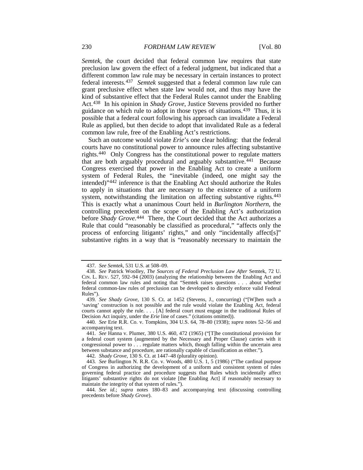*Semtek*, the court decided that federal common law requires that state preclusion law govern the effect of a federal judgment, but indicated that a different common law rule may be necessary in certain instances to protect federal interests.[437](#page-42-0) *Semtek* suggested that a federal common law rule can grant preclusive effect when state law would not, and thus may have the kind of substantive effect that the Federal Rules cannot under the Enabling Act.[438](#page-42-1) In his opinion in *Shady Grove*, Justice Stevens provided no further guidance on which rule to adopt in those types of situations.[439](#page-42-2) Thus, it is possible that a federal court following his approach can invalidate a Federal Rule as applied, but then decide to adopt that invalidated Rule as a federal common law rule, free of the Enabling Act's restrictions.

Such an outcome would violate *Erie*'s one clear holding: that the federal courts have no constitutional power to announce rules affecting substantive rights. [440](#page-42-3) Only Congress has the constitutional power to regulate matters that are both arguably procedural and arguably substantive.[441](#page-42-4) Because Congress exercised that power in the Enabling Act to create a uniform system of Federal Rules, the "inevitable (indeed, one might say the intended)"[442](#page-42-5) inference is that the Enabling Act should authorize the Rules to apply in situations that are necessary to the existence of a uniform system, notwithstanding the limitation on affecting substantive rights.<sup>[443](#page-42-6)</sup> This is exactly what a unanimous Court held in *Burlington Northern*, the controlling precedent on the scope of the Enabling Act's authorization before *Shady Grove*.<sup>[444](#page-42-7)</sup> There, the Court decided that the Act authorizes a Rule that could "reasonably be classified as procedural," "affects only the process of enforcing litigants' rights," and only "incidentally affect[s]" substantive rights in a way that is "reasonably necessary to maintain the

<sup>437</sup>*. See Semtek*, 531 U.S. at 508–09.

<span id="page-42-1"></span><span id="page-42-0"></span><sup>438</sup>*. See* Patrick Woolley, *The Sources of Federal Preclusion Law After* Semtek, 72 U. CIN. L. REV. 527, 592–94 (2003) (analyzing the relationship between the Enabling Act and federal common law rules and noting that "Semtek raises questions . . . about whether federal common-law rules of preclusion can be developed to directly enforce valid Federal Rules").

<span id="page-42-2"></span><sup>439</sup>*. See Shady Grove*, 130 S. Ct. at 1452 (Stevens, J., concurring) ("[W]hen such a 'saving' construction is not possible and the rule would violate the Enabling Act, federal courts cannot apply the rule. . . . [A] federal court must engage in the traditional Rules of Decision Act inquiry, under the *Erie* line of cases." (citations omitted)).

<span id="page-42-3"></span><sup>440</sup>*. See* Erie R.R. Co. v. Tompkins, 304 U.S. 64, 78–80 (1938); *supra* notes [52–](#page-7-13)[56](#page-8-0) and accompanying text.

<span id="page-42-4"></span><sup>441</sup>*. See* Hanna v. Plumer, 380 U.S. 460, 472 (1965) ("[T]he constitutional provision for a federal court system (augmented by the Necessary and Proper Clause) carries with it congressional power to . . . regulate matters which, though falling within the uncertain area between substance and procedure, are rationally capable of classification as either.").

<sup>442</sup>*. Shady Grove*, 130 S. Ct. at 1447–48 (plurality opinion).

<span id="page-42-6"></span><span id="page-42-5"></span><sup>443</sup>*. See* Burlington N. R.R. Co. v. Woods, 480 U.S. 1, 5 (1986) ("The cardinal purpose of Congress in authorizing the development of a uniform and consistent system of rules governing federal practice and procedure suggests that Rules which incidentally affect litigants' substantive rights do not violate [the Enabling Act] if reasonably necessary to maintain the integrity of that system of rules.").

<span id="page-42-7"></span><sup>444</sup>*. See id.*; *supra* notes [180–](#page-18-18)83 and accompanying text (discussing controlling precedents before *Shady Grove*).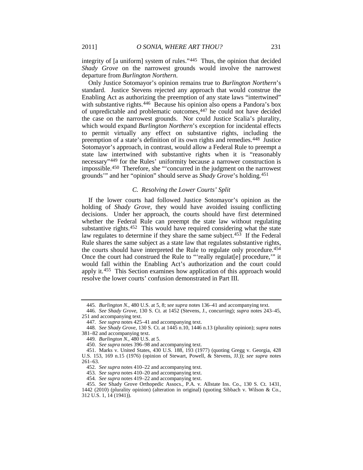integrity of [a uniform] system of rules.["445](#page-43-0) Thus, the opinion that decided *Shady Grove* on the narrowest grounds would involve the narrowest departure from *Burlington Northern*.

Only Justice Sotomayor's opinion remains true to *Burlington Northern*'s standard. Justice Stevens rejected any approach that would construe the Enabling Act as authorizing the preemption of any state laws "intertwined" with substantive rights.<sup>446</sup> Because his opinion also opens a Pandora's box of unpredictable and problematic outcomes[,447](#page-43-2) he could not have decided the case on the narrowest grounds. Nor could Justice Scalia's plurality, which would expand *Burlington Northern*'s exception for incidental effects to permit virtually any effect on substantive rights, including the preemption of a state's definition of its own rights and remedies.[448](#page-43-3) Justice Sotomayor's approach, in contrast, would allow a Federal Rule to preempt a state law intertwined with substantive rights when it is "reasonably necessary"[449](#page-43-4) for the Rules' uniformity because a narrower construction is impossible.[450](#page-43-5) Therefore, she "'concurred in the judgment on the narrowest grounds'" and her "opinion" should serve as *Shady Grove*'s holding.[451](#page-43-6)

#### *C. Resolving the Lower Courts' Split*

If the lower courts had followed Justice Sotomayor's opinion as the holding of *Shady Grove*, they would have avoided issuing conflicting decisions. Under her approach, the courts should have first determined whether the Federal Rule can preempt the state law without regulating substantive rights[.452](#page-43-7) This would have required considering what the state law regulates to determine if they share the same subject.<sup>[453](#page-43-8)</sup> If the Federal Rule shares the same subject as a state law that regulates substantive rights, the courts should have interpreted the Rule to regulate only procedure.[454](#page-43-9) Once the court had construed the Rule to "'really regulat[e] procedure,'" it would fall within the Enabling Act's authorization and the court could apply it.<sup>[455](#page-43-10)</sup> This Section examines how application of this approach would resolve the lower courts' confusion demonstrated in Part III.

<sup>445</sup>*. Burlington N.*, 480 U.S. at 5, 8; *see supra* notes [136–](#page-14-17)41 and accompanying text.

<span id="page-43-1"></span><span id="page-43-0"></span><sup>446</sup>*. See Shady Grove*, 130 S. Ct. at 1452 (Stevens, J., concurring); *supra* notes [243–](#page-23-12)45, [251](#page-24-15) and accompanying text.

<sup>447</sup>*. See supra* note[s 425–](#page-41-0)41 and accompanying text.

<span id="page-43-4"></span><span id="page-43-3"></span><span id="page-43-2"></span><sup>448</sup>*. See Shady Grove*, 130 S. Ct. at 1445 n.10, 1446 n.13 (plurality opinion); *supra* notes [381–](#page-36-7)82 and accompanying text.

<sup>449</sup>*. Burlington N.*, 480 U.S. at 5.

<sup>450</sup>*. See supra* notes [396–](#page-38-11)98 and accompanying text.

<span id="page-43-7"></span><span id="page-43-6"></span><span id="page-43-5"></span><sup>451.</sup> Marks v. United States, 430 U.S. 188, 193 (1977) (quoting Gregg v. Georgia, 428 U.S. 153, 169 n.15 (1976) (opinion of Stewart, Powell, & Stevens, JJ.)); *see supra* notes 261–63.

<sup>452</sup>*. See supra* note[s 410–](#page-39-11)22 and accompanying text.

<sup>453</sup>*. See supra* note[s 410–](#page-39-11)20 and accompanying text.

<sup>454</sup>*. See supra* note[s 419–](#page-40-10)22 and accompanying text.

<span id="page-43-10"></span><span id="page-43-9"></span><span id="page-43-8"></span><sup>455</sup>*. See* Shady Grove Orthopedic Assocs., P.A. v. Allstate Ins. Co., 130 S. Ct. 1431, 1442 (2010) (plurality opinion) (alteration in original) (quoting Sibbach v. Wilson & Co., 312 U.S. 1, 14 (1941)).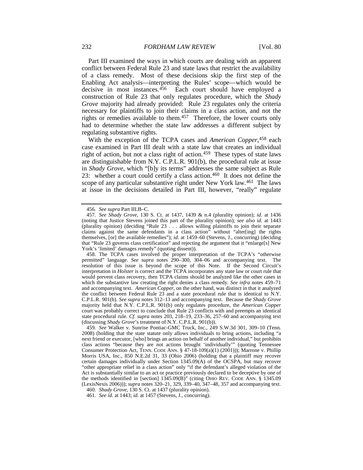Part III examined the ways in which courts are dealing with an apparent conflict between Federal Rule 23 and state laws that restrict the availability of a class remedy. Most of these decisions skip the first step of the Enabling Act analysis—interpreting the Rules' scope—which would be decisive in most instances.<sup>[456](#page-44-1)</sup> Each court should have employed a construction of Rule 23 that only regulates procedure, which the *Shady Grove* majority had already provided: Rule 23 regulates only the criteria necessary for plaintiffs to join their claims in a class action, and not the rights or remedies available to them.[457](#page-44-2) Therefore, the lower courts only had to determine whether the state law addresses a different subject by regulating substantive rights.

<span id="page-44-7"></span><span id="page-44-0"></span>With the exception of the TCPA cases and *American Copper*, [458](#page-44-3) each case examined in Part III dealt with a state law that creates an individual right of action, but not a class right of action.<sup>459</sup> These types of state laws are distinguishable from N.Y. C.P.L.R. 901(b), the procedural rule at issue in *Shady Grove*, which "[b]y its terms" addresses the same subject as Rule 23: whether a court could certify a class action.[460](#page-44-5) It does not define the scope of any particular substantive right under New York law.<sup>[461](#page-44-6)</sup> The laws at issue in the decisions detailed in Part III, however, "really" regulate

<sup>456</sup>*. See supra* Part III.B–C.

<span id="page-44-2"></span><span id="page-44-1"></span><sup>457</sup>*. See Shady Grove*, 130 S. Ct. at 1437, 1439 & n.4 (plurality opinion); *id.* at 1436 (noting that Justice Stevens joined this part of the plurality opinion); *see also id.* at 1443 (plurality opinion) (deciding "Rule 23 . . . allows willing plaintiffs to join their separate claims against the same defendants in a class action" without "alter[ing] the rights themselves, [or] the available remedies"); *id.* at 1459–60 (Stevens, J., concurring) (deciding that "Rule 23 governs class certification" and rejecting the argument that it "enlarge[s] New York's 'limited' damages remedy" (quoting dissent)).

<span id="page-44-3"></span><sup>458.</sup> The TCPA cases involved the proper interpretation of the TCPA's "otherwise permitted" language. *See supra* notes [290–](#page-28-14)[300,](#page-29-13) [304–](#page-29-14)06 and accompanying text. The resolution of this issue is beyond the scope of this Note. If the Second Circuit's interpretation in *Holster* is correct and the TCPA incorporates any state law or court rule that would prevent class recovery, then TCPA claims should be analyzed like the other cases in which the substantive law creating the right denies a class remedy. *See infra* notes [459–](#page-44-0)71 and accompanying text. *American Copper*, on the other hand, was distinct in that it analyzed the conflict between Federal Rule 23 and a state procedural rule that is identical to N.Y. C.P.L.R. 901(b). *See supra* notes [312–](#page-30-12)13 and accompanying text. Because the *Shady Grove* majority held that N.Y. C.P.L.R. 901(b) only regulates procedure, the *American Copper* court was probably correct to conclude that Rule 23 conflicts with and preempts an identical state procedural rule. *Cf. supra* notes [203,](#page-20-0) [218–](#page-21-14)19, [233–](#page-23-13)36, [257–](#page-25-11)60 and accompanying text (discussing *Shady Grove*'s treatment of N.Y. C.P.L.R. 901(b)).

<span id="page-44-4"></span><sup>459</sup>*. See* Walker v. Sunrise Pontiac-GMC Truck, Inc., 249 S.W.3d 301, 309–10 (Tenn. 2008) (holding that the state statute only allows individuals to bring actions, including "a next friend or executor, [who] brings an action on behalf of another individual," but prohibits class actions "because they are not actions brought 'individually'" (quoting Tennessee Consumer Protection Act, TENN. CODE ANN. § 47-18-109(a)(1) (2001))); Marrone v. Phillip Morris USA, Inc., 850 N.E.2d 31, 33 (Ohio 2006) (holding that a plaintiff may recover certain damages individually under Section 1345.09(A) of the OCSPA, but may recover "other appropriate relief in a class action" only "if the defendant's alleged violation of the Act is substantially similar to an act or practice previously declared to be deceptive by one of the methods identified in [section] 1345.09(B)" (citing OHIO REV. CODE ANN. § 1345.09 (LexisNexis 2006))); *supra* notes [320–](#page-31-12)21, [329,](#page-31-13) [339–](#page-32-15)40, [347–](#page-33-10)48[, 357](#page-34-15) and accompanying text. 460*. Shady Grove*, 130 S. Ct. at 1437 (plurality opinion).

<span id="page-44-6"></span><span id="page-44-5"></span><sup>461</sup>*. See id.* at 1443; *id.* at 1457 (Stevens, J., concurring).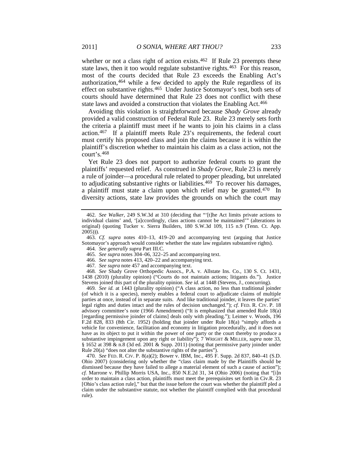whether or not a class right of action exists.<sup>[462](#page-45-0)</sup> If Rule 23 preempts these state laws, then it too would regulate substantive rights.<sup>463</sup> For this reason, most of the courts decided that Rule 23 exceeds the Enabling Act's authorization[,464](#page-45-2) while a few decided to apply the Rule regardless of its effect on substantive rights.[465](#page-45-3) Under Justice Sotomayor's test, both sets of courts should have determined that Rule 23 does not conflict with these state laws and avoided a construction that violates the Enabling Act.[466](#page-45-4)

Avoiding this violation is straightforward because *Shady Grove* already provided a valid construction of Federal Rule 23. Rule 23 merely sets forth the criteria a plaintiff must meet if he wants to join his claims in a class action.[467](#page-45-5) If a plaintiff meets Rule 23's requirements, the federal court must certify his proposed class and join the claims because it is within the plaintiff's discretion whether to maintain his claim as a class action, not the court's.[468](#page-45-6)

Yet Rule 23 does not purport to authorize federal courts to grant the plaintiffs' requested relief. As construed in *Shady Grove*, Rule 23 is merely a rule of joinder—a procedural rule related to proper pleading, but unrelated to adjudicating substantive rights or liabilities.[469](#page-45-7) To recover his damages, a plaintiff must state a claim upon which relief may be granted.<sup>[470](#page-45-8)</sup> In diversity actions, state law provides the grounds on which the court may

<span id="page-45-2"></span><span id="page-45-1"></span>463*. Cf. supra* notes [410–](#page-39-11)13, [419–](#page-40-10)20 and accompanying text (arguing that Justice Sotomayor's approach would consider whether the state law regulates substantive rights).

465*. See supra* note[s 304–](#page-29-14)06[, 322–](#page-31-14)25 and accompanying text.

467*. See supra* not[e 457](#page-44-7) and accompanying text.

<span id="page-45-6"></span><span id="page-45-5"></span><span id="page-45-4"></span><span id="page-45-3"></span>468*. See* Shady Grove Orthopedic Assocs., P.A. v. Allstate Ins. Co., 130 S. Ct. 1431, 1438 (2010) (plurality opinion) ("Courts do not maintain actions; litigants do."). Justice Stevens joined this part of the plurality opinion. *See id.* at 1448 (Stevens, J., concurring).

<span id="page-45-7"></span>469*. See id.* at 1443 (plurality opinion) ("A class action, no less than traditional joinder (of which it is a species), merely enables a federal court to adjudicate claims of multiple parties at once, instead of in separate suits. And like traditional joinder, it leaves the parties' legal rights and duties intact and the rules of decision unchanged."); *cf.* FED. R. CIV. P. 18 advisory committee's note (1966 Amendment) ("It is emphasized that amended Rule 18(a) [regarding permissive joinder of claims] deals only with pleading."); Leimer v. Woods, 196 F.2d 828, 833 (8th Cir. 1952) (holding that joinder under Rule 18(a) "simply affords a vehicle for convenience, facilitation and economy in litigation procedurally, and it does not have as its object to put it within the power of one party or the court thereby to produce a substantive impingement upon any right or liability"); 7 WRIGHT & MILLER, *supra* note 33,  $§$  1652 at 398 & n.8 (3d ed. 2001 & Supp. 2011) (noting that permissive party joinder under Rule 20(a) "does not alter the substantive rights of the parties").

<span id="page-45-8"></span>470*. See* FED. R. CIV. P. 8(a)(2); Bower v. IBM, Inc., 495 F. Supp. 2d 837, 840–41 (S.D. Ohio 2007) (considering only whether the "class claim made by the Plaintiffs should be dismissed because they have failed to allege a material element of such a cause of action"); *cf.* Marrone v. Phillip Morris USA, Inc., 850 N.E.2d 31, 34 (Ohio 2006) (noting that "[i]n order to maintain a class action, plaintiffs must meet the prerequisites set forth in Civ.R. 23 [Ohio's class action rule]," but that the issue before the court was whether the plaintiff pled a claim under the substantive statute, not whether the plaintiff complied with that procedural rule).

<span id="page-45-0"></span><sup>462</sup>*. See Walker*, 249 S.W.3d at 310 (deciding that "'[t]he Act limits private actions to individual claims' and, '[a]ccordingly, class actions cannot be maintained'" (alterations in original) (quoting Tucker v. Sierra Builders, 180 S.W.3d 109, 115 n.9 (Tenn. Ct. App.  $2005)$ )).

<sup>464</sup>*. See generally supra* Part III.C.

<sup>466</sup>*. See supra* note[s 413,](#page-39-12) [420–](#page-40-11)22 and accompanying text.